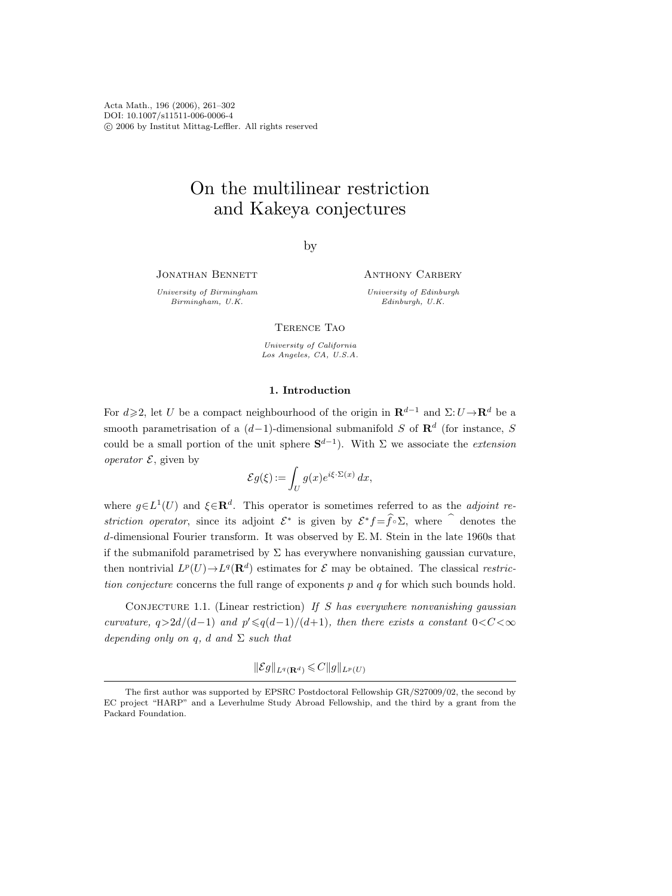Acta Math., 196 (2006), 261–302 DOI: 10.1007/s11511-006-0006-4 c 2006 by Institut Mittag-Leffler. All rights reserved

# On the multilinear restriction and Kakeya conjectures

by

JONATHAN BENNETT

University of Birmingham Birmingham, U.K.

Anthony Carbery

University of Edinburgh Edinburgh, U.K.

Terence Tao

University of California Los Angeles, CA, U.S.A.

# 1. Introduction

For  $d\geqslant 2$ , let U be a compact neighbourhood of the origin in  $\mathbf{R}^{d-1}$  and  $\Sigma:U\rightarrow\mathbf{R}^{d}$  be a smooth parametrisation of a  $(d-1)$ -dimensional submanifold S of  $\mathbb{R}^d$  (for instance, S could be a small portion of the unit sphere  $S^{d-1}$ ). With  $\Sigma$  we associate the *extension operator*  $\mathcal{E}$ , given by

$$
\mathcal{E}g(\xi) := \int_U g(x)e^{i\xi \cdot \Sigma(x)} dx,
$$

where  $g \in L^1(U)$  and  $\xi \in \mathbf{R}^d$ . This operator is sometimes referred to as the *adjoint re*striction operator, since its adjoint  $\mathcal{E}^*$  is given by  $\mathcal{E}^* f = \widehat{f} \circ \Sigma$ , where  $\widehat{ }$  denotes the d-dimensional Fourier transform. It was observed by E. M. Stein in the late 1960s that if the submanifold parametrised by  $\Sigma$  has everywhere nonvanishing gaussian curvature, then nontrivial  $L^p(U) \to L^q(\mathbf{R}^d)$  estimates for  $\mathcal E$  may be obtained. The classical restriction conjecture concerns the full range of exponents  $p$  and  $q$  for which such bounds hold.

CONJECTURE 1.1. (Linear restriction) If S has everywhere nonvanishing gaussian curvature,  $q > 2d/(d-1)$  and  $p' \leqslant q(d-1)/(d+1)$ , then there exists a constant 0<C <  $\infty$ depending only on q, d and  $\Sigma$  such that

 $\|\mathcal{E}g\|_{L^q(\mathbf{R}^d)} \leqslant C\|g\|_{L^p(U)}$ 

The first author was supported by EPSRC Postdoctoral Fellowship GR/S27009/02, the second by EC project "HARP" and a Leverhulme Study Abroad Fellowship, and the third by a grant from the Packard Foundation.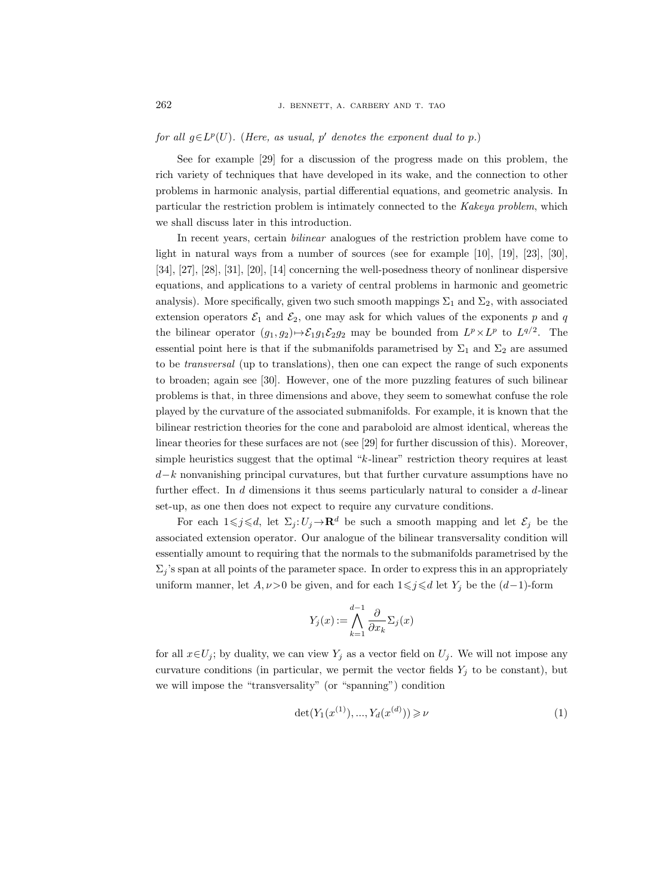# for all  $g \in L^p(U)$ . (Here, as usual, p' denotes the exponent dual to p.)

See for example [29] for a discussion of the progress made on this problem, the rich variety of techniques that have developed in its wake, and the connection to other problems in harmonic analysis, partial differential equations, and geometric analysis. In particular the restriction problem is intimately connected to the Kakeya problem, which we shall discuss later in this introduction.

In recent years, certain bilinear analogues of the restriction problem have come to light in natural ways from a number of sources (see for example [10], [19], [23], [30], [34], [27], [28], [31], [20], [14] concerning the well-posedness theory of nonlinear dispersive equations, and applications to a variety of central problems in harmonic and geometric analysis). More specifically, given two such smooth mappings  $\Sigma_1$  and  $\Sigma_2$ , with associated extension operators  $\mathcal{E}_1$  and  $\mathcal{E}_2$ , one may ask for which values of the exponents p and q the bilinear operator  $(g_1, g_2) \mapsto \mathcal{E}_1 g_1 \mathcal{E}_2 g_2$  may be bounded from  $L^p \times L^p$  to  $L^{q/2}$ . The essential point here is that if the submanifolds parametrised by  $\Sigma_1$  and  $\Sigma_2$  are assumed to be transversal (up to translations), then one can expect the range of such exponents to broaden; again see [30]. However, one of the more puzzling features of such bilinear problems is that, in three dimensions and above, they seem to somewhat confuse the role played by the curvature of the associated submanifolds. For example, it is known that the bilinear restriction theories for the cone and paraboloid are almost identical, whereas the linear theories for these surfaces are not (see [29] for further discussion of this). Moreover, simple heuristics suggest that the optimal "k-linear" restriction theory requires at least d−k nonvanishing principal curvatures, but that further curvature assumptions have no further effect. In d dimensions it thus seems particularly natural to consider a d-linear set-up, as one then does not expect to require any curvature conditions.

For each  $1 \leq j \leq d$ , let  $\Sigma_j : U_j \to \mathbf{R}^d$  be such a smooth mapping and let  $\mathcal{E}_j$  be the associated extension operator. Our analogue of the bilinear transversality condition will essentially amount to requiring that the normals to the submanifolds parametrised by the  $\Sigma_i$ 's span at all points of the parameter space. In order to express this in an appropriately uniform manner, let  $A, \nu > 0$  be given, and for each  $1 \leq j \leq d$  let  $Y_j$  be the  $(d-1)$ -form

$$
Y_j(x) := \bigwedge_{k=1}^{d-1} \frac{\partial}{\partial x_k} \Sigma_j(x)
$$

for all  $x \in U_j$ ; by duality, we can view  $Y_j$  as a vector field on  $U_j$ . We will not impose any curvature conditions (in particular, we permit the vector fields  $Y_j$  to be constant), but we will impose the "transversality" (or "spanning") condition

$$
\det(Y_1(x^{(1)}), ..., Y_d(x^{(d)})) \ge \nu \tag{1}
$$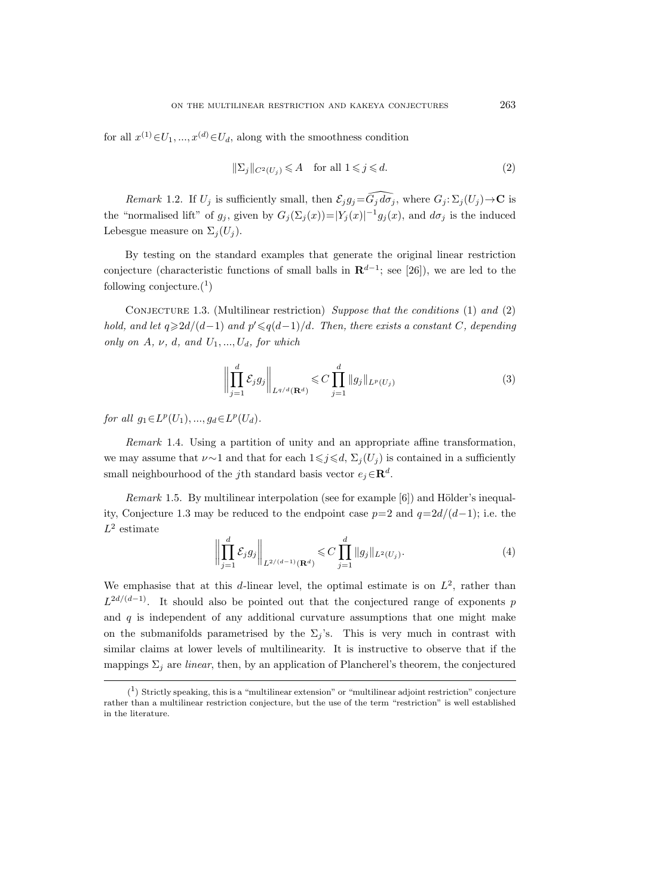for all  $x^{(1)} \in U_1, ..., x^{(d)} \in U_d$ , along with the smoothness condition

$$
\|\Sigma_j\|_{C^2(U_j)} \leq A \quad \text{for all } 1 \leq j \leq d. \tag{2}
$$

Remark 1.2. If  $U_j$  is sufficiently small, then  $\mathcal{E}_j g_j = \widehat{G_j d\sigma_j}$ , where  $G_j : \Sigma_j (U_j) \to \mathbb{C}$  is the "normalised lift" of  $g_j$ , given by  $G_j(\Sigma_j(x))=|Y_j(x)|^{-1}g_j(x)$ , and  $d\sigma_j$  is the induced Lebesgue measure on  $\Sigma_i(U_i)$ .

By testing on the standard examples that generate the original linear restriction conjecture (characteristic functions of small balls in  $\mathbb{R}^{d-1}$ ; see [26]), we are led to the following conjecture. $(1)$ 

CONJECTURE 1.3. (Multilinear restriction) Suppose that the conditions  $(1)$  and  $(2)$ hold, and let  $q \geq 2d/(d-1)$  and  $p' \leqslant q(d-1)/d$ . Then, there exists a constant C, depending only on  $A, \nu, d, and U_1, ..., U_d$ , for which

$$
\left\| \prod_{j=1}^{d} \mathcal{E}_{j} g_{j} \right\|_{L^{q/d}(\mathbf{R}^{d})} \leq C \prod_{j=1}^{d} \|g_{j}\|_{L^{p}(U_{j})}
$$
(3)

for all  $g_1 \in L^p(U_1), ..., g_d \in L^p(U_d)$ .

Remark 1.4. Using a partition of unity and an appropriate affine transformation, we may assume that  $\nu \sim 1$  and that for each  $1 \leq j \leq d$ ,  $\Sigma_j (U_j)$  is contained in a sufficiently small neighbourhood of the jth standard basis vector  $e_j \in \mathbb{R}^d$ .

*Remark* 1.5. By multilinear interpolation (see for example  $[6]$ ) and Hölder's inequality, Conjecture 1.3 may be reduced to the endpoint case  $p=2$  and  $q=2d/(d-1)$ ; i.e. the  $L^2$  estimate

$$
\left\| \prod_{j=1}^{d} \mathcal{E}_{j} g_{j} \right\|_{L^{2/(d-1)}(\mathbf{R}^{d})} \leq C \prod_{j=1}^{d} \|g_{j}\|_{L^{2}(U_{j})}.
$$
 (4)

We emphasise that at this d-linear level, the optimal estimate is on  $L^2$ , rather than  $L^{2d/(d-1)}$ . It should also be pointed out that the conjectured range of exponents p and  $q$  is independent of any additional curvature assumptions that one might make on the submanifolds parametrised by the  $\Sigma_j$ 's. This is very much in contrast with similar claims at lower levels of multilinearity. It is instructive to observe that if the mappings  $\Sigma_i$  are *linear*, then, by an application of Plancherel's theorem, the conjectured

<sup>(</sup> 1 ) Strictly speaking, this is a "multilinear extension" or "multilinear adjoint restriction" conjecture rather than a multilinear restriction conjecture, but the use of the term "restriction" is well established in the literature.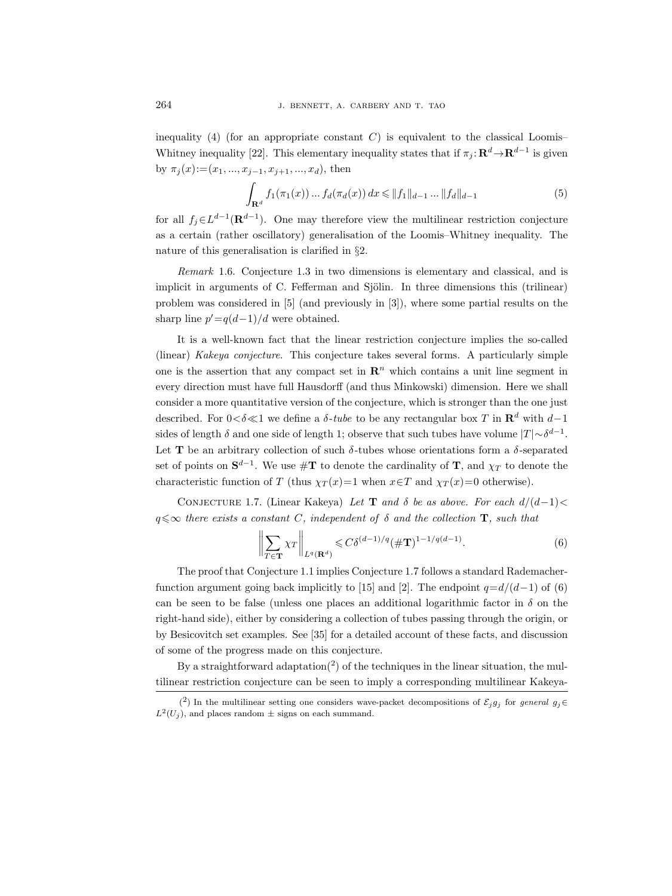inequality (4) (for an appropriate constant  $C$ ) is equivalent to the classical Loomis– Whitney inequality [22]. This elementary inequality states that if  $\pi_j : \mathbf{R}^d \to \mathbf{R}^{d-1}$  is given by  $\pi_j(x) := (x_1, ..., x_{j-1}, x_{j+1}, ..., x_d)$ , then

$$
\int_{\mathbf{R}^d} f_1(\pi_1(x)) \dots f_d(\pi_d(x)) dx \le \|f_1\|_{d-1} \dots \|f_d\|_{d-1}
$$
\n(5)

for all  $f_j \in L^{d-1}(\mathbf{R}^{d-1})$ . One may therefore view the multilinear restriction conjecture as a certain (rather oscillatory) generalisation of the Loomis–Whitney inequality. The nature of this generalisation is clarified in §2.

Remark 1.6. Conjecture 1.3 in two dimensions is elementary and classical, and is implicit in arguments of C. Fefferman and Sjölin. In three dimensions this (trilinear) problem was considered in [5] (and previously in [3]), where some partial results on the sharp line  $p' = q(d-1)/d$  were obtained.

It is a well-known fact that the linear restriction conjecture implies the so-called (linear) Kakeya conjecture. This conjecture takes several forms. A particularly simple one is the assertion that any compact set in  $\mathbb{R}^n$  which contains a unit line segment in every direction must have full Hausdorff (and thus Minkowski) dimension. Here we shall consider a more quantitative version of the conjecture, which is stronger than the one just described. For 0< $\delta \ll 1$  we define a  $\delta$ -tube to be any rectangular box T in  $\mathbb{R}^d$  with  $d-1$ sides of length  $\delta$  and one side of length 1; observe that such tubes have volume  $|T| \sim \delta^{d-1}$ . Let **T** be an arbitrary collection of such  $\delta$ -tubes whose orientations form a  $\delta$ -separated set of points on  $S^{d-1}$ . We use  $\#\mathbf{T}$  to denote the cardinality of  $\mathbf{T}$ , and  $\chi_T$  to denote the characteristic function of T (thus  $\chi_T(x)=1$  when  $x \in T$  and  $\chi_T(x)=0$  otherwise).

CONJECTURE 1.7. (Linear Kakeya) Let **T** and  $\delta$  be as above. For each  $d/(d-1)$  $q \leq \infty$  there exists a constant C, independent of  $\delta$  and the collection **T**, such that

$$
\left\| \sum_{T \in \mathbf{T}} \chi_T \right\|_{L^q(\mathbf{R}^d)} \leqslant C \delta^{(d-1)/q} (\#\mathbf{T})^{1-1/q(d-1)}.
$$
 (6)

The proof that Conjecture 1.1 implies Conjecture 1.7 follows a standard Rademacherfunction argument going back implicitly to [15] and [2]. The endpoint  $q=d/(d-1)$  of (6) can be seen to be false (unless one places an additional logarithmic factor in  $\delta$  on the right-hand side), either by considering a collection of tubes passing through the origin, or by Besicovitch set examples. See [35] for a detailed account of these facts, and discussion of some of the progress made on this conjecture.

By a straightforward adaptation<sup>(2)</sup> of the techniques in the linear situation, the multilinear restriction conjecture can be seen to imply a corresponding multilinear Kakeya-

<sup>(&</sup>lt;sup>2</sup>) In the multilinear setting one considers wave-packet decompositions of  $\mathcal{E}_j g_j$  for general  $g_j \in$  $L^2(U_j)$ , and places random  $\pm$  signs on each summand.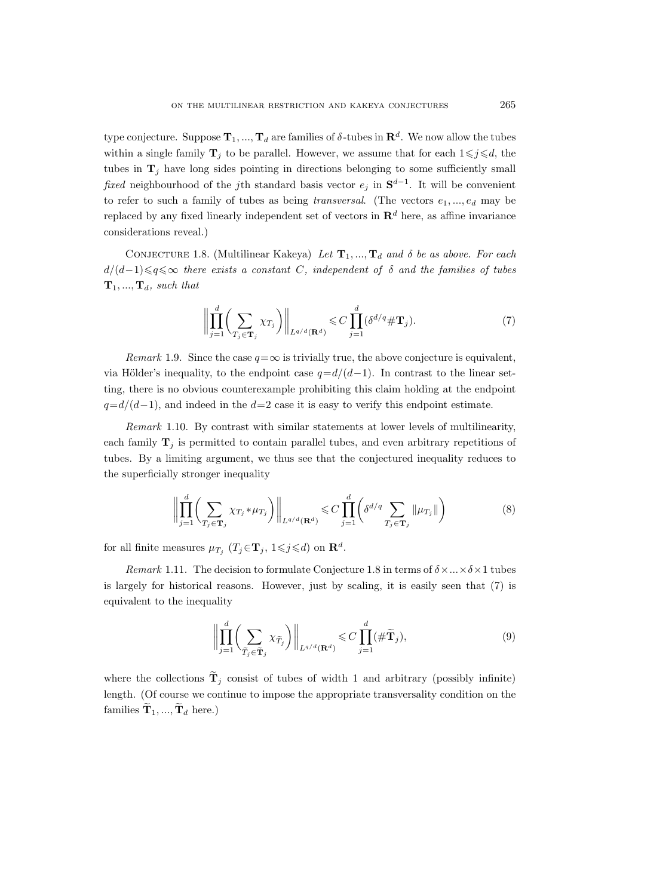type conjecture. Suppose  $\mathbf{T}_1, ..., \mathbf{T}_d$  are families of  $\delta$ -tubes in  $\mathbf{R}^d$ . We now allow the tubes within a single family  $\mathbf{T}_j$  to be parallel. However, we assume that for each  $1 \leq j \leq d$ , the tubes in  $\mathbf{T}_i$  have long sides pointing in directions belonging to some sufficiently small fixed neighbourhood of the j<sup>th</sup> standard basis vector  $e_j$  in  $S^{d-1}$ . It will be convenient to refer to such a family of tubes as being *transversal.* (The vectors  $e_1, ..., e_d$  may be replaced by any fixed linearly independent set of vectors in  $\mathbb{R}^d$  here, as affine invariance considerations reveal.)

CONJECTURE 1.8. (Multilinear Kakeya) Let  $T_1, ..., T_d$  and  $\delta$  be as above. For each  $d/(d-1)$  $\leq q \leq \infty$  there exists a constant C, independent of  $\delta$  and the families of tubes  $\mathbf{T}_1, ..., \mathbf{T}_d$ , such that

$$
\left\| \prod_{j=1}^{d} \left( \sum_{T_j \in \mathbf{T}_j} \chi_{T_j} \right) \right\|_{L^{q/d}(\mathbf{R}^d)} \leqslant C \prod_{j=1}^{d} (\delta^{d/q} \# \mathbf{T}_j). \tag{7}
$$

Remark 1.9. Since the case  $q=\infty$  is trivially true, the above conjecture is equivalent, via Hölder's inequality, to the endpoint case  $q=d/(d-1)$ . In contrast to the linear setting, there is no obvious counterexample prohibiting this claim holding at the endpoint  $q=d/(d-1)$ , and indeed in the  $d=2$  case it is easy to verify this endpoint estimate.

Remark 1.10. By contrast with similar statements at lower levels of multilinearity, each family  $\mathbf{T}_i$  is permitted to contain parallel tubes, and even arbitrary repetitions of tubes. By a limiting argument, we thus see that the conjectured inequality reduces to the superficially stronger inequality

$$
\left\| \prod_{j=1}^{d} \left( \sum_{T_j \in \mathbf{T}_j} \chi_{T_j} * \mu_{T_j} \right) \right\|_{L^{q/d}(\mathbf{R}^d)} \leqslant C \prod_{j=1}^{d} \left( \delta^{d/q} \sum_{T_j \in \mathbf{T}_j} \|\mu_{T_j}\| \right) \tag{8}
$$

for all finite measures  $\mu_{T_j}$   $(T_j \in \mathbf{T}_j, 1 \leq j \leq d)$  on  $\mathbf{R}^d$ .

Remark 1.11. The decision to formulate Conjecture 1.8 in terms of  $\delta \times ... \times \delta \times 1$  tubes is largely for historical reasons. However, just by scaling, it is easily seen that (7) is equivalent to the inequality

$$
\left\| \prod_{j=1}^{d} \left( \sum_{\widetilde{T}_j \in \widetilde{\mathbf{T}}_j} \chi_{\widetilde{T}_j} \right) \right\|_{L^{q/d}(\mathbf{R}^d)} \leqslant C \prod_{j=1}^{d} (\# \widetilde{\mathbf{T}}_j),\tag{9}
$$

where the collections  $\mathbf{T}_j$  consist of tubes of width 1 and arbitrary (possibly infinite) length. (Of course we continue to impose the appropriate transversality condition on the families  $\mathbf{T}_1, ..., \mathbf{T}_d$  here.)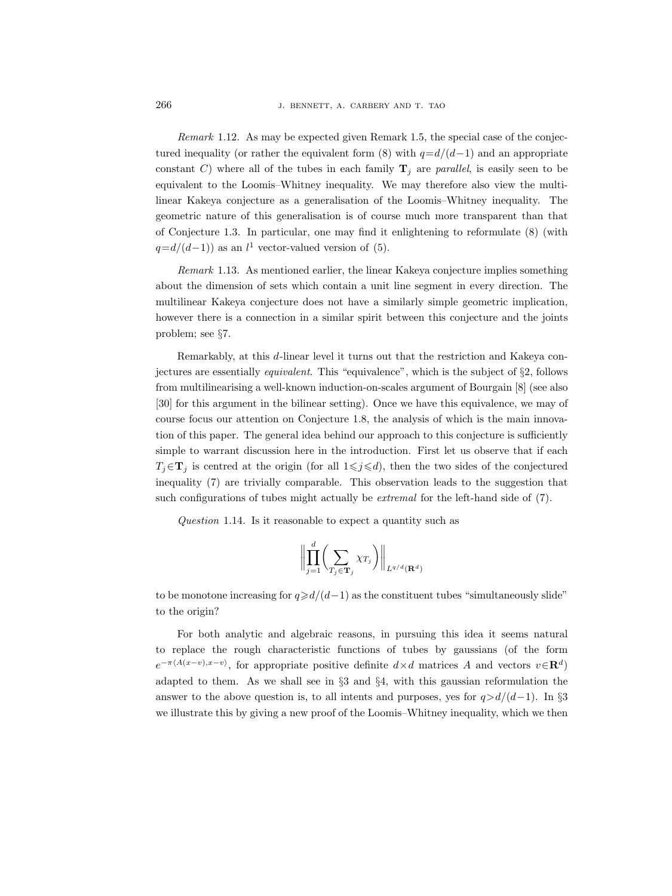Remark 1.12. As may be expected given Remark 1.5, the special case of the conjectured inequality (or rather the equivalent form  $(8)$  with  $q=d/(d-1)$  and an appropriate constant C) where all of the tubes in each family  $\mathbf{T}_j$  are parallel, is easily seen to be equivalent to the Loomis–Whitney inequality. We may therefore also view the multilinear Kakeya conjecture as a generalisation of the Loomis–Whitney inequality. The geometric nature of this generalisation is of course much more transparent than that of Conjecture 1.3. In particular, one may find it enlightening to reformulate (8) (with  $q=d/(d-1)$  as an  $l<sup>1</sup>$  vector-valued version of (5).

Remark 1.13. As mentioned earlier, the linear Kakeya conjecture implies something about the dimension of sets which contain a unit line segment in every direction. The multilinear Kakeya conjecture does not have a similarly simple geometric implication, however there is a connection in a similar spirit between this conjecture and the joints problem; see §7.

Remarkably, at this d-linear level it turns out that the restriction and Kakeya conjectures are essentially equivalent. This "equivalence", which is the subject of §2, follows from multilinearising a well-known induction-on-scales argument of Bourgain [8] (see also [30] for this argument in the bilinear setting). Once we have this equivalence, we may of course focus our attention on Conjecture 1.8, the analysis of which is the main innovation of this paper. The general idea behind our approach to this conjecture is sufficiently simple to warrant discussion here in the introduction. First let us observe that if each  $T_j \in \mathbf{T}_j$  is centred at the origin (for all  $1 \leq j \leq d$ ), then the two sides of the conjectured inequality (7) are trivially comparable. This observation leads to the suggestion that such configurations of tubes might actually be *extremal* for the left-hand side of (7).

Question 1.14. Is it reasonable to expect a quantity such as

$$
\left\| \prod_{j=1}^d \left( \sum_{T_j \in \mathbf{T}_j} \chi_{T_j} \right) \right\|_{L^{q/d}(\mathbf{R}^d)}
$$

to be monotone increasing for  $q \ge d/(d-1)$  as the constituent tubes "simultaneously slide" to the origin?

For both analytic and algebraic reasons, in pursuing this idea it seems natural to replace the rough characteristic functions of tubes by gaussians (of the form  $e^{-\pi \langle A(x-v),x-v\rangle}$ , for appropriate positive definite  $d\times d$  matrices A and vectors  $v\in \mathbf{R}^{d}$ adapted to them. As we shall see in §3 and §4, with this gaussian reformulation the answer to the above question is, to all intents and purposes, yes for  $q>d/(d-1)$ . In §3 we illustrate this by giving a new proof of the Loomis–Whitney inequality, which we then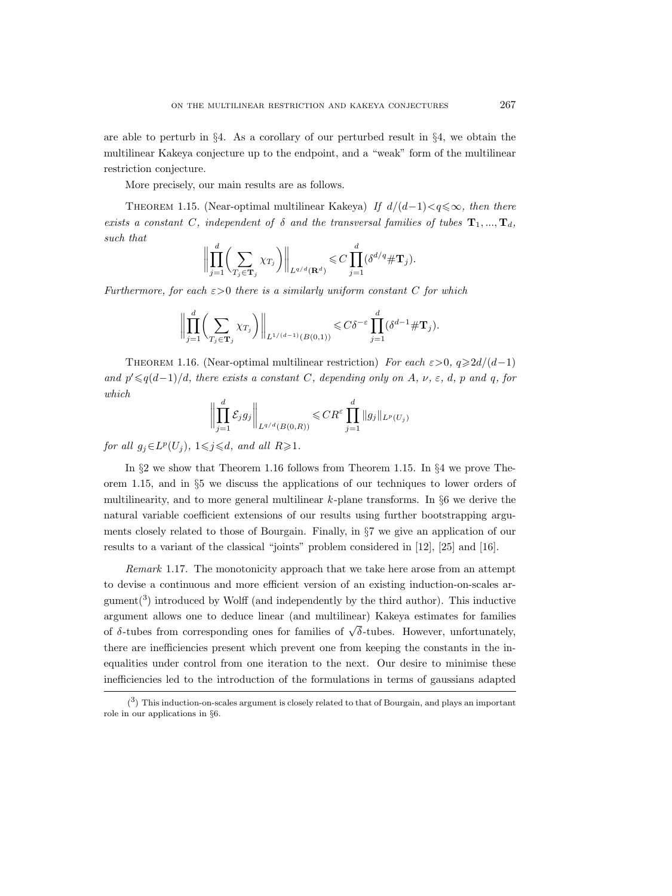are able to perturb in §4. As a corollary of our perturbed result in §4, we obtain the multilinear Kakeya conjecture up to the endpoint, and a "weak" form of the multilinear restriction conjecture.

More precisely, our main results are as follows.

THEOREM 1.15. (Near-optimal multilinear Kakeya) If  $d/(d-1) < q \leq \infty$ , then there exists a constant C, independent of  $\delta$  and the transversal families of tubes  $\mathbf{T}_1, ..., \mathbf{T}_d$ , such that

$$
\bigg\|\prod_{j=1}^d\bigg(\sum_{T_j\in\mathbf{T}_j}\chi_{T_j}\bigg)\bigg\|_{L^{q/d}(\mathbf{R}^d)}\leqslant C\prod_{j=1}^d(\delta^{d/q}\#\mathbf{T}_j).
$$

Furthermore, for each  $\varepsilon > 0$  there is a similarly uniform constant C for which

$$
\left\| \prod_{j=1}^d \left( \sum_{T_j \in \mathbf{T}_j} \chi_{T_j} \right) \right\|_{L^{1/(d-1)}(B(0,1))} \leqslant C \delta^{-\varepsilon} \prod_{j=1}^d \left( \delta^{d-1} \# \mathbf{T}_j \right).
$$

THEOREM 1.16. (Near-optimal multilinear restriction) For each  $\varepsilon > 0$ ,  $q \ge 2d/(d-1)$ and  $p' \leqslant q(d-1)/d$ , there exists a constant C, depending only on A,  $\nu$ ,  $\varepsilon$ , d, p and q, for which

$$
\left\| \prod_{j=1}^d \mathcal{E}_j g_j \right\|_{L^{q/d}(B(0,R))} \leq C R^{\varepsilon} \prod_{j=1}^d \|g_j\|_{L^p(U_j)}
$$

for all  $g_j \in L^p(U_j)$ ,  $1 \leq j \leq d$ , and all  $R \geq 1$ .

In §2 we show that Theorem 1.16 follows from Theorem 1.15. In §4 we prove Theorem 1.15, and in §5 we discuss the applications of our techniques to lower orders of multilinearity, and to more general multilinear  $k$ -plane transforms. In  $\S6$  we derive the natural variable coefficient extensions of our results using further bootstrapping arguments closely related to those of Bourgain. Finally, in §7 we give an application of our results to a variant of the classical "joints" problem considered in [12], [25] and [16].

Remark 1.17. The monotonicity approach that we take here arose from an attempt to devise a continuous and more efficient version of an existing induction-on-scales ar- $\text{gument}({}^3)$  introduced by Wolff (and independently by the third author). This inductive argument allows one to deduce linear (and multilinear) Kakeya estimates for families  $\delta$ -tubes from corresponding ones for families of  $\sqrt{\delta}$ -tubes. However, unfortunately, there are inefficiencies present which prevent one from keeping the constants in the inequalities under control from one iteration to the next. Our desire to minimise these inefficiencies led to the introduction of the formulations in terms of gaussians adapted

 $(3)$  This induction-on-scales argument is closely related to that of Bourgain, and plays an important role in our applications in §6.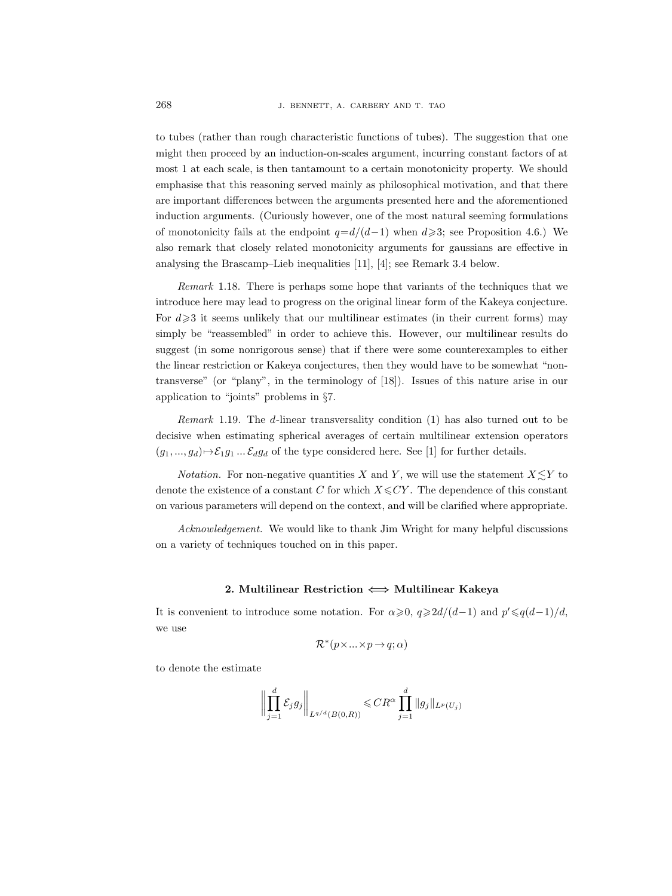to tubes (rather than rough characteristic functions of tubes). The suggestion that one might then proceed by an induction-on-scales argument, incurring constant factors of at most 1 at each scale, is then tantamount to a certain monotonicity property. We should emphasise that this reasoning served mainly as philosophical motivation, and that there are important differences between the arguments presented here and the aforementioned induction arguments. (Curiously however, one of the most natural seeming formulations of monotonicity fails at the endpoint  $q=d/(d-1)$  when  $d\geqslant3$ ; see Proposition 4.6.) We also remark that closely related monotonicity arguments for gaussians are effective in analysing the Brascamp–Lieb inequalities [11], [4]; see Remark 3.4 below.

Remark 1.18. There is perhaps some hope that variants of the techniques that we introduce here may lead to progress on the original linear form of the Kakeya conjecture. For  $d \geq 3$  it seems unlikely that our multilinear estimates (in their current forms) may simply be "reassembled" in order to achieve this. However, our multilinear results do suggest (in some nonrigorous sense) that if there were some counterexamples to either the linear restriction or Kakeya conjectures, then they would have to be somewhat "nontransverse" (or "plany", in the terminology of [18]). Issues of this nature arise in our application to "joints" problems in §7.

Remark 1.19. The d-linear transversality condition (1) has also turned out to be decisive when estimating spherical averages of certain multilinear extension operators  $(g_1, ..., g_d) \rightarrow \mathcal{E}_1 g_1 ... \mathcal{E}_d g_d$  of the type considered here. See [1] for further details.

*Notation.* For non-negative quantities X and Y, we will use the statement  $X \leq Y$  to denote the existence of a constant C for which  $X \leq CY$ . The dependence of this constant on various parameters will depend on the context, and will be clarified where appropriate.

Acknowledgement. We would like to thank Jim Wright for many helpful discussions on a variety of techniques touched on in this paper.

# 2. Multilinear Restriction  $\iff$  Multilinear Kakeya

It is convenient to introduce some notation. For  $\alpha \geq 0$ ,  $q \geq 2d/(d-1)$  and  $p' \leq q(d-1)/d$ , we use

$$
\mathcal{R}^*(p\times\ldots\times p\mathbin{\rightarrow} q; \alpha)
$$

to denote the estimate

$$
\biggl\|\prod_{j=1}^d\mathcal{E}_jg_j\biggr\|_{L^{q/d}(B(0,R))}\leqslant CR^{\alpha}\prod_{j=1}^d\|g_j\|_{L^p(U_j)}
$$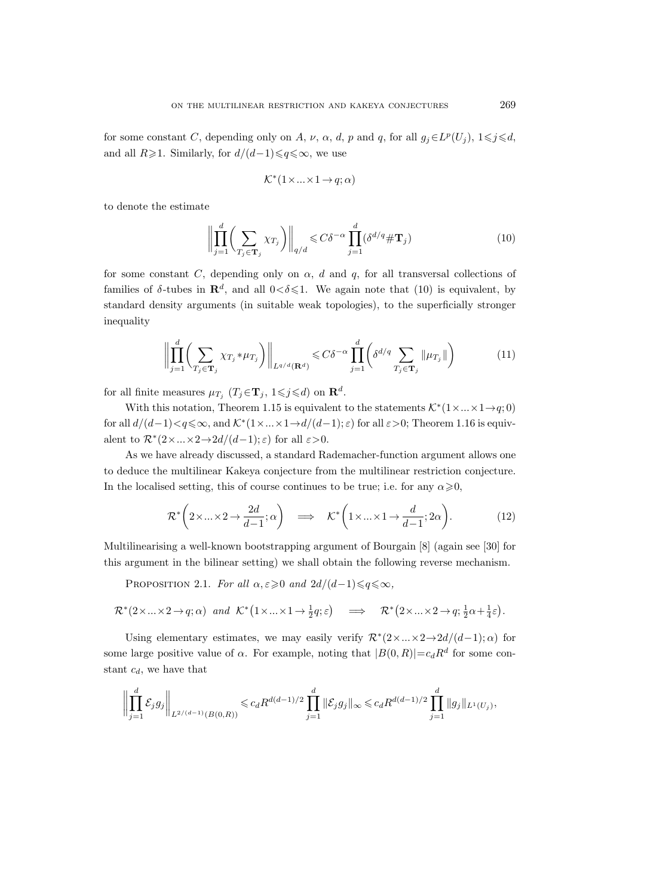for some constant C, depending only on A,  $\nu$ ,  $\alpha$ , d, p and q, for all  $g_j \in L^p(U_j)$ ,  $1 \leq j \leq d$ , and all  $R\geq 1$ . Similarly, for  $d/(d-1)\leq q\leq \infty$ , we use

$$
\mathcal{K}^*(1\times\ldots\times 1\to q;\alpha)
$$

to denote the estimate

$$
\left\| \prod_{j=1}^{d} \left( \sum_{T_j \in \mathbf{T}_j} \chi_{T_j} \right) \right\|_{q/d} \leqslant C \delta^{-\alpha} \prod_{j=1}^{d} (\delta^{d/q} \# \mathbf{T}_j)
$$
(10)

for some constant C, depending only on  $\alpha$ , d and q, for all transversal collections of families of  $\delta$ -tubes in  $\mathbb{R}^d$ , and all  $0 < \delta \leq 1$ . We again note that (10) is equivalent, by standard density arguments (in suitable weak topologies), to the superficially stronger inequality

$$
\left\| \prod_{j=1}^{d} \left( \sum_{T_j \in \mathbf{T}_j} \chi_{T_j} * \mu_{T_j} \right) \right\|_{L^{q/d}(\mathbf{R}^d)} \leqslant C\delta^{-\alpha} \prod_{j=1}^{d} \left( \delta^{d/q} \sum_{T_j \in \mathbf{T}_j} \|\mu_{T_j}\| \right) \tag{11}
$$

for all finite measures  $\mu_{T_j}$   $(T_j \in \mathbf{T}_j, 1 \leqslant j \leqslant d)$  on  $\mathbb{R}^d$ .

With this notation, Theorem 1.15 is equivalent to the statements  $\mathcal{K}^*(1 \times ... \times 1 \rightarrow q; 0)$ for all  $d/(d-1) < q \le \infty$ , and  $\mathcal{K}^*(1 \times ... \times 1 \to d/(d-1); \varepsilon)$  for all  $\varepsilon > 0$ ; Theorem 1.16 is equivalent to  $\mathcal{R}^*(2 \times ... \times 2 \rightarrow 2d/(d-1); \varepsilon)$  for all  $\varepsilon > 0$ .

As we have already discussed, a standard Rademacher-function argument allows one to deduce the multilinear Kakeya conjecture from the multilinear restriction conjecture. In the localised setting, this of course continues to be true; i.e. for any  $\alpha \geqslant 0$ ,

$$
\mathcal{R}^* \left( 2 \times \ldots \times 2 \to \frac{2d}{d-1}; \alpha \right) \quad \Longrightarrow \quad \mathcal{K}^* \left( 1 \times \ldots \times 1 \to \frac{d}{d-1}; 2\alpha \right). \tag{12}
$$

Multilinearising a well-known bootstrapping argument of Bourgain [8] (again see [30] for this argument in the bilinear setting) we shall obtain the following reverse mechanism.

PROPOSITION 2.1. For all  $\alpha, \varepsilon \geq 0$  and  $2d/(d-1) \leqslant q \leqslant \infty$ ,

$$
\mathcal{R}^*(2\times\ldots\times 2\to q;\alpha) \quad and \quad \mathcal{K}^*\left(1\times\ldots\times 1\to \frac{1}{2}q;\varepsilon\right) \quad \Longrightarrow \quad \mathcal{R}^*\left(2\times\ldots\times 2\to q;\frac{1}{2}\alpha+\frac{1}{4}\varepsilon\right).
$$

Using elementary estimates, we may easily verify  $\mathcal{R}^*(2 \times ... \times 2 \rightarrow 2d/(d-1);\alpha)$  for some large positive value of  $\alpha$ . For example, noting that  $|B(0,R)| = c_d R^d$  for some constant  $c_d$ , we have that

$$
\left\| \prod_{j=1}^d \mathcal{E}_j g_j \right\|_{L^{2/(d-1)}(B(0,R))} \leqslant c_d R^{d(d-1)/2} \prod_{j=1}^d \|\mathcal{E}_j g_j\|_{\infty} \leqslant c_d R^{d(d-1)/2} \prod_{j=1}^d \|g_j\|_{L^1(U_j)},
$$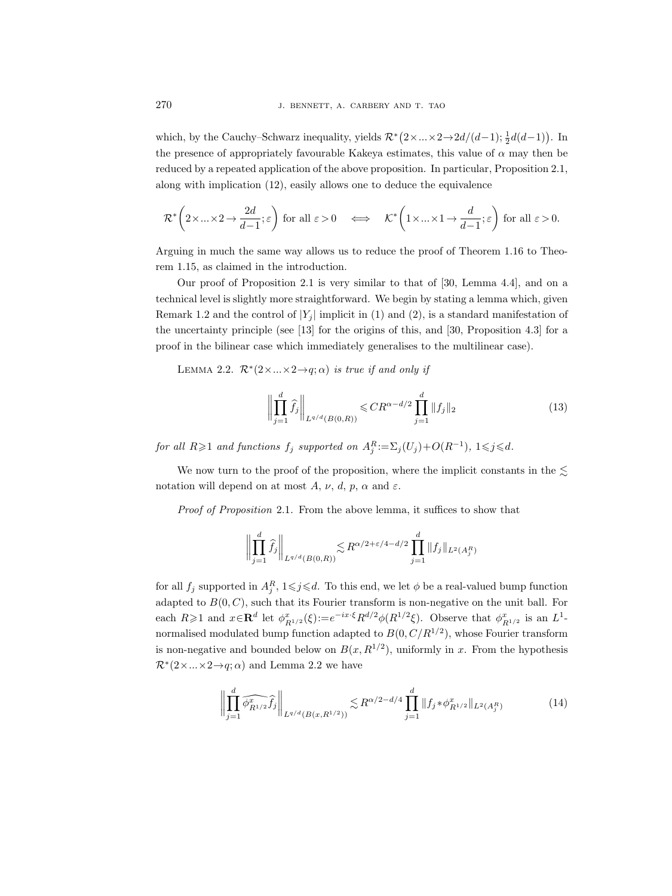which, by the Cauchy–Schwarz inequality, yields  $\mathcal{R}^*(2 \times ... \times 2 \rightarrow 2d/(d-1); \frac{1}{2}d(d-1))$ . In the presence of appropriately favourable Kakeya estimates, this value of  $\alpha$  may then be reduced by a repeated application of the above proposition. In particular, Proposition 2.1, along with implication (12), easily allows one to deduce the equivalence

$$
\mathcal{R}^*\left(2 \times \ldots \times 2 \to \frac{2d}{d-1}; \varepsilon\right) \text{ for all } \varepsilon > 0 \quad \Longleftrightarrow \quad \mathcal{K}^*\left(1 \times \ldots \times 1 \to \frac{d}{d-1}; \varepsilon\right) \text{ for all } \varepsilon > 0.
$$

Arguing in much the same way allows us to reduce the proof of Theorem 1.16 to Theorem 1.15, as claimed in the introduction.

Our proof of Proposition 2.1 is very similar to that of [30, Lemma 4.4], and on a technical level is slightly more straightforward. We begin by stating a lemma which, given Remark 1.2 and the control of  $|Y_i|$  implicit in (1) and (2), is a standard manifestation of the uncertainty principle (see [13] for the origins of this, and [30, Proposition 4.3] for a proof in the bilinear case which immediately generalises to the multilinear case).

LEMMA 2.2.  $\mathcal{R}^*(2 \times ... \times 2 \rightarrow q; \alpha)$  is true if and only if

$$
\left\| \prod_{j=1}^{d} \hat{f}_{j} \right\|_{L^{q/d}(B(0,R))} \leqslant CR^{\alpha - d/2} \prod_{j=1}^{d} \|f_{j}\|_{2}
$$
\n(13)

for all  $R \geqslant 1$  and functions  $f_j$  supported on  $A_j^R := \sum_j (U_j) + O(R^{-1}), 1 \leqslant j \leqslant d$ .

We now turn to the proof of the proposition, where the implicit constants in the  $\lesssim$ notation will depend on at most A,  $\nu$ , d, p,  $\alpha$  and  $\varepsilon$ .

Proof of Proposition 2.1. From the above lemma, it suffices to show that

$$
\left\| \prod_{j=1}^d \widehat{f}_j \right\|_{L^{q/d}(B(0,R))} \lesssim R^{\alpha/2 + \varepsilon/4 - d/2} \prod_{j=1}^d \| f_j \|_{L^2(A_j^R)}
$$

for all  $f_j$  supported in  $A_j^R$ ,  $1 \leq j \leq d$ . To this end, we let  $\phi$  be a real-valued bump function adapted to  $B(0, C)$ , such that its Fourier transform is non-negative on the unit ball. For each  $R \geqslant 1$  and  $x \in \mathbf{R}^d$  let  $\phi_{R^{1/2}}^x(\xi) := e^{-ix \cdot \xi} R^{d/2} \phi(R^{1/2}\xi)$ . Observe that  $\phi_{R^{1/2}}^x$  is an  $L^1$ normalised modulated bump function adapted to  $B(0, C/R^{1/2})$ , whose Fourier transform is non-negative and bounded below on  $B(x, R^{1/2})$ , uniformly in x. From the hypothesis  $\mathcal{R}^*(2 \times \ldots \times 2 \rightarrow q; \alpha)$  and Lemma 2.2 we have

$$
\left\| \prod_{j=1}^{d} \widehat{\phi_{R^{1/2}}^{x} f_j} \right\|_{L^{q/d}(B(x, R^{1/2}))} \lesssim R^{\alpha/2 - d/4} \prod_{j=1}^{d} \| f_j \ast \phi_{R^{1/2}}^{x} \|_{L^{2}(A_j^R)} \tag{14}
$$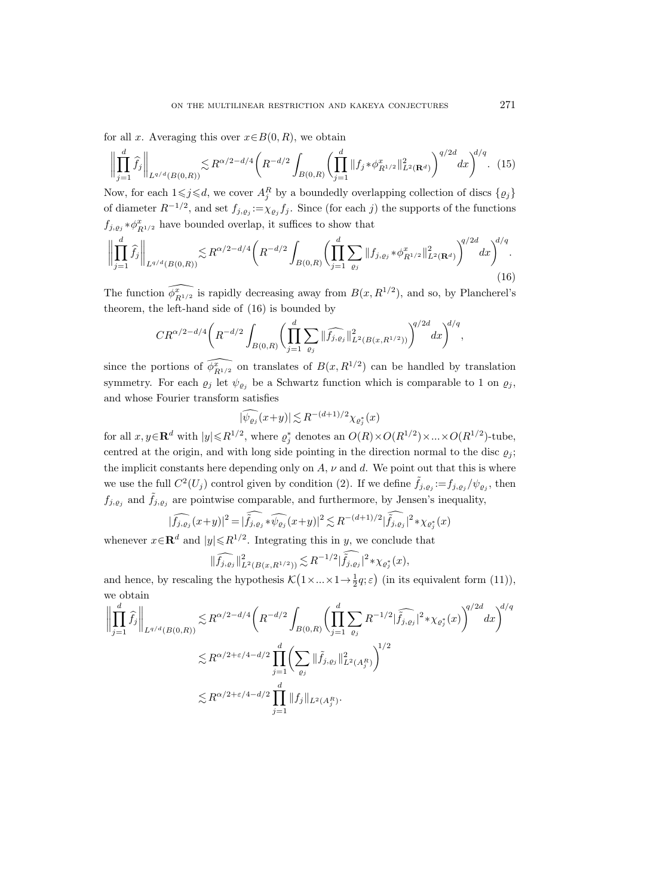for all x. Averaging this over  $x \in B(0, R)$ , we obtain

$$
\left\| \prod_{j=1}^{d} \hat{f}_{j} \right\|_{L^{q/d}(B(0,R))} \lesssim R^{\alpha/2 - d/4} \left( R^{-d/2} \int_{B(0,R)} \left( \prod_{j=1}^{d} \| f_{j} * \phi_{R^{1/2}}^{x} \|_{L^{2}(\mathbf{R}^{d})}^{2} \right)^{q/2d} dx \right)^{d/q} . \tag{15}
$$

Now, for each  $1 \leq j \leq d$ , we cover  $A_j^R$  by a boundedly overlapping collection of discs  $\{ \varrho_j \}$ of diameter  $R^{-1/2}$ , and set  $f_{j, \varrho_j} := \chi_{\varrho_j} f_j$ . Since (for each j) the supports of the functions  $f_{j,\varrho_j} * \phi^x_{R^{1/2}}$  have bounded overlap, it suffices to show that

$$
\left\| \prod_{j=1}^{d} \widehat{f}_{j} \right\|_{L^{q/d}(B(0,R))} \lesssim R^{\alpha/2 - d/4} \left( R^{-d/2} \int_{B(0,R)} \left( \prod_{j=1}^{d} \sum_{\varrho_{j}} \| f_{j,\varrho_{j}} \ast \phi_{R^{1/2}}^{x} \|_{L^{2}(\mathbf{R}^{d})}^{2} \right)^{q/2d} dx \right)^{d/q}.
$$
\n(16)

The function  $\widehat{\phi_{R^{1/2}}^*}$  is rapidly decreasing away from  $B(x, R^{1/2})$ , and so, by Plancherel's theorem, the left-hand side of (16) is bounded by

$$
CR^{\alpha/2-d/4}\bigg(R^{-d/2}\int_{B(0,R)}\bigg(\prod_{j=1}^d\sum_{\varrho_j}\|\widehat{f_{j,\varrho_j}}\|_{L^2(B(x,R^{1/2}))}^2\bigg)^{q/2d}dx\bigg)^{d/q},
$$

since the portions of  $\widehat{\phi_{R^{1/2}}^x}$  on translates of  $B(x, R^{1/2})$  can be handled by translation symmetry. For each  $\varrho_j$  let  $\psi_{\varrho_j}$  be a Schwartz function which is comparable to 1 on  $\varrho_j$ , and whose Fourier transform satisfies

$$
|\widehat{\psi_{\varrho_j}}(x+y)| \lesssim R^{-(d+1)/2} \chi_{\varrho_j^*}(x)
$$

for all  $x, y \in \mathbf{R}^d$  with  $|y| \le R^{1/2}$ , where  $\rho_j^*$  denotes an  $O(R) \times O(R^{1/2}) \times ... \times O(R^{1/2})$ -tube, centred at the origin, and with long side pointing in the direction normal to the disc  $\rho_i$ ; the implicit constants here depending only on  $A$ ,  $\nu$  and  $d$ . We point out that this is where we use the full  $C^2(U_j)$  control given by condition (2). If we define  $\tilde{f}_{j,\varrho_j} := f_{j,\varrho_j}/\psi_{\varrho_j}$ , then  $f_{j, \varrho_j}$  and  $\hat{f}_{j, \varrho_j}$  are pointwise comparable, and furthermore, by Jensen's inequality,

$$
|\widehat{f_{j,\varrho_{j}}}(x+y)|^{2} = |\widehat{\widetilde{f_{j,\varrho_{j}}}}*\widehat{\psi_{\varrho_{j}}}(x+y)|^{2} \lesssim R^{-(d+1)/2}|\widehat{\widetilde{f_{j,\varrho_{j}}}}|^{2}*\chi_{\varrho_{j}^{*}}(x)|
$$

whenever  $x \in \mathbb{R}^d$  and  $|y| \le R^{1/2}$ . Integrating this in y, we conclude that

$$
\|\widehat{f_{j,\varrho_{j}}}\|_{L^{2}(B(x,R^{1/2}))}^{2} \lesssim R^{-1/2}|\tilde{\tilde{f}}_{j,\varrho_{j}}|^{2} \ast \chi_{\varrho_{j}^{*}}(x),
$$

and hence, by rescaling the hypothesis  $\mathcal{K}(1 \times ... \times 1 \rightarrow \frac{1}{2}q; \varepsilon)$  (in its equivalent form (11)), we obtain

$$
\left\| \prod_{j=1}^{d} \hat{f}_{j} \right\|_{L^{q/d}(B(0,R))} \lesssim R^{\alpha/2 - d/4} \left( R^{-d/2} \int_{B(0,R)} \left( \prod_{j=1}^{d} \sum_{\varrho_{j}} R^{-1/2} |\widehat{f}_{j,\varrho_{j}}|^{2} * \chi_{\varrho_{j}^{*}}(x) \right)^{q/2d} dx \right)^{d/q}
$$
  

$$
\lesssim R^{\alpha/2 + \varepsilon/4 - d/2} \prod_{j=1}^{d} \left( \sum_{\varrho_{j}} ||\widetilde{f}_{j,\varrho_{j}}||_{L^{2}(A_{j}^{R})}^{2} \right)^{1/2}
$$
  

$$
\lesssim R^{\alpha/2 + \varepsilon/4 - d/2} \prod_{j=1}^{d} ||f_{j}||_{L^{2}(A_{j}^{R})}.
$$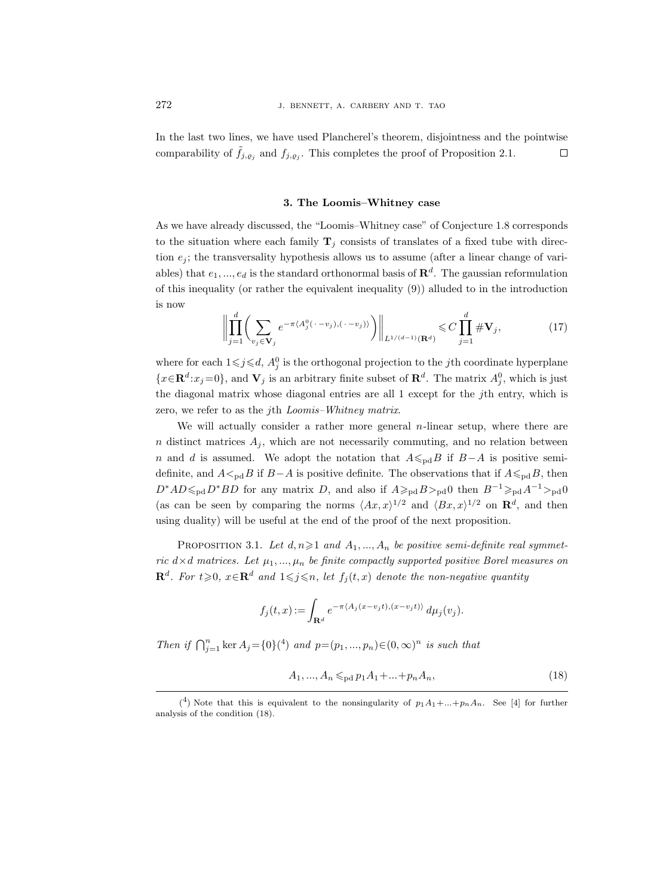In the last two lines, we have used Plancherel's theorem, disjointness and the pointwise comparability of  $\tilde{f}_{j,e_j}$  and  $f_{j,e_j}$ . This completes the proof of Proposition 2.1.  $\Box$ 

# 3. The Loomis–Whitney case

As we have already discussed, the "Loomis–Whitney case" of Conjecture 1.8 corresponds to the situation where each family  $T_j$  consists of translates of a fixed tube with direction  $e_i$ ; the transversality hypothesis allows us to assume (after a linear change of variables) that  $e_1, ..., e_d$  is the standard orthonormal basis of  $\mathbf{R}^d$ . The gaussian reformulation of this inequality (or rather the equivalent inequality (9)) alluded to in the introduction is now

$$
\left\| \prod_{j=1}^{d} \left( \sum_{v_j \in \mathbf{V}_j} e^{-\pi \langle A_j^0(\cdot - v_j), (\cdot - v_j) \rangle} \right) \right\|_{L^{1/(d-1)}(\mathbf{R}^d)} \leq C \prod_{j=1}^{d} \# \mathbf{V}_j,
$$
(17)

where for each  $1 \leq j \leq d$ ,  $A_j^0$  is the orthogonal projection to the *j*th coordinate hyperplane  $\{x \in \mathbf{R}^d : x_j = 0\}$ , and  $\mathbf{V}_j$  is an arbitrary finite subset of  $\mathbf{R}^d$ . The matrix  $A_j^0$ , which is just the diagonal matrix whose diagonal entries are all 1 except for the jth entry, which is zero, we refer to as the jth Loomis–Whitney matrix.

We will actually consider a rather more general *n*-linear setup, where there are  $n$  distinct matrices  $A_j$ , which are not necessarily commuting, and no relation between n and d is assumed. We adopt the notation that  $A \leq_{\text{pd}} B$  if  $B-A$  is positive semidefinite, and  $A \leq_{\text{pd}} B$  if  $B-A$  is positive definite. The observations that if  $A \leq_{\text{pd}} B$ , then  $D^*AD \leq_{\text{pd}} D^*BD$  for any matrix D, and also if  $A \geq_{\text{pd}} B >_{\text{pd}} 0$  then  $B^{-1} \geq_{\text{pd}} A^{-1} >_{\text{pd}} 0$ (as can be seen by comparing the norms  $\langle Ax, x \rangle^{1/2}$  and  $\langle Bx, x \rangle^{1/2}$  on  $\mathbb{R}^d$ , and then using duality) will be useful at the end of the proof of the next proposition.

PROPOSITION 3.1. Let  $d, n \geq 1$  and  $A_1, ..., A_n$  be positive semi-definite real symmetric  $d \times d$  matrices. Let  $\mu_1, ..., \mu_n$  be finite compactly supported positive Borel measures on  $\mathbf{R}^d$ . For  $t \geqslant 0$ ,  $x \in \mathbf{R}^d$  and  $1 \leqslant j \leqslant n$ , let  $f_j(t,x)$  denote the non-negative quantity

$$
f_j(t,x) := \int_{\mathbf{R}^d} e^{-\pi \langle A_j(x-v_jt), (x-v_jt) \rangle} d\mu_j(v_j).
$$

Then if  $\bigcap_{j=1}^n \ker A_j = \{0\}^4$  and  $p=(p_1,...,p_n) \in (0,\infty)^n$  is such that

$$
A_1, ..., A_n \leq_{\text{pd}} p_1 A_1 + ... + p_n A_n,\tag{18}
$$

<sup>&</sup>lt;sup>(4</sup>) Note that this is equivalent to the nonsingularity of  $p_1A_1+...+p_nA_n$ . See [4] for further analysis of the condition (18).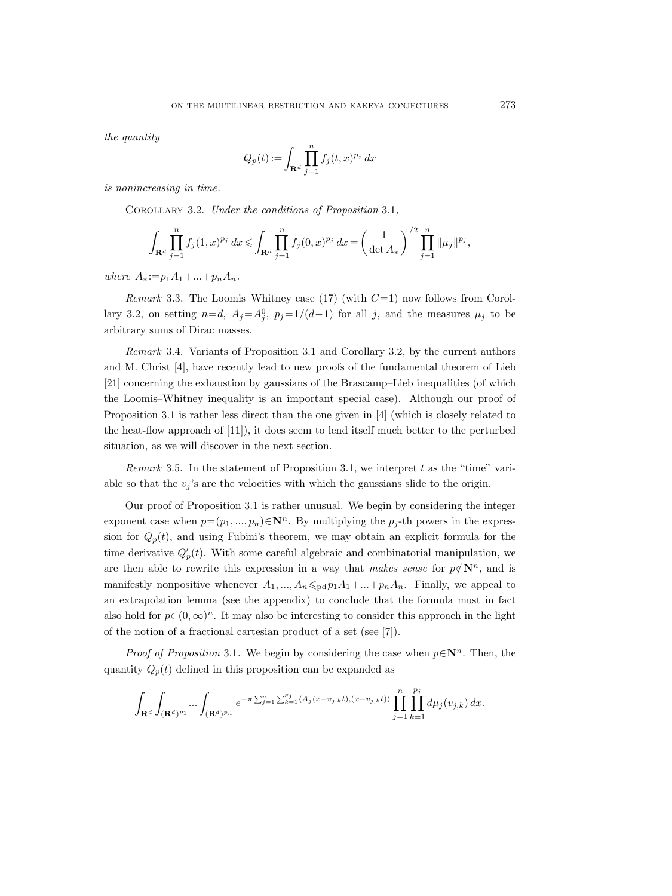the *quantitu* 

$$
Q_p(t) := \int_{\mathbf{R}^d} \prod_{j=1}^n f_j(t, x)^{p_j} dx
$$

is nonincreasing in time.

COROLLARY 3.2. Under the conditions of Proposition 3.1,

$$
\int_{\mathbf{R}^d} \prod_{j=1}^n f_j(1,x)^{p_j} dx \leq \int_{\mathbf{R}^d} \prod_{j=1}^n f_j(0,x)^{p_j} dx = \left(\frac{1}{\det A_*}\right)^{1/2} \prod_{j=1}^n \|\mu_j\|^{p_j},
$$

where  $A_* := p_1 A_1 + ... + p_n A_n$ .

*Remark* 3.3. The Loomis–Whitney case (17) (with  $C=1$ ) now follows from Corollary 3.2, on setting  $n=d$ ,  $A_j = A_j^0$ ,  $p_j = 1/(d-1)$  for all j, and the measures  $\mu_j$  to be arbitrary sums of Dirac masses.

Remark 3.4. Variants of Proposition 3.1 and Corollary 3.2, by the current authors and M. Christ [4], have recently lead to new proofs of the fundamental theorem of Lieb [21] concerning the exhaustion by gaussians of the Brascamp–Lieb inequalities (of which the Loomis–Whitney inequality is an important special case). Although our proof of Proposition 3.1 is rather less direct than the one given in [4] (which is closely related to the heat-flow approach of [11]), it does seem to lend itself much better to the perturbed situation, as we will discover in the next section.

*Remark* 3.5. In the statement of Proposition 3.1, we interpret t as the "time" variable so that the  $v_j$ 's are the velocities with which the gaussians slide to the origin.

Our proof of Proposition 3.1 is rather unusual. We begin by considering the integer exponent case when  $p=(p_1, ..., p_n) \in \mathbb{N}^n$ . By multiplying the  $p_i$ -th powers in the expression for  $Q_p(t)$ , and using Fubini's theorem, we may obtain an explicit formula for the time derivative  $Q'_p(t)$ . With some careful algebraic and combinatorial manipulation, we are then able to rewrite this expression in a way that makes sense for  $p \notin \mathbb{N}^n$ , and is manifestly nonpositive whenever  $A_1, ..., A_n \leq_{\text{pd}} p_1 A_1 + ... + p_n A_n$ . Finally, we appeal to an extrapolation lemma (see the appendix) to conclude that the formula must in fact also hold for  $p \in (0, \infty)^n$ . It may also be interesting to consider this approach in the light of the notion of a fractional cartesian product of a set (see [7]).

*Proof of Proposition* 3.1. We begin by considering the case when  $p \in \mathbb{N}^n$ . Then, the quantity  $Q_p(t)$  defined in this proposition can be expanded as

$$
\int_{\mathbf{R}^d}\int_{(\mathbf{R}^d)^{p_1}}\dots\int_{(\mathbf{R}^d)^{p_n}}e^{-\pi\sum_{j=1}^n\sum_{k=1}^{p_j}\langle A_j(x-v_{j,k}t),(x-v_{j,k}t)\rangle}\prod_{j=1}^n\prod_{k=1}^{p_j}d\mu_j(v_{j,k})\,dx.
$$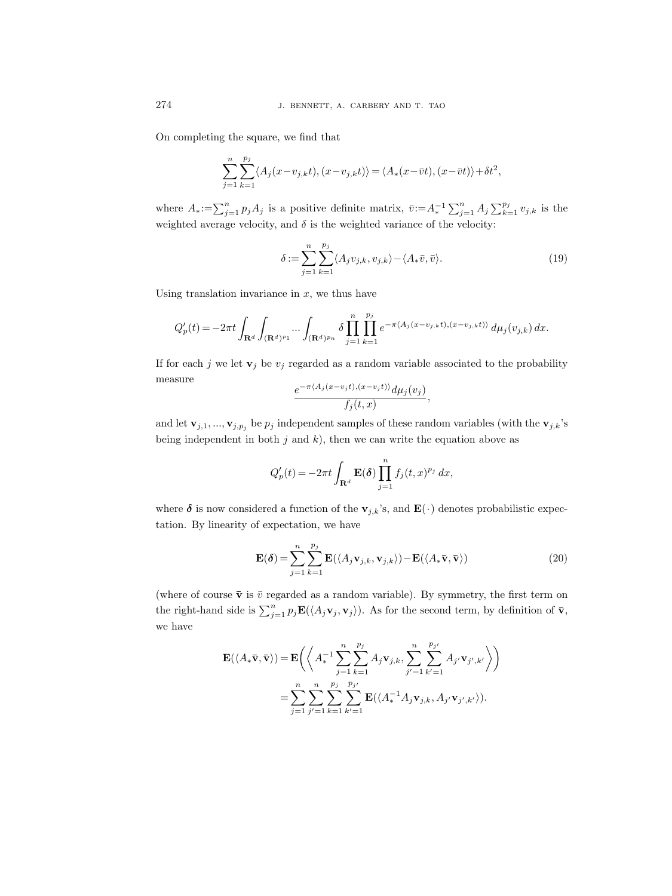On completing the square, we find that

$$
\sum_{j=1}^{n} \sum_{k=1}^{p_j} \langle A_j(x - v_{j,k}t), (x - v_{j,k}t) \rangle = \langle A_*(x - \overline{v}t), (x - \overline{v}t) \rangle + \delta t^2,
$$

where  $A_*:=\sum_{j=1}^n p_j A_j$  is a positive definite matrix,  $\bar{v}:=A_*^{-1}\sum_{j=1}^n A_j \sum_{k=1}^{p_j} v_{j,k}$  is the weighted average velocity, and  $\delta$  is the weighted variance of the velocity:

$$
\delta := \sum_{j=1}^{n} \sum_{k=1}^{p_j} \langle A_j v_{j,k}, v_{j,k} \rangle - \langle A_* \bar{v}, \bar{v} \rangle.
$$
 (19)

Using translation invariance in  $x$ , we thus have

$$
Q_p'(t) = - 2 \pi t \int_{\mathbf{R}^d} \int_{(\mathbf{R}^d)^{p_1}} \dots \int_{(\mathbf{R}^d)^{p_n}} \delta \prod_{j=1}^n \prod_{k=1}^{p_j} e^{- \pi \langle A_j(x - v_{j,k}t), (x - v_{j,k}t) \rangle} \, d\mu_j(v_{j,k}) \, dx.
$$

If for each j we let  $\mathbf{v}_i$  be  $v_i$  regarded as a random variable associated to the probability measure

$$
\frac{e^{-\pi \langle A_j(x-v_jt),(x-v_jt)\rangle}d\mu_j(v_j)}{f_j(t,x)},
$$

and let  $\mathbf{v}_{j,1},...,\mathbf{v}_{j,p_j}$  be  $p_j$  independent samples of these random variables (with the  $\mathbf{v}_{j,k}$ 's being independent in both  $j$  and  $k$ ), then we can write the equation above as

$$
Q'_p(t) = -2\pi t \int_{\mathbf{R}^d} \mathbf{E}(\boldsymbol{\delta}) \prod_{j=1}^n f_j(t,x)^{p_j} dx,
$$

where  $\delta$  is now considered a function of the  $\mathbf{v}_{j,k}$ 's, and  $\mathbf{E}(\cdot)$  denotes probabilistic expectation. By linearity of expectation, we have

$$
\mathbf{E}(\boldsymbol{\delta}) = \sum_{j=1}^{n} \sum_{k=1}^{p_j} \mathbf{E}(\langle A_j \mathbf{v}_{j,k}, \mathbf{v}_{j,k} \rangle) - \mathbf{E}(\langle A_* \bar{\mathbf{v}}, \bar{\mathbf{v}} \rangle)
$$
(20)

(where of course  $\bar{\mathbf{v}}$  is  $\bar{v}$  regarded as a random variable). By symmetry, the first term on the right-hand side is  $\sum_{j=1}^n p_j \mathbf{E}(\langle A_j \mathbf{v}_j, \mathbf{v}_j \rangle)$ . As for the second term, by definition of  $\bar{\mathbf{v}}$ , we have

$$
\mathbf{E}(\langle A_*\bar{\mathbf{v}}, \bar{\mathbf{v}} \rangle) = \mathbf{E} \bigg( \bigg\langle A_*^{-1} \sum_{j=1}^n \sum_{k=1}^{p_j} A_j \mathbf{v}_{j,k}, \sum_{j'=1}^n \sum_{k'=1}^{p_{j'}} A_{j'} \mathbf{v}_{j',k'} \bigg\rangle \bigg)
$$
  
= 
$$
\sum_{j=1}^n \sum_{j'=1}^n \sum_{k=1}^{p_j} \sum_{k'=1}^{p_{j'}} \mathbf{E}(\langle A_*^{-1} A_j \mathbf{v}_{j,k}, A_{j'} \mathbf{v}_{j',k'} \rangle).
$$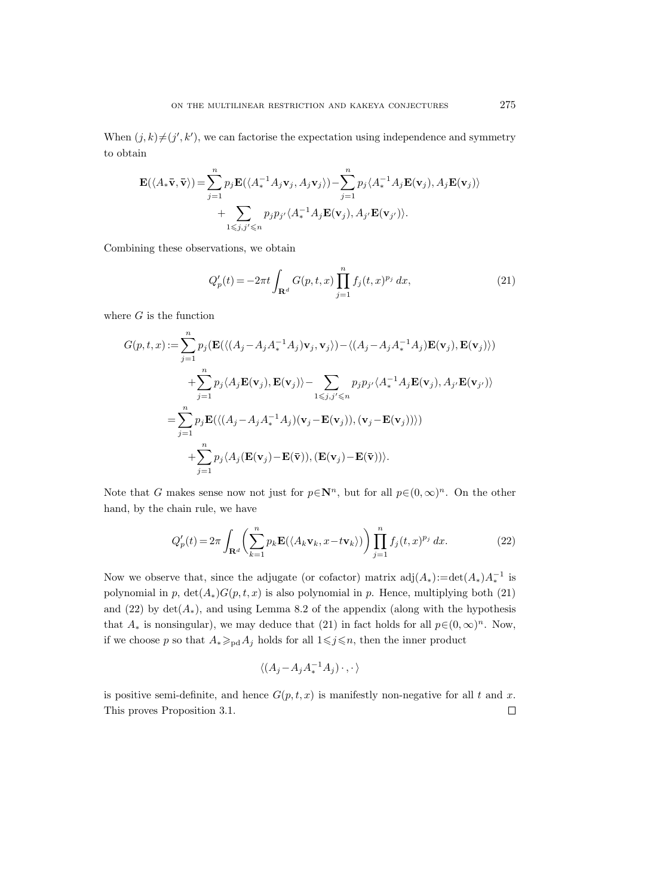When  $(j, k) \neq (j', k')$ , we can factorise the expectation using independence and symmetry to obtain

$$
\mathbf{E}(\langle A_*\bar{\mathbf{v}}, \bar{\mathbf{v}} \rangle) = \sum_{j=1}^n p_j \mathbf{E}(\langle A_*^{-1} A_j \mathbf{v}_j, A_j \mathbf{v}_j \rangle) - \sum_{j=1}^n p_j \langle A_*^{-1} A_j \mathbf{E}(\mathbf{v}_j), A_j \mathbf{E}(\mathbf{v}_j) \rangle + \sum_{1 \leq j, j' \leq n} p_j p_{j'} \langle A_*^{-1} A_j \mathbf{E}(\mathbf{v}_j), A_{j'} \mathbf{E}(\mathbf{v}_{j'}) \rangle.
$$

Combining these observations, we obtain

$$
Q_p'(t) = -2\pi t \int_{\mathbf{R}^d} G(p, t, x) \prod_{j=1}^n f_j(t, x)^{p_j} dx,
$$
\n(21)

where  $G$  is the function

$$
G(p,t,x) := \sum_{j=1}^{n} p_j(\mathbf{E}(\langle (A_j - A_j A_*^{-1} A_j) \mathbf{v}_j, \mathbf{v}_j \rangle) - \langle (A_j - A_j A_*^{-1} A_j) \mathbf{E}(\mathbf{v}_j), \mathbf{E}(\mathbf{v}_j) \rangle)
$$
  
+ 
$$
\sum_{j=1}^{n} p_j \langle A_j \mathbf{E}(\mathbf{v}_j), \mathbf{E}(\mathbf{v}_j) \rangle - \sum_{1 \le j, j' \le n} p_j p_{j'} \langle A_*^{-1} A_j \mathbf{E}(\mathbf{v}_j), A_{j'} \mathbf{E}(\mathbf{v}_{j'}) \rangle
$$
  
= 
$$
\sum_{j=1}^{n} p_j \mathbf{E}(\langle (A_j - A_j A_*^{-1} A_j) (\mathbf{v}_j - \mathbf{E}(\mathbf{v}_j)), (\mathbf{v}_j - \mathbf{E}(\mathbf{v}_j)) \rangle)
$$
  
+ 
$$
\sum_{j=1}^{n} p_j \langle A_j (\mathbf{E}(\mathbf{v}_j) - \mathbf{E}(\bar{\mathbf{v}})), (\mathbf{E}(\mathbf{v}_j) - \mathbf{E}(\bar{\mathbf{v}})) \rangle.
$$

Note that G makes sense now not just for  $p \in \mathbb{N}^n$ , but for all  $p \in (0,\infty)^n$ . On the other hand, by the chain rule, we have

$$
Q_p'(t) = 2\pi \int_{\mathbf{R}^d} \left( \sum_{k=1}^n p_k \mathbf{E}(\langle A_k \mathbf{v}_k, x - t \mathbf{v}_k \rangle) \right) \prod_{j=1}^n f_j(t, x)^{p_j} dx.
$$
 (22)

Now we observe that, since the adjugate (or cofactor) matrix  $adj(A_*)$ :=det $(A_*)A_*^{-1}$  is polynomial in p,  $\det(A_*)G(p,t,x)$  is also polynomial in p. Hence, multiplying both (21) and (22) by  $\det(A_*)$ , and using Lemma 8.2 of the appendix (along with the hypothesis that  $A_*$  is nonsingular), we may deduce that (21) in fact holds for all  $p \in (0, \infty)^n$ . Now, if we choose p so that  $A_* \geq_{\text{pd}} A_j$  holds for all  $1 \leq j \leq n$ , then the inner product

$$
\langle (A_j - A_j A_*^{-1} A_j) \cdot , \cdot \rangle
$$

is positive semi-definite, and hence  $G(p, t, x)$  is manifestly non-negative for all t and x. This proves Proposition 3.1. $\Box$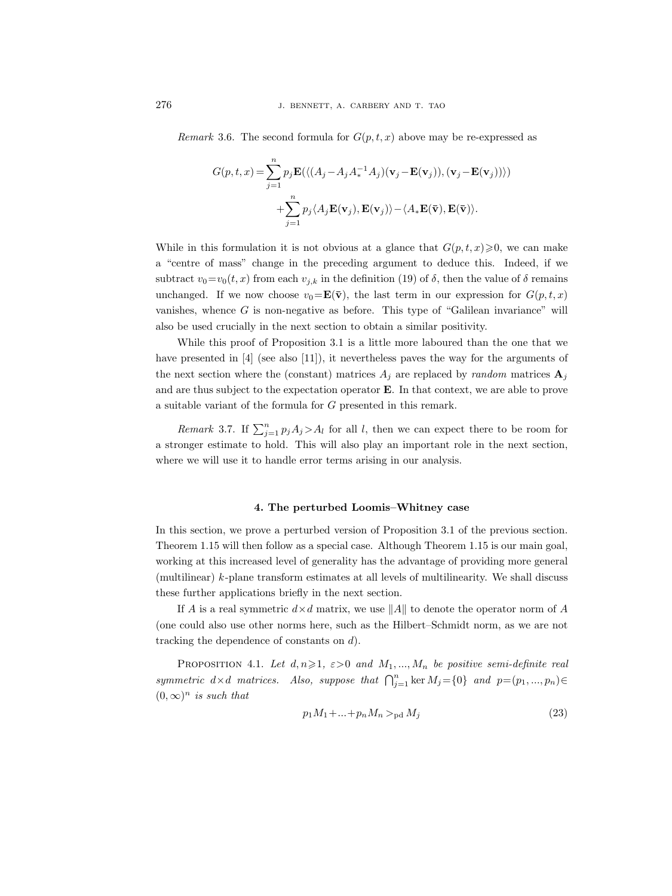Remark 3.6. The second formula for  $G(p, t, x)$  above may be re-expressed as

$$
G(p, t, x) = \sum_{j=1}^{n} p_j \mathbf{E}(\langle (A_j - A_j A_*^{-1} A_j) (\mathbf{v}_j - \mathbf{E}(\mathbf{v}_j)), (\mathbf{v}_j - \mathbf{E}(\mathbf{v}_j)) \rangle)
$$
  
+ 
$$
\sum_{j=1}^{n} p_j \langle A_j \mathbf{E}(\mathbf{v}_j), \mathbf{E}(\mathbf{v}_j) \rangle - \langle A_* \mathbf{E}(\bar{\mathbf{v}}), \mathbf{E}(\bar{\mathbf{v}}) \rangle.
$$

While in this formulation it is not obvious at a glance that  $G(p, t, x) \geq 0$ , we can make a "centre of mass" change in the preceding argument to deduce this. Indeed, if we subtract  $v_0 = v_0(t, x)$  from each  $v_{j,k}$  in the definition (19) of  $\delta$ , then the value of  $\delta$  remains unchanged. If we now choose  $v_0 = \mathbf{E}(\bar{\mathbf{v}})$ , the last term in our expression for  $G(p, t, x)$ vanishes, whence  $G$  is non-negative as before. This type of "Galilean invariance" will also be used crucially in the next section to obtain a similar positivity.

While this proof of Proposition 3.1 is a little more laboured than the one that we have presented in [4] (see also [11]), it nevertheless paves the way for the arguments of the next section where the (constant) matrices  $A_i$  are replaced by *random* matrices  $A_i$ and are thus subject to the expectation operator E. In that context, we are able to prove a suitable variant of the formula for G presented in this remark.

Remark 3.7. If  $\sum_{j=1}^{n} p_j A_j > A_l$  for all l, then we can expect there to be room for a stronger estimate to hold. This will also play an important role in the next section, where we will use it to handle error terms arising in our analysis.

# 4. The perturbed Loomis–Whitney case

In this section, we prove a perturbed version of Proposition 3.1 of the previous section. Theorem 1.15 will then follow as a special case. Although Theorem 1.15 is our main goal, working at this increased level of generality has the advantage of providing more general (multilinear) k-plane transform estimates at all levels of multilinearity. We shall discuss these further applications briefly in the next section.

If A is a real symmetric  $d \times d$  matrix, we use  $||A||$  to denote the operator norm of A (one could also use other norms here, such as the Hilbert–Schmidt norm, as we are not tracking the dependence of constants on d).

PROPOSITION 4.1. Let  $d, n \geq 1$ ,  $\varepsilon > 0$  and  $M_1, ..., M_n$  be positive semi-definite real symmetric  $d \times d$  matrices. Also, suppose that  $\bigcap_{j=1}^{n} \ker M_j = \{0\}$  and  $p=(p_1, ..., p_n) \in$  $(0,\infty)^n$  is such that

$$
p_1 M_1 + \dots + p_n M_n >_{\text{pd}} M_j \tag{23}
$$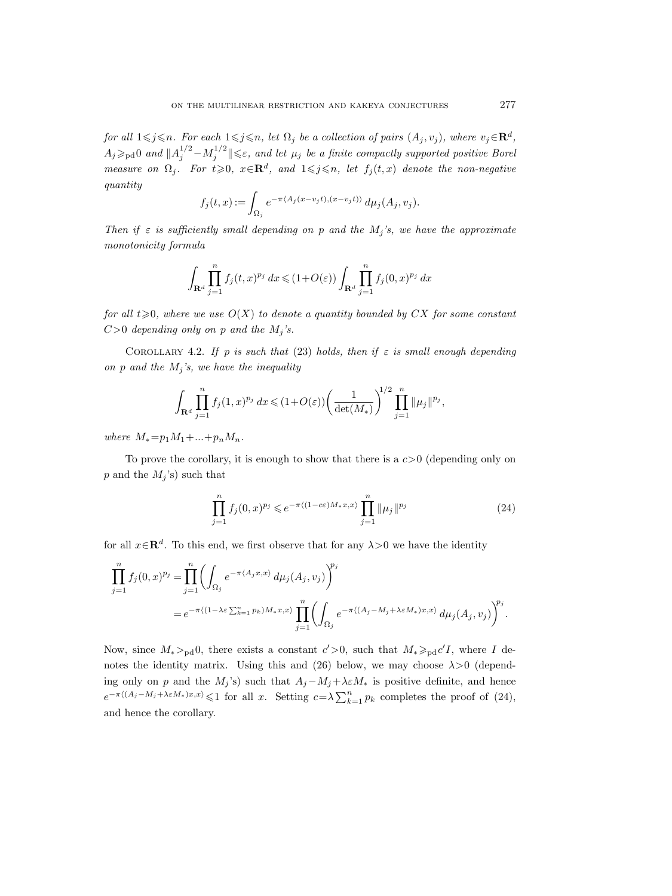for all  $1\leqslant j\leqslant n$ . For each  $1\leqslant j\leqslant n$ , let  $\Omega_j$  be a collection of pairs  $(A_j, v_j)$ , where  $v_j\in \mathbf{R}^d$ ,  $A_j \geqslant_{\rm pd} 0$  and  $||A_j^{1/2} - M_j^{1/2}|| \leqslant \varepsilon$ , and let  $\mu_j$  be a finite compactly supported positive Borel measure on  $\Omega_j$ . For  $t \geqslant 0$ ,  $x \in \mathbb{R}^d$ , and  $1 \leqslant j \leqslant n$ , let  $f_j(t,x)$  denote the non-negative quantity

$$
f_j(t,x) := \int_{\Omega_j} e^{-\pi \langle A_j(x-v_jt), (x-v_jt) \rangle} d\mu_j(A_j, v_j).
$$

Then if  $\varepsilon$  is sufficiently small depending on p and the  $M_j$ 's, we have the approximate monotonicity formula

$$
\int_{\mathbf{R}^d} \prod_{j=1}^n f_j(t,x)^{p_j} dx \leq (1+O(\varepsilon)) \int_{\mathbf{R}^d} \prod_{j=1}^n f_j(0,x)^{p_j} dx
$$

for all  $t\geqslant0$ , where we use  $O(X)$  to denote a quantity bounded by CX for some constant  $C>0$  depending only on p and the  $M_j$ 's.

COROLLARY 4.2. If p is such that (23) holds, then if  $\varepsilon$  is small enough depending on p and the  $M_i$ 's, we have the inequality

$$
\int_{\mathbf{R}^d} \prod_{j=1}^n f_j(1,x)^{p_j} dx \leq (1+O(\varepsilon)) \left( \frac{1}{\det(M_*)} \right)^{1/2} \prod_{j=1}^n \|\mu_j\|^{p_j},
$$

where  $M_* = p_1 M_1 + ... + p_n M_n$ .

To prove the corollary, it is enough to show that there is a  $c>0$  (depending only on p and the  $M_i$ 's) such that

$$
\prod_{j=1}^{n} f_j(0, x)^{p_j} \leqslant e^{-\pi \langle (1 - c\varepsilon)M_* x, x \rangle} \prod_{j=1}^{n} \|\mu_j\|^{p_j}
$$
\n(24)

for all  $x \in \mathbb{R}^d$ . To this end, we first observe that for any  $\lambda > 0$  we have the identity

$$
\prod_{j=1}^{n} f_j(0,x)^{p_j} = \prod_{j=1}^{n} \left( \int_{\Omega_j} e^{-\pi \langle A_j x, x \rangle} d\mu_j(A_j, v_j) \right)^{p_j}
$$
\n
$$
= e^{-\pi \langle (1 - \lambda \varepsilon \sum_{k=1}^{n} p_k) M_* x, x \rangle} \prod_{j=1}^{n} \left( \int_{\Omega_j} e^{-\pi \langle (A_j - M_j + \lambda \varepsilon M_*) x, x \rangle} d\mu_j(A_j, v_j) \right)^{p_j}.
$$

Now, since  $M_* >_{\text{pd}} 0$ , there exists a constant  $c' > 0$ , such that  $M_* \geq_{\text{pd}} c' I$ , where I denotes the identity matrix. Using this and (26) below, we may choose  $\lambda > 0$  (depending only on p and the  $M_i$ 's) such that  $A_i - M_i + \lambda \varepsilon M_*$  is positive definite, and hence  $e^{-\pi\langle (A_j-M_j+\lambda\varepsilon M_*)x,x\rangle}\leqslant 1$  for all x. Setting  $c=\lambda\sum_{k=1}^n p_k$  completes the proof of (24), and hence the corollary.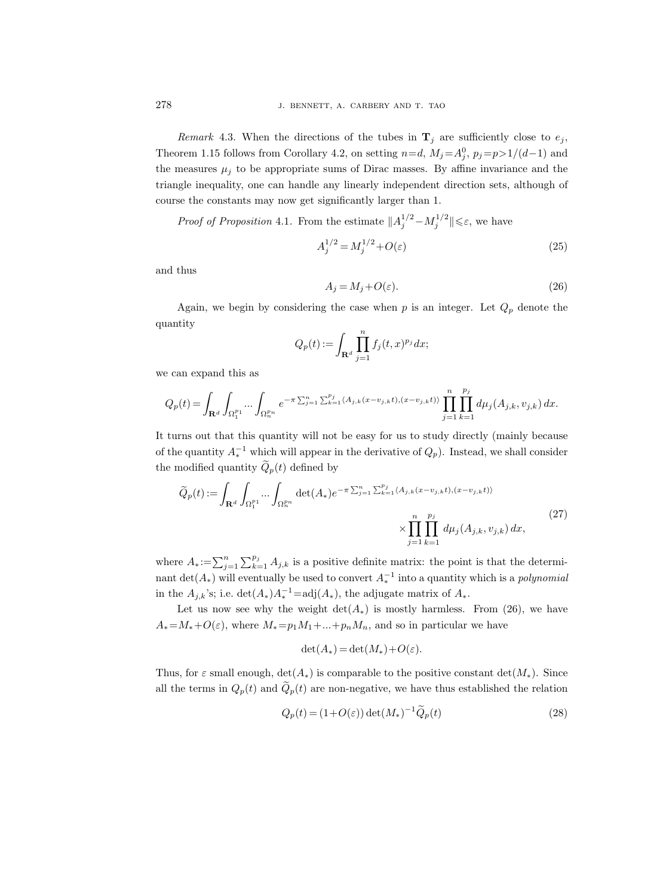Remark 4.3. When the directions of the tubes in  $\mathbf{T}_j$  are sufficiently close to  $e_j$ , Theorem 1.15 follows from Corollary 4.2, on setting  $n=d$ ,  $M_j = A_j^0$ ,  $p_j = p > 1/(d-1)$  and the measures  $\mu_i$  to be appropriate sums of Dirac masses. By affine invariance and the triangle inequality, one can handle any linearly independent direction sets, although of course the constants may now get significantly larger than 1.

*Proof of Proposition* 4.1. From the estimate  $||A_j^{1/2} - M_j^{1/2}|| \leq \varepsilon$ , we have

$$
A_j^{1/2} = M_j^{1/2} + O(\varepsilon)
$$
 (25)

and thus

$$
A_j = M_j + O(\varepsilon). \tag{26}
$$

Again, we begin by considering the case when p is an integer. Let  $Q_p$  denote the quantity

$$
Q_p(t) := \int_{\mathbf{R}^d} \prod_{j=1}^n f_j(t,x)^{p_j} dx;
$$

we can expand this as

$$
Q_p(t)=\int_{\mathbf{R}^d}\int_{\Omega_1^{p_1}}\dots\int_{\Omega_n^{p_n}}e^{-\pi\sum_{j=1}^n\sum_{k=1}^{p_j}\langle A_{j,k}(x-v_{j,k}t),(x-v_{j,k}t)\rangle}\prod_{j=1}^n\prod_{k=1}^{p_j}d\mu_j(A_{j,k},v_{j,k})\,dx.
$$

It turns out that this quantity will not be easy for us to study directly (mainly because of the quantity  $A_*^{-1}$  which will appear in the derivative of  $Q_p$ ). Instead, we shall consider the modified quantity  $\widetilde{Q}_p(t)$  defined by

$$
\widetilde{Q}_p(t) := \int_{\mathbf{R}^d} \int_{\Omega_1^{p_1}} \cdots \int_{\Omega_n^{p_n}} \det(A_*) e^{-\pi \sum_{j=1}^n \sum_{k=1}^{p_j} \langle A_{j,k}(x - v_{j,k}t), (x - v_{j,k}t) \rangle} \times \prod_{j=1}^n \prod_{k=1}^{p_j} d\mu_j(A_{j,k}, v_{j,k}) dx,
$$
\n(27)

where  $A_* := \sum_{j=1}^n \sum_{k=1}^{p_j} A_{j,k}$  is a positive definite matrix: the point is that the determinant  $\det(A_*)$  will eventually be used to convert  $A_*^{-1}$  into a quantity which is a *polynomial* in the  $A_{j,k}$ 's; i.e.  $\det(A_*)A_*^{-1} = \text{adj}(A_*)$ , the adjugate matrix of  $A_*$ .

Let us now see why the weight  $\det(A_*)$  is mostly harmless. From (26), we have  $A_* = M_* + O(\varepsilon)$ , where  $M_* = p_1 M_1 + ... + p_n M_n$ , and so in particular we have

$$
\det(A_*) = \det(M_*) + O(\varepsilon).
$$

Thus, for  $\varepsilon$  small enough,  $\det(A_*)$  is comparable to the positive constant  $\det(M_*)$ . Since all the terms in  $Q_p(t)$  and  $\tilde{Q}_p(t)$  are non-negative, we have thus established the relation

$$
Q_p(t) = (1 + O(\varepsilon)) \det(M_*)^{-1} \widetilde{Q}_p(t)
$$
\n(28)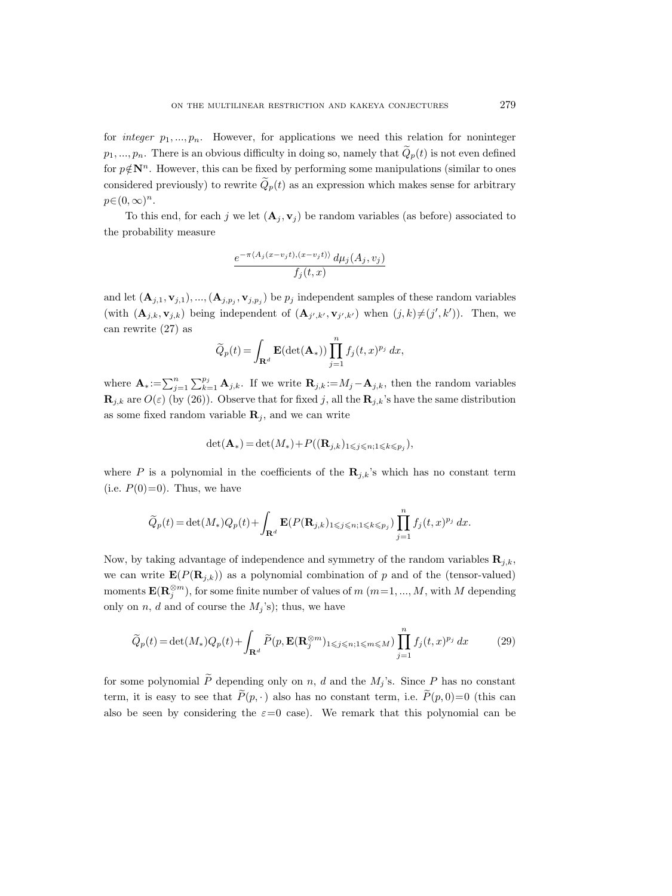for integer  $p_1, ..., p_n$ . However, for applications we need this relation for noninteger  $p_1, ..., p_n$ . There is an obvious difficulty in doing so, namely that  $\tilde{Q}_p(t)$  is not even defined for  $p \notin \mathbb{N}^n$ . However, this can be fixed by performing some manipulations (similar to ones considered previously) to rewrite  $\tilde{Q}_p(t)$  as an expression which makes sense for arbitrary  $p\in (0,\infty)^n$ .

To this end, for each j we let  $(\mathbf{A}_i, \mathbf{v}_i)$  be random variables (as before) associated to the probability measure

$$
\frac{e^{-\pi \langle A_j(x-v_jt),(x-v_jt)\rangle}\,d\mu_j(A_j,v_j)}{f_j(t,x)}
$$

and let  $(\mathbf{A}_{j,1}, \mathbf{v}_{j,1}), ..., (\mathbf{A}_{j,p_j}, \mathbf{v}_{j,p_j})$  be  $p_j$  independent samples of these random variables (with  $(\mathbf{A}_{j,k}, \mathbf{v}_{j,k})$  being independent of  $(\mathbf{A}_{j',k'}, \mathbf{v}_{j',k'})$  when  $(j,k)\neq (j',k')$ ). Then, we can rewrite (27) as

$$
\widetilde{Q}_p(t) = \int_{\mathbf{R}^d} \mathbf{E}(\det(\mathbf{A}_*)) \prod_{j=1}^n f_j(t, x)^{p_j} dx,
$$

where  $\mathbf{A}_{*} := \sum_{j=1}^{n} \sum_{k=1}^{p_j} \mathbf{A}_{j,k}$ . If we write  $\mathbf{R}_{j,k} := M_j - \mathbf{A}_{j,k}$ , then the random variables  $\mathbf{R}_{j,k}$  are  $O(\varepsilon)$  (by (26)). Observe that for fixed j, all the  $\mathbf{R}_{j,k}$ 's have the same distribution as some fixed random variable  $\mathbf{R}_i$ , and we can write

$$
\det(\mathbf{A}_*) = \det(M_*) + P((\mathbf{R}_{j,k})_{1 \leqslant j \leqslant n; 1 \leqslant k \leqslant p_j}),
$$

where P is a polynomial in the coefficients of the  $\mathbf{R}_{j,k}$ 's which has no constant term (i.e.  $P(0)=0$ ). Thus, we have

$$
\widetilde{Q}_p(t) = \det(M_*)Q_p(t) + \int_{\mathbf{R}^d} \mathbf{E}(P(\mathbf{R}_{j,k})_{1 \leq j \leq n; 1 \leq k \leq p_j}) \prod_{j=1}^n f_j(t,x)^{p_j} dx.
$$

Now, by taking advantage of independence and symmetry of the random variables  $\mathbf{R}_{i,k}$ , we can write  $\mathbf{E}(P(\mathbf{R}_{i,k}))$  as a polynomial combination of p and of the (tensor-valued) moments  $\mathbf{E}(\mathbf{R}_j^{\otimes m})$ , for some finite number of values of  $m$   $(m=1,...,M)$ , with M depending only on n, d and of course the  $M_j$ 's); thus, we have

$$
\widetilde{Q}_p(t) = \det(M_*)Q_p(t) + \int_{\mathbf{R}^d} \widetilde{P}(p, \mathbf{E}(\mathbf{R}_j^{\otimes m})_{1 \leqslant j \leqslant n; 1 \leqslant m \leqslant M}) \prod_{j=1}^n f_j(t, x)^{p_j} dx \tag{29}
$$

for some polynomial  $\widetilde{P}$  depending only on n, d and the  $M_j$ 's. Since P has no constant term, it is easy to see that  $\widetilde{P}(p, \cdot)$  also has no constant term, i.e.  $\widetilde{P}(p, 0)=0$  (this can also be seen by considering the  $\varepsilon=0$  case). We remark that this polynomial can be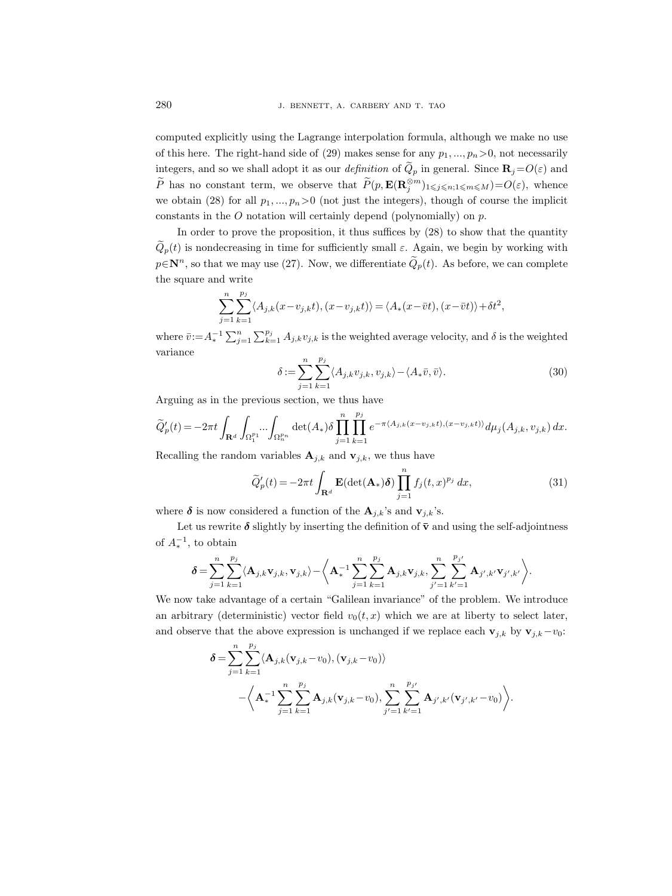computed explicitly using the Lagrange interpolation formula, although we make no use of this here. The right-hand side of (29) makes sense for any  $p_1, ..., p_n > 0$ , not necessarily integers, and so we shall adopt it as our *definition* of  $\tilde{Q}_p$  in general. Since  $\mathbf{R}_j=O(\varepsilon)$  and  $\widetilde{P}$  has no constant term, we observe that  $\widetilde{P}(p, \mathbf{E}(\mathbf{R}_{j}^{\otimes m})_{1 \leqslant j \leqslant n; 1 \leqslant m \leqslant M})=O(\varepsilon)$ , whence we obtain (28) for all  $p_1, ..., p_n > 0$  (not just the integers), though of course the implicit constants in the  $O$  notation will certainly depend (polynomially) on  $p$ .

In order to prove the proposition, it thus suffices by (28) to show that the quantity  $\tilde{Q}_p(t)$  is nondecreasing in time for sufficiently small  $\varepsilon$ . Again, we begin by working with  $p \in \mathbb{N}^n$ , so that we may use (27). Now, we differentiate  $\widetilde{Q}_p(t)$ . As before, we can complete the square and write

$$
\sum_{j=1}^{n} \sum_{k=1}^{p_j} \langle A_{j,k}(x - v_{j,k}t), (x - v_{j,k}t) \rangle = \langle A_*(x - \overline{v}t), (x - \overline{v}t) \rangle + \delta t^2,
$$

where  $\bar{v}:=A_*^{-1}\sum_{j=1}^n\sum_{k=1}^{p_j}A_{j,k}v_{j,k}$  is the weighted average velocity, and  $\delta$  is the weighted variance

$$
\delta := \sum_{j=1}^{n} \sum_{k=1}^{p_j} \langle A_{j,k} v_{j,k}, v_{j,k} \rangle - \langle A_* \bar{v}, \bar{v} \rangle.
$$
 (30)

Arguing as in the previous section, we thus have

$$
\widetilde{Q}'_p(t) = -2\pi t \int_{\mathbf{R}^d}\int_{\Omega_1^{p_1}}\hspace{-3mm}\cdots \int_{\Omega_n^{p_n}} \det(A_*)\delta \prod_{j=1}^n\prod_{k=1}^{p_j} e^{-\pi \langle A_{j,k}(x-v_{j,k}t),(x-v_{j,k}t)\rangle}d\mu_j(A_{j,k},v_{j,k})\,dx.
$$

Recalling the random variables  $\mathbf{A}_{j,k}$  and  $\mathbf{v}_{j,k}$ , we thus have

$$
\widetilde{Q}'_p(t) = -2\pi t \int_{\mathbf{R}^d} \mathbf{E}(\det(\mathbf{A}_*)\boldsymbol{\delta}) \prod_{j=1}^n f_j(t,x)^{p_j} dx,
$$
\n(31)

where  $\delta$  is now considered a function of the  $\mathbf{A}_{j,k}$ 's and  $\mathbf{v}_{j,k}$ 's.

Let us rewrite  $\delta$  slightly by inserting the definition of  $\bar{v}$  and using the self-adjointness of  $A_*^{-1}$ , to obtain

$$
\pmb\delta=\sum_{j=1}^n\sum_{k=1}^{p_j}\langle \mathbf{A}_{j,k}\mathbf{v}_{j,k},\mathbf{v}_{j,k}\rangle-\bigg\langle\mathbf{A}_*^{-1}\sum_{j=1}^n\sum_{k=1}^{p_j}\mathbf{A}_{j,k}\mathbf{v}_{j,k},\sum_{j'=1}^n\sum_{k'=1}^{p_{j'}}\mathbf{A}_{j',k'}\mathbf{v}_{j',k'}\bigg\rangle.
$$

We now take advantage of a certain "Galilean invariance" of the problem. We introduce an arbitrary (deterministic) vector field  $v_0(t, x)$  which we are at liberty to select later, and observe that the above expression is unchanged if we replace each  $\mathbf{v}_{i,k}$  by  $\mathbf{v}_{i,k}-v_0$ :

$$
\delta = \sum_{j=1}^{n} \sum_{k=1}^{p_j} \langle \mathbf{A}_{j,k}(\mathbf{v}_{j,k} - v_0), (\mathbf{v}_{j,k} - v_0) \rangle - \left\langle \mathbf{A}_*^{-1} \sum_{j=1}^{n} \sum_{k=1}^{p_j} \mathbf{A}_{j,k}(\mathbf{v}_{j,k} - v_0), \sum_{j'=1}^{n} \sum_{k'=1}^{p_{j'}} \mathbf{A}_{j',k'}(\mathbf{v}_{j',k'} - v_0) \right\rangle.
$$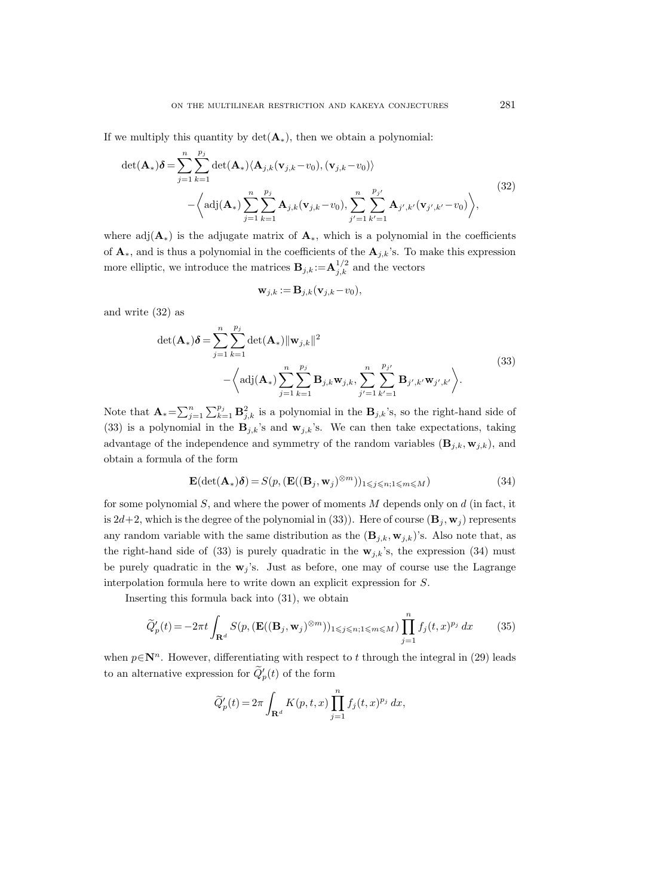If we multiply this quantity by  $\det(\mathbf{A}_{*})$ , then we obtain a polynomial:

$$
\det(\mathbf{A}_{*})\delta = \sum_{j=1}^{n} \sum_{k=1}^{p_{j}} \det(\mathbf{A}_{*}) \langle \mathbf{A}_{j,k}(\mathbf{v}_{j,k} - v_{0}), (\mathbf{v}_{j,k} - v_{0}) \rangle
$$
  
 
$$
- \left\langle \mathrm{adj}(\mathbf{A}_{*}) \sum_{j=1}^{n} \sum_{k=1}^{p_{j}} \mathbf{A}_{j,k}(\mathbf{v}_{j,k} - v_{0}), \sum_{j'=1}^{n} \sum_{k'=1}^{p_{j'}} \mathbf{A}_{j',k'}(\mathbf{v}_{j',k'} - v_{0}) \right\rangle,
$$
(32)

where adj $(\mathbf{A}_*)$  is the adjugate matrix of  $\mathbf{A}_*$ , which is a polynomial in the coefficients of  $\mathbf{A}_{*}$ , and is thus a polynomial in the coefficients of the  $\mathbf{A}_{j,k}$ 's. To make this expression more elliptic, we introduce the matrices  $\mathbf{B}_{j,k} := \mathbf{A}_{j,k}^{1/2}$  and the vectors

$$
\mathbf{w}_{j,k} := \mathbf{B}_{j,k} (\mathbf{v}_{j,k} - v_0),
$$

and write (32) as

$$
\det(\mathbf{A}_{*})\delta = \sum_{j=1}^{n} \sum_{k=1}^{p_{j}} \det(\mathbf{A}_{*}) ||\mathbf{w}_{j,k}||^{2}
$$
  
 
$$
- \left\langle \mathrm{adj}(\mathbf{A}_{*}) \sum_{j=1}^{n} \sum_{k=1}^{p_{j}} \mathbf{B}_{j,k} \mathbf{w}_{j,k}, \sum_{j'=1}^{n} \sum_{k'=1}^{p_{j'}} \mathbf{B}_{j',k'} \mathbf{w}_{j',k'} \right\rangle.
$$
 (33)

Note that  $\mathbf{A}_{*} = \sum_{j=1}^{n} \sum_{k=1}^{p_j} \mathbf{B}_{j,k}^2$  is a polynomial in the  $\mathbf{B}_{j,k}$ 's, so the right-hand side of (33) is a polynomial in the  $\mathbf{B}_{j,k}$ 's and  $\mathbf{w}_{j,k}$ 's. We can then take expectations, taking advantage of the independence and symmetry of the random variables  $(\mathbf{B}_{j,k}, \mathbf{w}_{j,k})$ , and obtain a formula of the form

$$
\mathbf{E}(\det(\mathbf{A}_{*})\boldsymbol{\delta}) = S(p, (\mathbf{E}((\mathbf{B}_{j}, \mathbf{w}_{j})^{\otimes m}))_{1 \leqslant j \leqslant n; 1 \leqslant m \leqslant M})
$$
\n(34)

for some polynomial  $S$ , and where the power of moments M depends only on  $d$  (in fact, it is 2d+2, which is the degree of the polynomial in (33)). Here of course  $(\mathbf{B}_i, \mathbf{w}_i)$  represents any random variable with the same distribution as the  $(\mathbf{B}_{j,k}, \mathbf{w}_{j,k})$ 's. Also note that, as the right-hand side of (33) is purely quadratic in the  $w_{j,k}$ 's, the expression (34) must be purely quadratic in the  $w_j$ 's. Just as before, one may of course use the Lagrange interpolation formula here to write down an explicit expression for S.

Inserting this formula back into (31), we obtain

$$
\widetilde{Q}'_p(t) = -2\pi t \int_{\mathbf{R}^d} S(p, (\mathbf{E}((\mathbf{B}_j, \mathbf{w}_j)^{\otimes m}))_{1 \leq j \leq n; 1 \leq m \leq M}) \prod_{j=1}^n f_j(t, x)^{p_j} dx \qquad (35)
$$

when  $p \in \mathbb{N}^n$ . However, differentiating with respect to t through the integral in (29) leads to an alternative expression for  $\tilde{Q}'_p(t)$  of the form

$$
\widetilde{Q}_p'(t) = 2\pi \int_{\mathbf{R}^d} K(p, t, x) \prod_{j=1}^n f_j(t, x)^{p_j} dx,
$$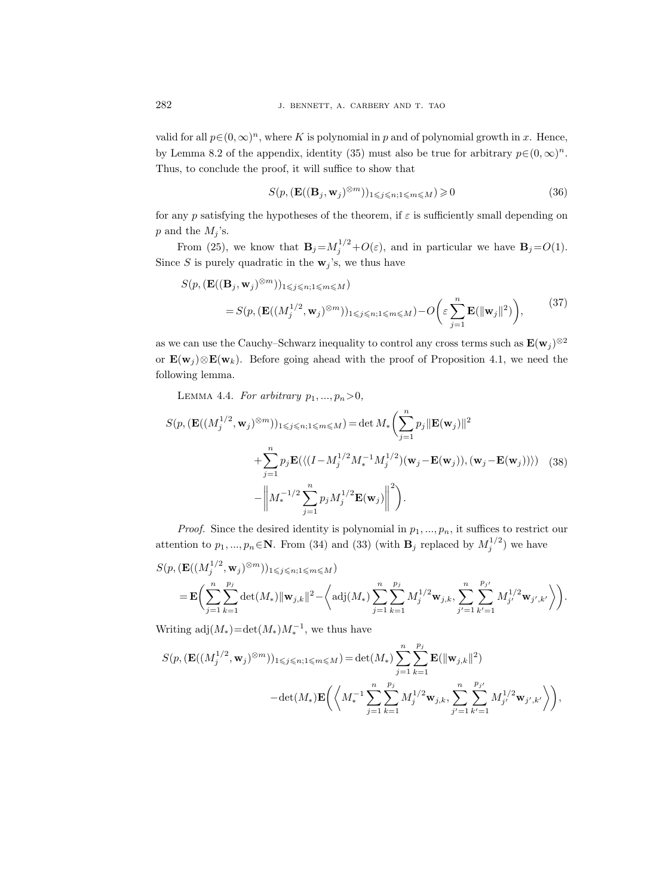valid for all  $p \in (0, \infty)^n$ , where K is polynomial in p and of polynomial growth in x. Hence, by Lemma 8.2 of the appendix, identity (35) must also be true for arbitrary  $p \in (0, \infty)^n$ . Thus, to conclude the proof, it will suffice to show that

$$
S(p, (\mathbf{E}((\mathbf{B}_j, \mathbf{w}_j)^{\otimes m}))_{1 \leq j \leq n; 1 \leq m \leq M}) \geq 0
$$
\n(36)

for any p satisfying the hypotheses of the theorem, if  $\varepsilon$  is sufficiently small depending on  $p$  and the  $M_j$ 's.

From (25), we know that  $\mathbf{B}_j = M_j^{1/2} + O(\varepsilon)$ , and in particular we have  $\mathbf{B}_j = O(1)$ . Since S is purely quadratic in the  $w_j$ 's, we thus have

$$
S(p, (\mathbf{E}((\mathbf{B}_j, \mathbf{w}_j)^{\otimes m}))_{1 \leqslant j \leqslant n; 1 \leqslant m \leqslant M})
$$
  
=  $S(p, (\mathbf{E}((M_j^{1/2}, \mathbf{w}_j)^{\otimes m}))_{1 \leqslant j \leqslant n; 1 \leqslant m \leqslant M}) - O\left(\varepsilon \sum_{j=1}^n \mathbf{E}(\|\mathbf{w}_j\|^2)\right),$  (37)

as we can use the Cauchy–Schwarz inequality to control any cross terms such as  $\mathbf{E}(\mathbf{w}_j)^{\otimes 2}$ or  $\mathbf{E}(\mathbf{w}_i) \otimes \mathbf{E}(\mathbf{w}_k)$ . Before going ahead with the proof of Proposition 4.1, we need the following lemma.

LEMMA 4.4. For arbitrary  $p_1, ..., p_n > 0$ ,

$$
S(p, (\mathbf{E}((M_j^{1/2}, \mathbf{w}_j)^{\otimes m}))_{1 \le j \le n; 1 \le m \le M} ) = \det M_* \left( \sum_{j=1}^n p_j \|\mathbf{E}(\mathbf{w}_j)\|^2 + \sum_{j=1}^n p_j \mathbf{E}(\langle (I - M_j^{1/2} M_*^{-1} M_j^{1/2}) (\mathbf{w}_j - \mathbf{E}(\mathbf{w}_j)), (\mathbf{w}_j - \mathbf{E}(\mathbf{w}_j)) \rangle) \right)
$$
(38)  

$$
- \left\| M_*^{-1/2} \sum_{j=1}^n p_j M_j^{1/2} \mathbf{E}(\mathbf{w}_j) \right\|^2 \right).
$$

*Proof.* Since the desired identity is polynomial in  $p_1, ..., p_n$ , it suffices to restrict our attention to  $p_1, ..., p_n \in \mathbb{N}$ . From (34) and (33) (with  $\mathbf{B}_j$  replaced by  $M_j^{1/2}$ ) we have

$$
S(p, (\mathbf{E}((M_j^{1/2}, \mathbf{w}_j)^{\otimes m}))_{1 \leqslant j \leqslant n; 1 \leqslant m \leqslant M})
$$
  
=  $\mathbf{E} \bigg( \sum_{j=1}^n \sum_{k=1}^{p_j} \det(M_*) ||\mathbf{w}_{j,k}||^2 - \bigg\langle \mathrm{adj}(M_*) \sum_{j=1}^n \sum_{k=1}^{p_j} M_j^{1/2} \mathbf{w}_{j,k}, \sum_{j'=1}^n \sum_{k'=1}^{p_{j'}} M_{j'}^{1/2} \mathbf{w}_{j',k'} \bigg\rangle \bigg).$ 

Writing  $\text{adj}(M_*) = \det(M_*)M_*^{-1}$ , we thus have

$$
S(p,(\mathbf{E}((M_j^{1/2}, \mathbf{w}_j)^{\otimes m}))_{1 \leqslant j \leqslant n; 1 \leqslant m \leqslant M}) = \det(M_*) \sum_{j=1}^n \sum_{k=1}^{p_j} \mathbf{E}(\|\mathbf{w}_{j,k}\|^2)
$$

$$
-\det(M_*) \mathbf{E}\bigg( \bigg\langle M_*^{-1} \sum_{j=1}^n \sum_{k=1}^{p_j} M_j^{1/2} \mathbf{w}_{j,k}, \sum_{j'=1}^n \sum_{k'=1}^{p_{j'}} M_{j'}^{1/2} \mathbf{w}_{j',k'} \bigg\rangle \bigg),
$$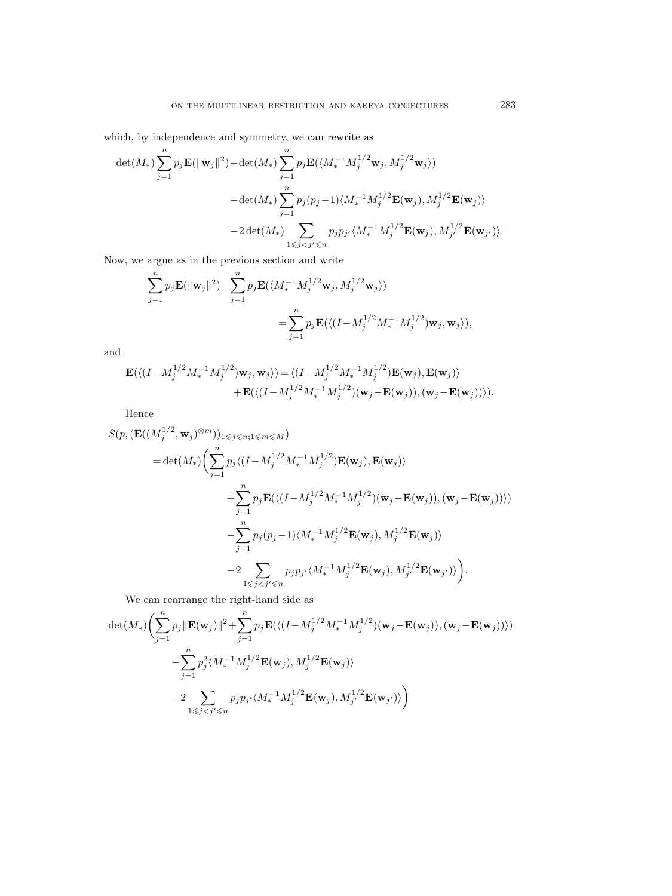which, by independence and symmetry, we can rewrite as

$$
\begin{aligned} \det(M_*)\sum_{j=1}^np_j\mathbf{E}(\|\mathbf{w}_j\|^2)-\det(M_*)\sum_{j=1}^np_j\mathbf{E}(\langle M_*^{-1}M_j^{1/2}\mathbf{w}_j,M_j^{1/2}\mathbf{w}_j\rangle)\\ -\det(M_*)\sum_{j=1}^np_j(p_j-1)\langle M_*^{-1}M_j^{1/2}\mathbf{E}(\mathbf{w}_j),M_j^{1/2}\mathbf{E}(\mathbf{w}_j)\rangle\\ -2\det(M_*)\sum_{1\leqslant j
$$

Now, we argue as in the previous section and write

$$
\begin{split} \sum_{j=1}^n p_j \mathbf{E}(\|\mathbf{w}_j\|^2) - \sum_{j=1}^n p_j \mathbf{E}(\langle M_*^{-1} M_j^{1/2} \mathbf{w}_j, M_j^{1/2} \mathbf{w}_j \rangle) \\ = \sum_{j=1}^n p_j \mathbf{E}(\langle (I - M_j^{1/2} M_*^{-1} M_j^{1/2}) \mathbf{w}_j, \mathbf{w}_j \rangle), \end{split}
$$

and

$$
\begin{split} \mathbf{E}(\langle (I-M_j^{1/2}M_*^{-1}M_j^{1/2})\mathbf{w}_j, \mathbf{w}_j \rangle) & = \langle (I-M_j^{1/2}M_*^{-1}M_j^{1/2})\mathbf{E}(\mathbf{w}_j), \mathbf{E}(\mathbf{w}_j) \rangle \\ & + \mathbf{E}(\langle (I-M_j^{1/2}M_*^{-1}M_j^{1/2})(\mathbf{w}_j-\mathbf{E}(\mathbf{w}_j)), (\mathbf{w}_j-\mathbf{E}(\mathbf{w}_j)) \rangle). \end{split}
$$

Hence

$$
S(p, (\mathbf{E}((M_j^{1/2}, \mathbf{w}_j)^{\otimes m}))_{1 \leqslant j \leqslant n; 1 \leqslant m \leqslant M})
$$
  
\n
$$
= \det(M_*) \Big( \sum_{j=1}^n p_j \langle (I - M_j^{1/2} M_*^{-1} M_j^{1/2}) \mathbf{E}(\mathbf{w}_j), \mathbf{E}(\mathbf{w}_j) \rangle + \sum_{j=1}^n p_j \mathbf{E}(\langle (I - M_j^{1/2} M_*^{-1} M_j^{1/2}) (\mathbf{w}_j - \mathbf{E}(\mathbf{w}_j)), (\mathbf{w}_j - \mathbf{E}(\mathbf{w}_j)) \rangle) - \sum_{j=1}^n p_j (p_j - 1) \langle M_*^{-1} M_j^{1/2} \mathbf{E}(\mathbf{w}_j), M_j^{1/2} \mathbf{E}(\mathbf{w}_j) \rangle - 2 \sum_{1 \leqslant j < j' \leqslant n} p_j p_{j'} \langle M_*^{-1} M_j^{1/2} \mathbf{E}(\mathbf{w}_j), M_{j'}^{1/2} \mathbf{E}(\mathbf{w}_{j'}) \rangle \Big).
$$

We can rearrange the right-hand side as

$$
\begin{aligned} \det(M_*) \bigg( & \sum_{j=1}^n p_j \| \mathbf{E}(\mathbf{w}_j) \|^2 + \sum_{j=1}^n p_j \mathbf{E}( \langle (I-M_j^{1/2} M_*^{-1} M_j^{1/2} ) (\mathbf{w}_j - \mathbf{E}(\mathbf{w}_j) ), (\mathbf{w}_j - \mathbf{E}(\mathbf{w}_j) ) \rangle ) \\ & - \sum_{j=1}^n p_j^2 \langle M_*^{-1} M_j^{1/2} \mathbf{E}(\mathbf{w}_j) , M_j^{1/2} \mathbf{E}(\mathbf{w}_j) \rangle \\ & - 2 \sum_{1 \leqslant j < j' \leqslant n} p_j p_{j'} \langle M_*^{-1} M_j^{1/2} \mathbf{E}(\mathbf{w}_j) , M_{j'}^{1/2} \mathbf{E}(\mathbf{w}_{j'} ) \rangle \bigg) \end{aligned}
$$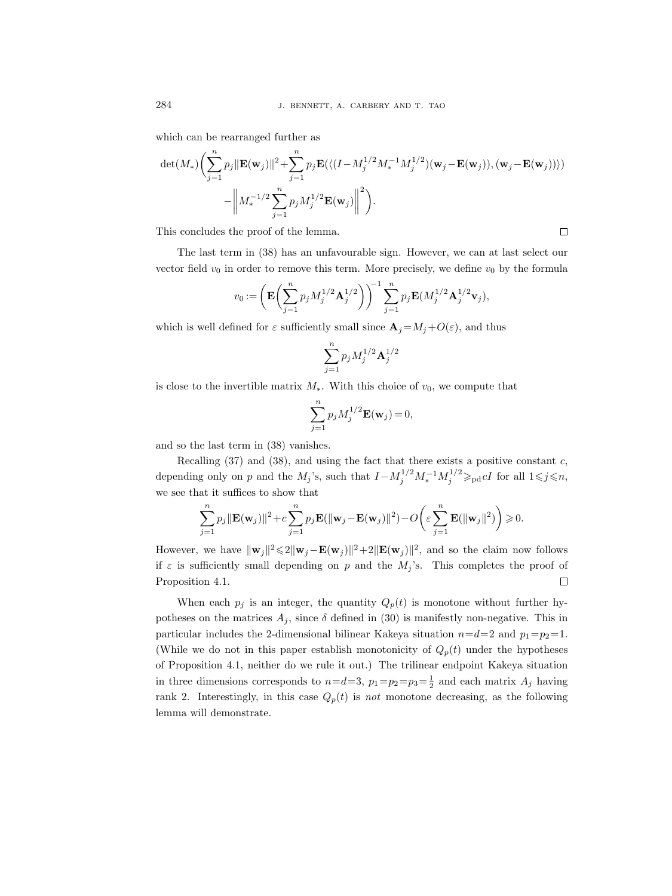which can be rearranged further as

$$
\begin{aligned} \det(M_*) \bigg( & \sum_{j=1}^n p_j \| \mathbf{E}(\mathbf{w}_j) \|^2 + \sum_{j=1}^n p_j \mathbf{E}(\langle (I-M_j^{1/2} M_*^{-1} M_j^{1/2}) (\mathbf{w}_j - \mathbf{E}(\mathbf{w}_j)), (\mathbf{w}_j - \mathbf{E}(\mathbf{w}_j)) \rangle ) \\ & - \bigg\| M_*^{-1/2} \sum_{j=1}^n p_j M_j^{1/2} \mathbf{E}(\mathbf{w}_j) \bigg\|^2 \bigg). \end{aligned}
$$

This concludes the proof of the lemma.

The last term in (38) has an unfavourable sign. However, we can at last select our vector field  $v_0$  in order to remove this term. More precisely, we define  $v_0$  by the formula

$$
v_0 := \left( \mathbf{E} \bigg( \sum_{j=1}^n p_j M_j^{1/2} \mathbf{A}_j^{1/2} \bigg) \right)^{-1} \sum_{j=1}^n p_j \mathbf{E} (M_j^{1/2} \mathbf{A}_j^{1/2} \mathbf{v}_j),
$$

which is well defined for  $\varepsilon$  sufficiently small since  $\mathbf{A}_j = M_j + O(\varepsilon)$ , and thus

$$
\sum_{j=1}^n p_j M_j^{1/2} {\bf A}_j^{1/2}
$$

is close to the invertible matrix  $M_*$ . With this choice of  $v_0$ , we compute that

$$
\sum_{j=1}^n p_j M_j^{1/2} \mathbf{E}(\mathbf{w}_j) = 0,
$$

and so the last term in (38) vanishes.

Recalling  $(37)$  and  $(38)$ , and using the fact that there exists a positive constant c, depending only on p and the  $M_j$ 's, such that  $I - M_j^{1/2} M_*^{-1} M_j^{1/2} \geq_{\text{pd}} cI$  for all  $1 \leq j \leq n$ , we see that it suffices to show that

$$
\sum_{j=1}^n p_j \|\mathbf{E}(\mathbf{w}_j)\|^2 + c \sum_{j=1}^n p_j \mathbf{E}(\|\mathbf{w}_j - \mathbf{E}(\mathbf{w}_j)\|^2) - O\bigg(\varepsilon \sum_{j=1}^n \mathbf{E}(\|\mathbf{w}_j\|^2)\bigg) \ge 0.
$$

However, we have  $\|\mathbf{w}_j\|^2 \leq 2\|\mathbf{w}_j - \mathbf{E}(\mathbf{w}_j)\|^2 + 2\|\mathbf{E}(\mathbf{w}_j)\|^2$ , and so the claim now follows if  $\varepsilon$  is sufficiently small depending on p and the  $M_i$ 's. This completes the proof of Proposition 4.1.  $\Box$ 

When each  $p_j$  is an integer, the quantity  $Q_p(t)$  is monotone without further hypotheses on the matrices  $A_j$ , since  $\delta$  defined in (30) is manifestly non-negative. This in particular includes the 2-dimensional bilinear Kakeya situation  $n=d=2$  and  $p_1=p_2=1$ . (While we do not in this paper establish monotonicity of  $Q_p(t)$  under the hypotheses of Proposition 4.1, neither do we rule it out.) The trilinear endpoint Kakeya situation in three dimensions corresponds to  $n=d=3$ ,  $p_1=p_2=p_3=\frac{1}{2}$  and each matrix  $A_j$  having rank 2. Interestingly, in this case  $Q_p(t)$  is not monotone decreasing, as the following lemma will demonstrate.

 $\Box$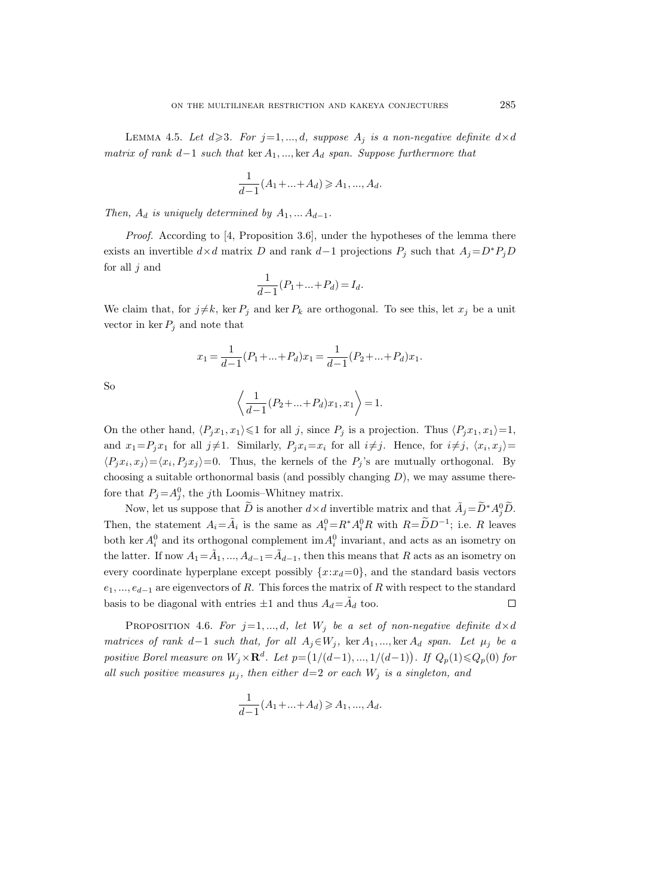LEMMA 4.5. Let  $d \geq 3$ . For  $j=1, ..., d$ , suppose  $A_j$  is a non-negative definite  $d \times d$ matrix of rank  $d-1$  such that ker  $A_1, \ldots,$  ker  $A_d$  span. Suppose furthermore that

$$
\frac{1}{d-1}(A_1 + \dots + A_d) \geqslant A_1, \dots, A_d.
$$

Then,  $A_d$  is uniquely determined by  $A_1, \ldots A_{d-1}$ .

Proof. According to [4, Proposition 3.6], under the hypotheses of the lemma there exists an invertible  $d \times d$  matrix D and rank d-1 projections  $P_j$  such that  $A_j = D^*P_jD$ for all  $j$  and

$$
\frac{1}{d-1}(P_1 + \dots + P_d) = I_d.
$$

We claim that, for  $j\neq k$ , ker  $P_i$  and ker  $P_k$  are orthogonal. To see this, let  $x_j$  be a unit vector in ker  $P_i$  and note that

$$
x_1 = \frac{1}{d-1}(P_1 + \dots + P_d)x_1 = \frac{1}{d-1}(P_2 + \dots + P_d)x_1.
$$

So

$$
\left\langle \frac{1}{d-1}(P_2+\ldots+P_d)x_1,x_1\right\rangle =1.
$$

On the other hand,  $\langle P_jx_1, x_1\rangle \leq 1$  for all j, since  $P_j$  is a projection. Thus  $\langle P_jx_1, x_1\rangle =1$ , and  $x_1 = P_j x_1$  for all  $j \neq 1$ . Similarly,  $P_j x_i = x_i$  for all  $i \neq j$ . Hence, for  $i \neq j$ ,  $\langle x_i, x_j \rangle =$  $\langle P_j x_i, x_j \rangle = \langle x_i, P_j x_j \rangle = 0$ . Thus, the kernels of the  $P_j$ 's are mutually orthogonal. By choosing a suitable orthonormal basis (and possibly changing  $D$ ), we may assume therefore that  $P_j = A_j^0$ , the jth Loomis–Whitney matrix.

Now, let us suppose that  $\widetilde{D}$  is another  $d \times d$  invertible matrix and that  $\widetilde{A}_j = \widetilde{D}^* A_j^0 \widetilde{D}$ . Then, the statement  $A_i = \tilde{A}_i$  is the same as  $A_i^0 = R^* A_i^0 R$  with  $R = \tilde{D} D^{-1}$ ; i.e. R leaves both ker  $A_i^0$  and its orthogonal complement  $\text{im } A_i^0$  invariant, and acts as an isometry on the latter. If now  $A_1 = \tilde{A}_1, ..., A_{d-1} = \tilde{A}_{d-1}$ , then this means that R acts as an isometry on every coordinate hyperplane except possibly  ${x:x_d=0}$ , and the standard basis vectors  $e_1, ..., e_{d-1}$  are eigenvectors of R. This forces the matrix of R with respect to the standard basis to be diagonal with entries  $\pm 1$  and thus  $A_d = \tilde{A}_d$  too.  $\Box$ 

PROPOSITION 4.6. For  $j=1,...,d$ , let  $W_j$  be a set of non-negative definite  $d \times d$ matrices of rank d−1 such that, for all  $A_i \in W_i$ , ker  $A_1, \ldots$ , ker  $A_d$  span. Let  $\mu_i$  be a positive Borel measure on  $W_j \times \mathbf{R}^d$ . Let  $p = (1/(d-1), ..., 1/(d-1))$ . If  $Q_p(1) \leq Q_p(0)$  for all such positive measures  $\mu_i$ , then either  $d=2$  or each  $W_i$  is a singleton, and

$$
\frac{1}{d-1}(A_1 + \dots + A_d) \geq A_1, \dots, A_d.
$$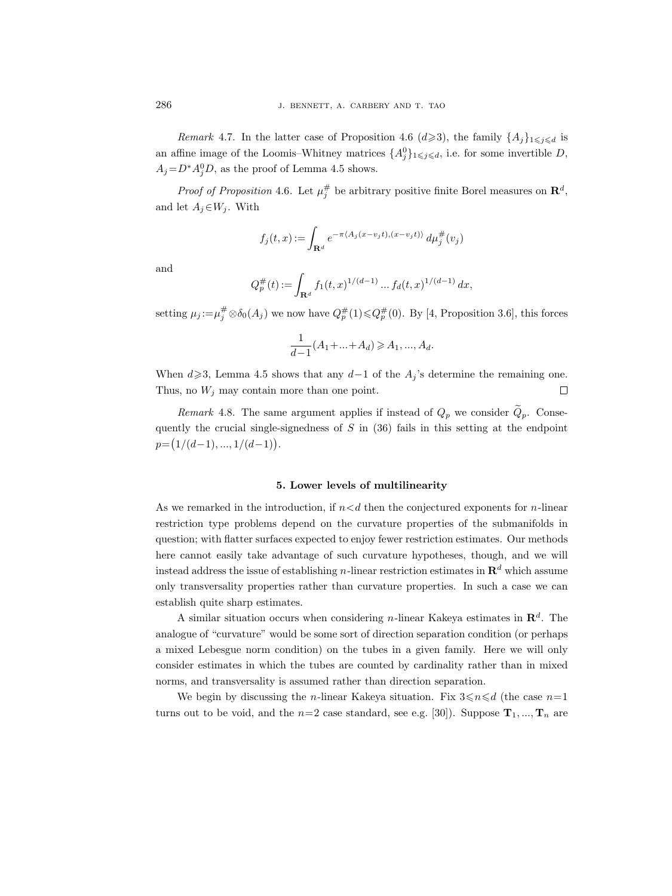Remark 4.7. In the latter case of Proposition 4.6  $(d \geq 3)$ , the family  $\{A_j\}_{1\leq j\leq d}$  is an affine image of the Loomis–Whitney matrices  $\{A_j^0\}_{1\leqslant j\leqslant d}$ , i.e. for some invertible D,  $A_j = D^* A_j^0 D$ , as the proof of Lemma 4.5 shows.

*Proof of Proposition* 4.6. Let  $\mu_j^{\#}$  be arbitrary positive finite Borel measures on  $\mathbb{R}^d$ , and let  $A_i \in W_i$ . With

$$
f_j(t,x):=\int_{\mathbf{R}^d}e^{-\pi\langle A_j(x-v_jt),(x-v_jt)\rangle}\,d\mu_j^\#(v_j)
$$

and

$$
Q_p^{\#}(t) := \int_{\mathbf{R}^d} f_1(t,x)^{1/(d-1)} \dots f_d(t,x)^{1/(d-1)} dx,
$$

setting  $\mu_j := \mu_j^{\#} \otimes \delta_0(A_j)$  we now have  $Q_p^{\#}(1) \leqslant Q_p^{\#}(0)$ . By [4, Proposition 3.6], this forces

$$
\frac{1}{d-1}(A_1 + \dots + A_d) \geqslant A_1, \dots, A_d.
$$

When  $d \ge 3$ , Lemma 4.5 shows that any  $d-1$  of the  $A<sub>i</sub>$ 's determine the remaining one. Thus, no  $W_j$  may contain more than one point.  $\Box$ 

Remark 4.8. The same argument applies if instead of  $Q_p$  we consider  $Q_p$ . Consequently the crucial single-signedness of  $S$  in (36) fails in this setting at the endpoint  $p = (1/(d-1), ..., 1/(d-1)).$ 

#### 5. Lower levels of multilinearity

As we remarked in the introduction, if  $n < d$  then the conjectured exponents for *n*-linear restriction type problems depend on the curvature properties of the submanifolds in question; with flatter surfaces expected to enjoy fewer restriction estimates. Our methods here cannot easily take advantage of such curvature hypotheses, though, and we will instead address the issue of establishing n-linear restriction estimates in  $\mathbb{R}^d$  which assume only transversality properties rather than curvature properties. In such a case we can establish quite sharp estimates.

A similar situation occurs when considering *n*-linear Kakeya estimates in  $\mathbb{R}^d$ . The analogue of "curvature" would be some sort of direction separation condition (or perhaps a mixed Lebesgue norm condition) on the tubes in a given family. Here we will only consider estimates in which the tubes are counted by cardinality rather than in mixed norms, and transversality is assumed rather than direction separation.

We begin by discussing the *n*-linear Kakeya situation. Fix  $3 \le n \le d$  (the case  $n=1$ turns out to be void, and the  $n=2$  case standard, see e.g. [30]). Suppose  $\mathbf{T}_1, ..., \mathbf{T}_n$  are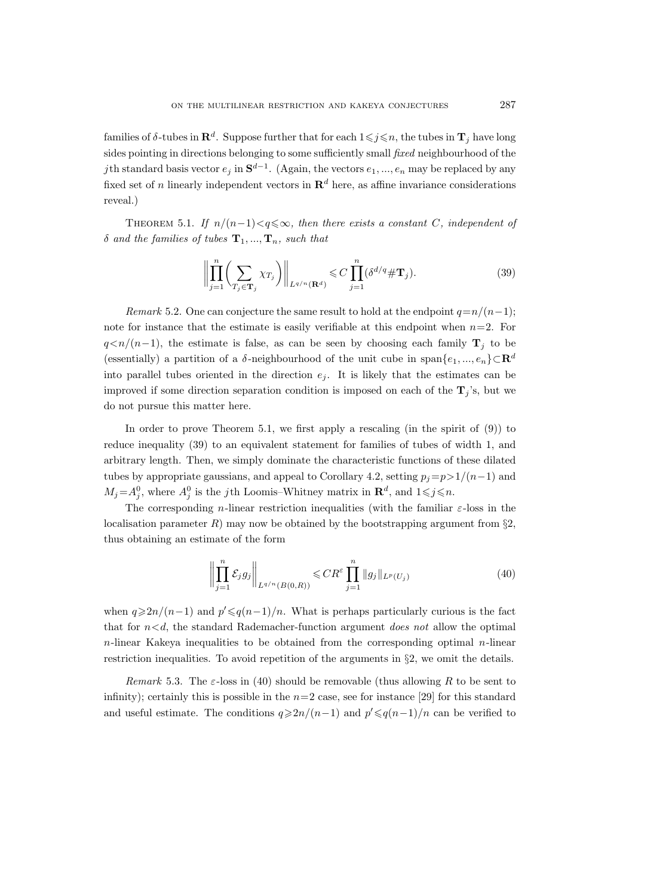families of  $\delta$ -tubes in  $\mathbf{R}^d$ . Suppose further that for each  $1 \leqslant j \leqslant n$ , the tubes in  $\mathbf{T}_j$  have long sides pointing in directions belonging to some sufficiently small fixed neighbourhood of the jth standard basis vector  $e_j$  in  $\mathbf{S}^{d-1}$ . (Again, the vectors  $e_1, ..., e_n$  may be replaced by any fixed set of n linearly independent vectors in  $\mathbb{R}^d$  here, as affine invariance considerations reveal.)

THEOREM 5.1. If  $n/(n-1) < q \leq \infty$ , then there exists a constant C, independent of  $\delta$  and the families of tubes  $\mathbf{T}_1, ..., \mathbf{T}_n$ , such that

$$
\left\| \prod_{j=1}^{n} \left( \sum_{T_j \in \mathbf{T}_j} \chi_{T_j} \right) \right\|_{L^{q/n}(\mathbf{R}^d)} \leqslant C \prod_{j=1}^{n} (\delta^{d/q} \# \mathbf{T}_j). \tag{39}
$$

Remark 5.2. One can conjecture the same result to hold at the endpoint  $q=n/(n-1);$ note for instance that the estimate is easily verifiable at this endpoint when  $n=2$ . For  $q \lt n/(n-1)$ , the estimate is false, as can be seen by choosing each family  $\mathbf{T}_i$  to be (essentially) a partition of a  $\delta$ -neighbourhood of the unit cube in span $\{e_1, ..., e_n\} \subset \mathbb{R}^d$ into parallel tubes oriented in the direction  $e_i$ . It is likely that the estimates can be improved if some direction separation condition is imposed on each of the  $T_i$ 's, but we do not pursue this matter here.

In order to prove Theorem 5.1, we first apply a rescaling (in the spirit of (9)) to reduce inequality (39) to an equivalent statement for families of tubes of width 1, and arbitrary length. Then, we simply dominate the characteristic functions of these dilated tubes by appropriate gaussians, and appeal to Corollary 4.2, setting  $p_j=p>1/(n-1)$  and  $M_j = A_j^0$ , where  $A_j^0$  is the j<sup>th</sup> Loomis–Whitney matrix in  $\mathbf{R}^d$ , and  $1 \leq j \leq n$ .

The corresponding *n*-linear restriction inequalities (with the familiar  $\varepsilon$ -loss in the localisation parameter  $R$ ) may now be obtained by the bootstrapping argument from  $\S$ 2, thus obtaining an estimate of the form

$$
\left\| \prod_{j=1}^{n} \mathcal{E}_{j} g_{j} \right\|_{L^{q/n}(B(0,R))} \leq C R^{\varepsilon} \prod_{j=1}^{n} \| g_{j} \|_{L^{p}(U_{j})}
$$
(40)

when  $q \geq 2n/(n-1)$  and  $p' \leq q(n-1)/n$ . What is perhaps particularly curious is the fact that for  $n < d$ , the standard Rademacher-function argument *does not* allow the optimal  $n$ -linear Kakeya inequalities to be obtained from the corresponding optimal  $n$ -linear restriction inequalities. To avoid repetition of the arguments in §2, we omit the details.

Remark 5.3. The  $\varepsilon$ -loss in (40) should be removable (thus allowing R to be sent to infinity); certainly this is possible in the  $n=2$  case, see for instance [29] for this standard and useful estimate. The conditions  $q \geq 2n/(n-1)$  and  $p' \leq q(n-1)/n$  can be verified to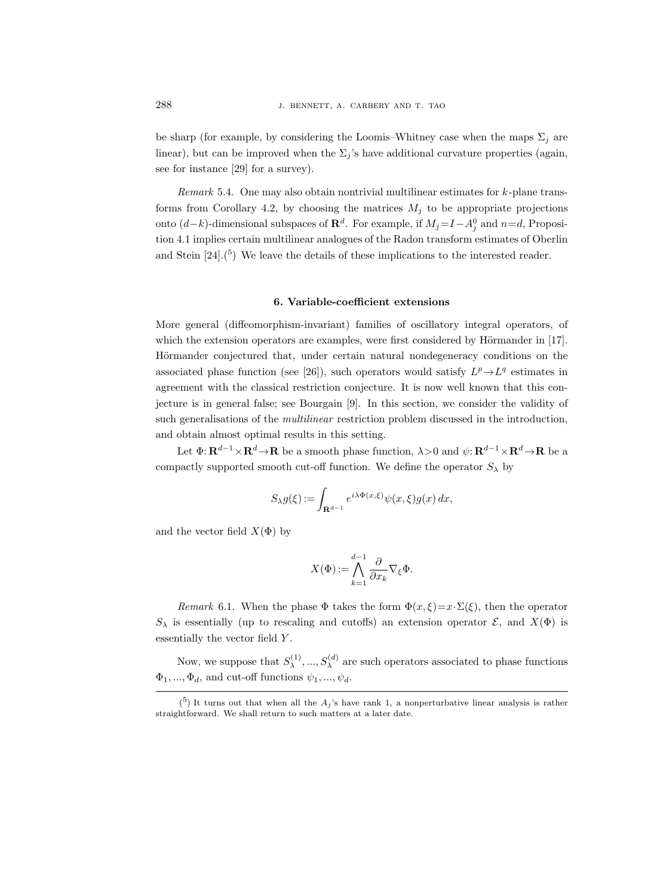be sharp (for example, by considering the Loomis–Whitney case when the maps  $\Sigma_i$  are linear), but can be improved when the  $\Sigma_i$ 's have additional curvature properties (again, see for instance [29] for a survey).

Remark 5.4. One may also obtain nontrivial multilinear estimates for k-plane transforms from Corollary 4.2, by choosing the matrices  $M_i$  to be appropriate projections onto  $(d-k)$ -dimensional subspaces of  $\mathbb{R}^d$ . For example, if  $M_j = I - A_j^0$  and  $n = d$ , Proposition 4.1 implies certain multilinear analogues of the Radon transform estimates of Oberlin and Stein  $[24]$ .<sup>(5</sup>) We leave the details of these implications to the interested reader.

# 6. Variable-coefficient extensions

More general (diffeomorphism-invariant) families of oscillatory integral operators, of which the extension operators are examples, were first considered by Hörmander in  $[17]$ . Hörmander conjectured that, under certain natural nondegeneracy conditions on the associated phase function (see [26]), such operators would satisfy  $L^p \rightarrow L^q$  estimates in agreement with the classical restriction conjecture. It is now well known that this conjecture is in general false; see Bourgain [9]. In this section, we consider the validity of such generalisations of the *multilinear* restriction problem discussed in the introduction, and obtain almost optimal results in this setting.

Let  $\Phi: \mathbf{R}^{d-1} \times \mathbf{R}^d \to \mathbf{R}$  be a smooth phase function,  $\lambda > 0$  and  $\psi: \mathbf{R}^{d-1} \times \mathbf{R}^d \to \mathbf{R}$  be a compactly supported smooth cut-off function. We define the operator  $S_{\lambda}$  by

$$
S_{\lambda}g(\xi) := \int_{\mathbf{R}^{d-1}} e^{i\lambda \Phi(x,\xi)} \psi(x,\xi)g(x) dx,
$$

and the vector field  $X(\Phi)$  by

$$
X(\Phi) := \bigwedge_{k=1}^{d-1} \frac{\partial}{\partial x_k} \nabla_{\xi} \Phi.
$$

Remark 6.1. When the phase  $\Phi$  takes the form  $\Phi(x,\xi)=x\cdot\Sigma(\xi)$ , then the operator  $S_{\lambda}$  is essentially (up to rescaling and cutoffs) an extension operator  $\mathcal{E}$ , and  $X(\Phi)$  is essentially the vector field Y .

Now, we suppose that  $S_{\lambda}^{(1)}$  $\lambda^{(1)}, \ldots, S_{\lambda}^{(d)}$  are such operators associated to phase functions  $\Phi_1, ..., \Phi_d$ , and cut-off functions  $\psi_1, ..., \psi_d$ .

 $(5)$  It turns out that when all the  $A_j$ 's have rank 1, a nonperturbative linear analysis is rather straightforward. We shall return to such matters at a later date.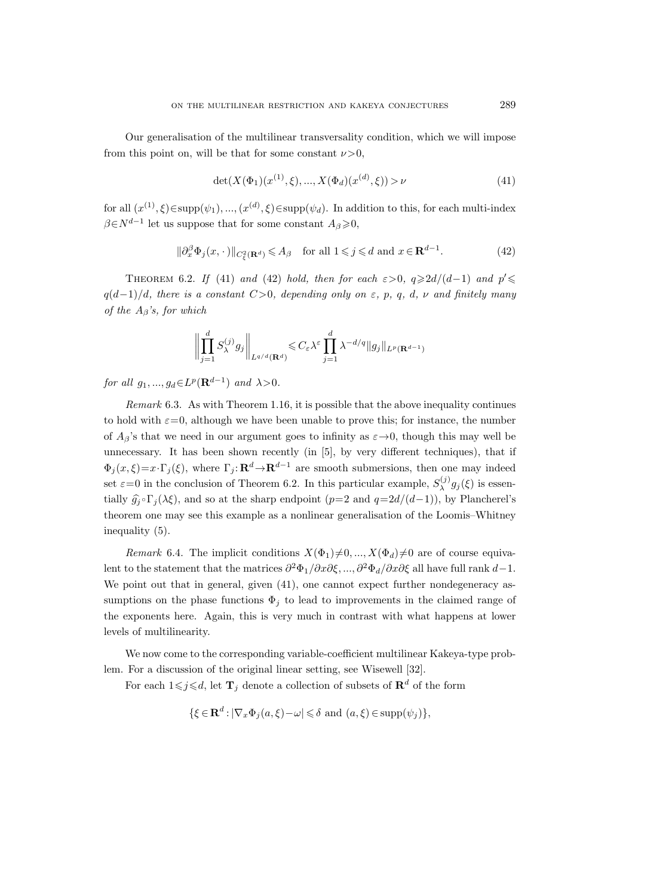Our generalisation of the multilinear transversality condition, which we will impose from this point on, will be that for some constant  $\nu > 0$ ,

$$
\det(X(\Phi_1)(x^{(1)}, \xi), ..., X(\Phi_d)(x^{(d)}, \xi)) > \nu \tag{41}
$$

for all  $(x^{(1)}, \xi) \in \text{supp}(\psi_1), ..., (x^{(d)}, \xi) \in \text{supp}(\psi_d)$ . In addition to this, for each multi-index  $\beta \in N^{d-1}$  let us suppose that for some constant  $A_{\beta} \geqslant 0$ ,

$$
\|\partial_x^{\beta}\Phi_j(x,\cdot)\|_{C^2_{\xi}(\mathbf{R}^d)} \leq A_{\beta} \quad \text{for all } 1 \leq j \leq d \text{ and } x \in \mathbf{R}^{d-1}.
$$
 (42)

THEOREM 6.2. If (41) and (42) hold, then for each  $\varepsilon > 0$ ,  $q \geq 2d/(d-1)$  and  $p' \leq$  $q(d-1)/d$ , there is a constant  $C>0$ , depending only on  $\varepsilon$ , p, q, d, v and finitely many of the  $A_\beta$ 's, for which

$$
\left\| \prod_{j=1}^d S_{\lambda}^{(j)} g_j \right\|_{L^{q/d}(\mathbf{R}^d)} \leqslant C_{\varepsilon} \lambda^{\varepsilon} \prod_{j=1}^d \lambda^{-d/q} \|g_j\|_{L^p(\mathbf{R}^{d-1})}
$$

for all  $g_1, ..., g_d \in L^p(\mathbf{R}^{d-1})$  and  $\lambda > 0$ .

Remark 6.3. As with Theorem 1.16, it is possible that the above inequality continues to hold with  $\varepsilon=0$ , although we have been unable to prove this; for instance, the number of  $A_{\beta}$ 's that we need in our argument goes to infinity as  $\varepsilon \rightarrow 0$ , though this may well be unnecessary. It has been shown recently (in [5], by very different techniques), that if  $\Phi_j(x,\xi)=x\cdot\Gamma_j(\xi)$ , where  $\Gamma_j: \mathbf{R}^d\to\mathbf{R}^{d-1}$  are smooth submersions, then one may indeed set  $\varepsilon = 0$  in the conclusion of Theorem 6.2. In this particular example,  $S_{\lambda}^{(j)}$  $\lambda^{(j)}g_j(\xi)$  is essentially  $\hat{g}_i \circ \Gamma_i(\lambda \xi)$ , and so at the sharp endpoint  $(p=2 \text{ and } q=2d/(d-1))$ , by Plancherel's theorem one may see this example as a nonlinear generalisation of the Loomis–Whitney inequality (5).

Remark 6.4. The implicit conditions  $X(\Phi_1)\neq 0, ..., X(\Phi_d)\neq 0$  are of course equivalent to the statement that the matrices  $\partial^2 \Phi_1/\partial x \partial \xi, ..., \partial^2 \Phi_d/\partial x \partial \xi$  all have full rank  $d-1$ . We point out that in general, given  $(41)$ , one cannot expect further nondegeneracy assumptions on the phase functions  $\Phi_j$  to lead to improvements in the claimed range of the exponents here. Again, this is very much in contrast with what happens at lower levels of multilinearity.

We now come to the corresponding variable-coefficient multilinear Kakeya-type problem. For a discussion of the original linear setting, see Wisewell [32].

For each  $1 \leq j \leq d$ , let  $\mathbf{T}_j$  denote a collection of subsets of  $\mathbf{R}^d$  of the form

$$
\{\xi \in \mathbf{R}^d : |\nabla_x \Phi_j(a,\xi) - \omega| \leq \delta \text{ and } (a,\xi) \in \text{supp}(\psi_j)\},
$$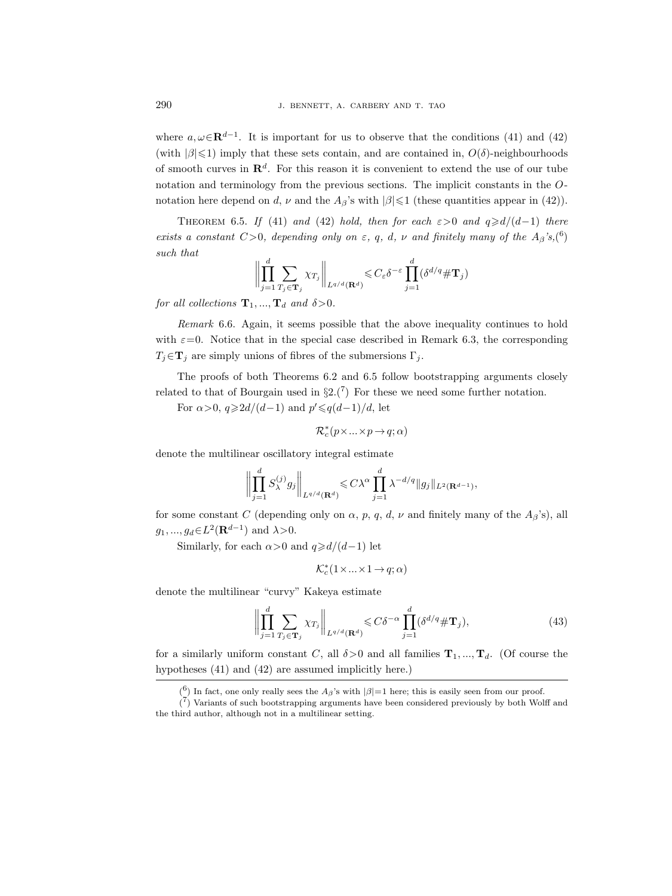where  $a, \omega \in \mathbf{R}^{d-1}$ . It is important for us to observe that the conditions (41) and (42) (with  $|\beta| \leq 1$ ) imply that these sets contain, and are contained in,  $O(\delta)$ -neighbourhoods of smooth curves in  $\mathbb{R}^d$ . For this reason it is convenient to extend the use of our tube notation and terminology from the previous sections. The implicit constants in the Onotation here depend on d,  $\nu$  and the  $A_{\beta}$ 's with  $|\beta| \leq 1$  (these quantities appear in (42)).

THEOREM 6.5. If (41) and (42) hold, then for each  $\varepsilon > 0$  and  $q \ge d/(d-1)$  there exists a constant  $C>0$ , depending only on  $\varepsilon$ , q, d,  $\nu$  and finitely many of the  $A_{\beta}$ 's,(<sup>6</sup>) such that

$$
\left\| \prod_{j=1}^d \sum_{T_j \in \mathbf{T}_j} \chi_{T_j} \right\|_{L^{q/d}(\mathbf{R}^d)} \leqslant C_{\varepsilon} \delta^{-\varepsilon} \prod_{j=1}^d (\delta^{d/q} \# \mathbf{T}_j)
$$

for all collections  $\mathbf{T}_1, ..., \mathbf{T}_d$  and  $\delta > 0$ .

Remark 6.6. Again, it seems possible that the above inequality continues to hold with  $\varepsilon=0$ . Notice that in the special case described in Remark 6.3, the corresponding  $T_j \in \mathbf{T}_j$  are simply unions of fibres of the submersions  $\Gamma_j$ .

The proofs of both Theorems 6.2 and 6.5 follow bootstrapping arguments closely related to that of Bourgain used in  $\S2(7)$  For these we need some further notation.

For  $\alpha > 0$ ,  $q \ge 2d/(d-1)$  and  $p' \le q(d-1)/d$ , let

$$
\mathcal{R}_c^*(p\times\ldots\times p\to q;\alpha)
$$

denote the multilinear oscillatory integral estimate

$$
\left\| \prod_{j=1}^d S_{\lambda}^{(j)} g_j \right\|_{L^{q/d}(\mathbf{R}^d)} \leqslant C\lambda^{\alpha} \prod_{j=1}^d \lambda^{-d/q} \|g_j\|_{L^2(\mathbf{R}^{d-1})},
$$

for some constant C (depending only on  $\alpha$ , p, q, d, v and finitely many of the  $A_{\beta}$ 's), all  $g_1, ..., g_d \in L^2(\mathbf{R}^{d-1})$  and  $\lambda > 0$ .

Similarly, for each  $\alpha > 0$  and  $q \ge d/(d-1)$  let

$$
\mathcal{K}_c^*(1\times \ldots \times 1 \to q; \alpha)
$$

denote the multilinear "curvy" Kakeya estimate

$$
\left\| \prod_{j=1}^{d} \sum_{T_j \in \mathbf{T}_j} \chi_{T_j} \right\|_{L^{q/d}(\mathbf{R}^d)} \leqslant C\delta^{-\alpha} \prod_{j=1}^{d} (\delta^{d/q} \# \mathbf{T}_j),\tag{43}
$$

for a similarly uniform constant C, all  $\delta > 0$  and all families  $\mathbf{T}_1, ..., \mathbf{T}_d$ . (Of course the hypotheses (41) and (42) are assumed implicitly here.)

<sup>(&</sup>lt;sup>6</sup>) In fact, one only really sees the  $A_{\beta}$ 's with  $|\beta|=1$  here; this is easily seen from our proof.

 $\binom{7}{1}$  Variants of such bootstrapping arguments have been considered previously by both Wolff and the third author, although not in a multilinear setting.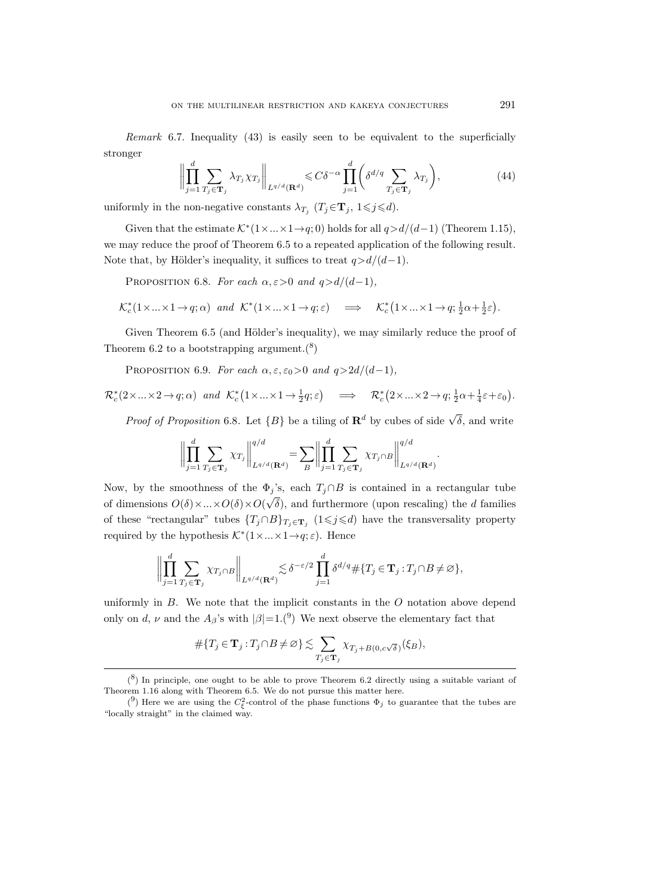*Remark* 6.7. Inequality  $(43)$  is easily seen to be equivalent to the superficially stronger

$$
\left\| \prod_{j=1}^{d} \sum_{T_j \in \mathbf{T}_j} \lambda_{T_j} \chi_{T_j} \right\|_{L^{q/d}(\mathbf{R}^d)} \leqslant C\delta^{-\alpha} \prod_{j=1}^{d} \left( \delta^{d/q} \sum_{T_j \in \mathbf{T}_j} \lambda_{T_j} \right),\tag{44}
$$

uniformly in the non-negative constants  $\lambda_{T_j}$   $(T_j \in \mathbf{T}_j, 1 \leq j \leq d)$ .

Given that the estimate  $\mathcal{K}^*(1 \times ... \times 1 \rightarrow q; 0)$  holds for all  $q>d/(d-1)$  (Theorem 1.15), we may reduce the proof of Theorem 6.5 to a repeated application of the following result. Note that, by Hölder's inequality, it suffices to treat  $q>d/(d-1)$ .

PROPOSITION 6.8. For each  $\alpha, \epsilon > 0$  and  $q > d/(d-1)$ ,

$$
\mathcal{K}_c^*(1 \times \ldots \times 1 \to q; \alpha) \quad \text{and} \quad \mathcal{K}^*(1 \times \ldots \times 1 \to q; \varepsilon) \quad \implies \quad \mathcal{K}_c^*(1 \times \ldots \times 1 \to q; \frac{1}{2}\alpha + \frac{1}{2}\varepsilon).
$$

Given Theorem 6.5 (and Hölder's inequality), we may similarly reduce the proof of Theorem 6.2 to a bootstrapping argument. $(8)$ 

PROPOSITION 6.9. For each  $\alpha, \epsilon, \epsilon_0 > 0$  and  $q > 2d/(d-1)$ ,

$$
\mathcal{R}_c^*(2 \times \ldots \times 2 \to q; \alpha) \quad \text{and} \quad \mathcal{K}_c^*(1 \times \ldots \times 1 \to \frac{1}{2}q; \varepsilon) \quad \implies \quad \mathcal{R}_c^*(2 \times \ldots \times 2 \to q; \frac{1}{2}\alpha + \frac{1}{4}\varepsilon + \varepsilon_0).
$$

*Proof of Proposition* 6.8. Let  ${B}$  be a tiling of  $\mathbb{R}^d$  by cubes of side  $\sqrt{\delta}$ , and write

$$
\left\| \prod_{j=1}^d \sum_{T_j \in \mathbf{T}_j} \chi_{T_j} \right\|_{L^{q/d}(\mathbf{R}^d)}^{q/d} = \sum_B \left\| \prod_{j=1}^d \sum_{T_j \in \mathbf{T}_j} \chi_{T_j \cap B} \right\|_{L^{q/d}(\mathbf{R}^d)}^{q/d}.
$$

Now, by the smoothness of the  $\Phi_j$ 's, each  $T_j \cap B$  is contained in a rectangular tube of dimensions  $O(\delta) \times ... \times O(\delta) \times O(\sqrt{\delta})$ , and furthermore (upon rescaling) the d families of these "rectangular" tubes  $\{T_j \cap B\}_{T_j \in \mathbf{T}_j}$  (1 $\leq j \leq d$ ) have the transversality property required by the hypothesis  $\mathcal{K}^*(1 \times ... \times 1 \rightarrow q; \varepsilon)$ . Hence

$$
\left\| \prod_{j=1}^d \sum_{T_j \in \mathbf{T}_j} \chi_{T_j \cap B} \right\|_{L^{q/d}(\mathbf{R}^d)} \lesssim \delta^{-\varepsilon/2} \prod_{j=1}^d \delta^{d/q} \# \{T_j \in \mathbf{T}_j : T_j \cap B \neq \varnothing \},\
$$

uniformly in  $B$ . We note that the implicit constants in the  $O$  notation above depend only on d,  $\nu$  and the  $A_{\beta}$ 's with  $|\beta|=1$ .<sup>(9</sup>) We next observe the elementary fact that

$$
\#\{T_j\in\mathbf{T}_j: T_j\cap B\neq \varnothing\}\lesssim \sum\limits_{T_j\in\mathbf{T}_j}\chi_{T_j+B(0,c\sqrt{\delta})}(\xi_B),
$$

 $(8)$  In principle, one ought to be able to prove Theorem 6.2 directly using a suitable variant of Theorem 1.16 along with Theorem 6.5. We do not pursue this matter here.

<sup>(&</sup>lt;sup>9</sup>) Here we are using the  $C_{\xi}^2$ -control of the phase functions  $\Phi_j$  to guarantee that the tubes are "locally straight" in the claimed way.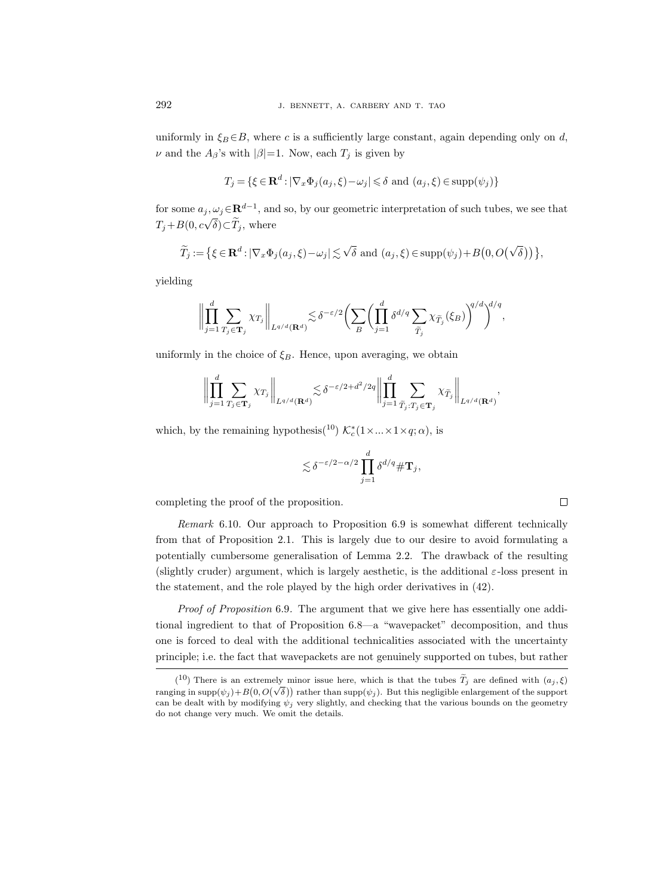uniformly in  $\xi_B \in B$ , where c is a sufficiently large constant, again depending only on d,  $\nu$  and the  $A_{\beta}$ 's with  $|\beta|=1$ . Now, each  $T_i$  is given by

$$
T_j = \{ \xi \in \mathbf{R}^d : |\nabla_x \Phi_j(a_j, \xi) - \omega_j| \leq \delta \text{ and } (a_j, \xi) \in \text{supp}(\psi_j) \}
$$

for some  $a_j, \omega_j \in \mathbf{R}^{d-1}$ , and so, by our geometric interpretation of such tubes, we see that  $T_j + B(0, c\sqrt{\delta}) \subset \widetilde{T}_j$ , where

$$
\widetilde{T}_j := \left\{ \xi \in \mathbf{R}^d : |\nabla_x \Phi_j(a_j, \xi) - \omega_j| \lesssim \sqrt{\delta} \text{ and } (a_j, \xi) \in \text{supp}(\psi_j) + B\big(0, O\big(\sqrt{\delta}\big)\big) \right\},\
$$

yielding

$$
\bigg\|\prod_{j=1}^d\sum_{T_j\in{\bf T}_j}\chi_{T_j}\bigg\|_{L^{q/d}({\bf R}^d)}\lesssim \delta^{-\varepsilon/2}\bigg(\sum_{B}\bigg(\prod_{j=1}^d\delta^{d/q}\sum_{\widetilde{T}_j}\chi_{\widetilde{T}_j}(\xi_B)\bigg)^{q/d}\bigg)^{d/q},
$$

uniformly in the choice of  $\xi_B$ . Hence, upon averaging, we obtain

$$
\left\| \prod_{j=1}^d \sum_{T_j \in \mathbf{T}_j} \chi_{T_j} \right\|_{L^{q/d}(\mathbf{R}^d)} \lesssim \delta^{-\varepsilon/2 + d^2/2q} \left\| \prod_{j=1}^d \sum_{\widetilde{T}_j: T_j \in \mathbf{T}_j} \chi_{\widetilde{T}_j} \right\|_{L^{q/d}(\mathbf{R}^d)},
$$

which, by the remaining hypothesis(<sup>10</sup>)  $\mathcal{K}_c^*(1 \times ... \times 1 \times q; \alpha)$ , is

$$
\lesssim \delta^{-\varepsilon/2-\alpha/2} \prod_{j=1}^d \delta^{d/q} \#\mathbf{T}_j,
$$

completing the proof of the proposition.

Remark 6.10. Our approach to Proposition 6.9 is somewhat different technically from that of Proposition 2.1. This is largely due to our desire to avoid formulating a potentially cumbersome generalisation of Lemma 2.2. The drawback of the resulting (slightly cruder) argument, which is largely aesthetic, is the additional  $\varepsilon$ -loss present in the statement, and the role played by the high order derivatives in (42).

Proof of Proposition 6.9. The argument that we give here has essentially one additional ingredient to that of Proposition 6.8—a "wavepacket" decomposition, and thus one is forced to deal with the additional technicalities associated with the uncertainty principle; i.e. the fact that wavepackets are not genuinely supported on tubes, but rather

<sup>(&</sup>lt;sup>10</sup>) There is an extremely minor issue here, which is that the tubes  $\tilde{T}_j$  are defined with  $(a_j, \xi)$ ranging in supp $(\psi_j)$  +  $B(0, O(\sqrt{\delta}))$  rather than supp $(\psi_j)$ . But this negligible enlargement of the support can be dealt with by modifying  $\psi_i$  very slightly, and checking that the various bounds on the geometry do not change very much. We omit the details.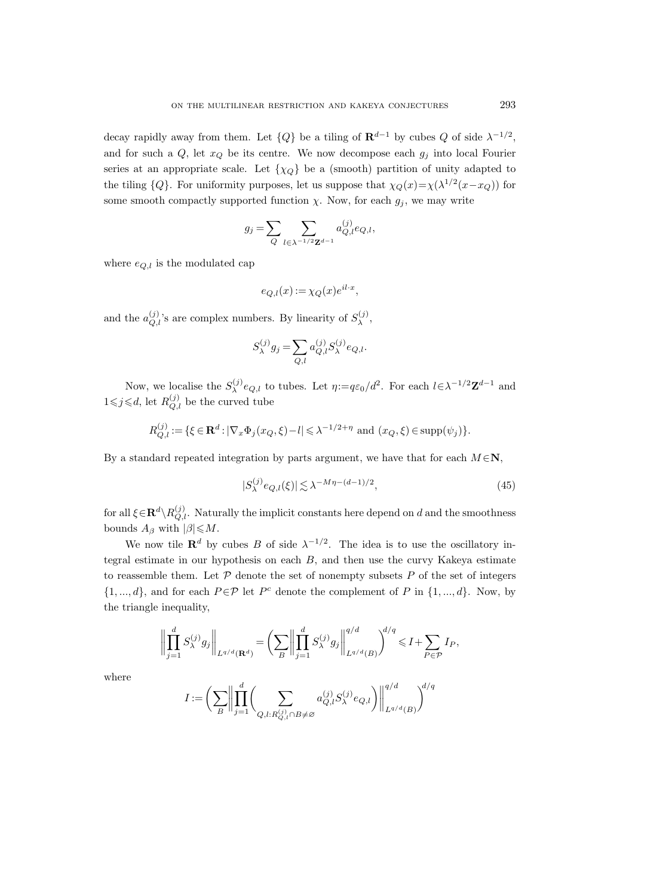decay rapidly away from them. Let  ${Q}$  be a tiling of  $\mathbf{R}^{d-1}$  by cubes  $Q$  of side  $\lambda^{-1/2}$ , and for such a  $Q$ , let  $x_Q$  be its centre. We now decompose each  $g_i$  into local Fourier series at an appropriate scale. Let  $\{\chi_Q\}$  be a (smooth) partition of unity adapted to the tiling  ${Q}$ . For uniformity purposes, let us suppose that  $\chi_Q(x) = \chi(\lambda^{1/2}(x - x_Q))$  for some smooth compactly supported function  $\chi$ . Now, for each  $g_j$ , we may write

$$
g_j = \sum_{Q} \sum_{l \in \lambda^{-1/2} \mathbf{Z}^{d-1}} a_{Q,l}^{(j)} e_{Q,l},
$$

where  $e_{Q,l}$  is the modulated cap

$$
e_{Q,l}(x) := \chi_Q(x)e^{il\cdot x},
$$

and the  $a_{Q,l}^{(j)}$ 's are complex numbers. By linearity of  $S_\lambda^{(j)}$  $\lambda^{(J)},$ 

$$
S_\lambda^{(j)} g_j = \sum_{Q,l} a_{Q,l}^{(j)} S_\lambda^{(j)} e_{Q,l}.
$$

Now, we localise the  $S_{\lambda}^{(j)}$  $\lambda^{(j)} e_{Q,l}$  to tubes. Let  $\eta := q \varepsilon_0 / d^2$ . For each  $l \in \lambda^{-1/2} \mathbb{Z}^{d-1}$  and  $1 \leq j \leq d$ , let  $R_{Q,l}^{(j)}$  be the curved tube

$$
R_{Q,l}^{(j)} := \{ \xi \in \mathbf{R}^d : |\nabla_x \Phi_j(x_Q, \xi) - l| \le \lambda^{-1/2 + \eta} \text{ and } (x_Q, \xi) \in \text{supp}(\psi_j) \}.
$$

By a standard repeated integration by parts argument, we have that for each  $M \in \mathbb{N}$ ,

$$
|S_{\lambda}^{(j)}e_{Q,l}(\xi)| \lesssim \lambda^{-M\eta - (d-1)/2},\tag{45}
$$

for all  $\xi \in \mathbf{R}^d \setminus R_{Q,l}^{(j)}$ . Naturally the implicit constants here depend on d and the smoothness bounds  $A_\beta$  with  $|\beta| \leqslant M$ .

We now tile  $\mathbf{R}^d$  by cubes B of side  $\lambda^{-1/2}$ . The idea is to use the oscillatory integral estimate in our hypothesis on each  $B$ , and then use the curvy Kakeya estimate to reassemble them. Let  $P$  denote the set of nonempty subsets  $P$  of the set of integers  $\{1, ..., d\}$ , and for each  $P \in \mathcal{P}$  let  $P^c$  denote the complement of P in  $\{1, ..., d\}$ . Now, by the triangle inequality,

$$
\left\| \prod_{j=1}^d S_{\lambda}^{(j)} g_j \right\|_{L^{q/d}(\mathbf{R}^d)} = \left( \sum_B \left\| \prod_{j=1}^d S_{\lambda}^{(j)} g_j \right\|_{L^{q/d}(B)}^{q/d} \right)^{d/q} \leqslant I + \sum_{P \in \mathcal{P}} I_P,
$$

where

$$
I:=\bigg(\sum_{B}\bigg\|\prod_{j=1}^d\bigg(\sum_{Q,l:R_{Q,l}^{(j)}\cap B\not=\varnothing}a_{Q,l}^{(j)}S^{(j)}_{\lambda}e_{Q,l}\bigg)\bigg\|_{L^{q/d}(B)}^{q/d}\bigg)^{d/q}
$$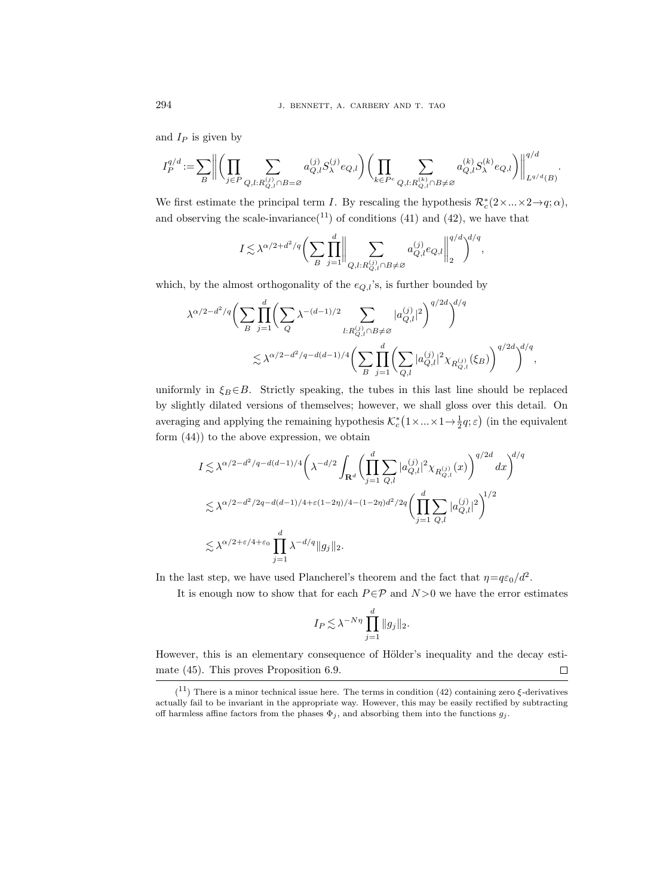and  $I_P$  is given by

$$
I_P^{q/d}:=\sum_{B} \bigg\|\bigg(\prod_{j\in P}\sum_{Q,l: R^{(j)}_{Q,l}\cap B=\varnothing}a^{(j)}_{Q,l}S^{(j)}_{\lambda}e_{Q,l}\bigg)\bigg(\prod_{k\in P^c}\sum_{Q,l: R^{(k)}_{Q,l}\cap B\neq\varnothing}a^{(k)}_{Q,l}S^{(k)}_{\lambda}e_{Q,l}\bigg)\bigg\|_{L^{q/d}(B)}^{q/d}.
$$

We first estimate the principal term I. By rescaling the hypothesis  $\mathcal{R}_c^*(2 \times ... \times 2 \to q; \alpha)$ , and observing the scale-invariance<sup>(11</sup>) of conditions (41) and (42), we have that

$$
I \lesssim \lambda^{\alpha/2 + d^2/q} \bigg(\sum_B \prod_{j=1}^d \bigg\|\sum_{Q,l: R_{Q,l}^{(j)} \cap B \neq \varnothing} a_{Q,l}^{(j)} e_{Q,l} \bigg\|_2^{q/d} \bigg)^{d/q},
$$

which, by the almost orthogonality of the  $e_{Q,l}$ 's, is further bounded by

$$
\begin{split} \lambda^{\alpha/2-d^2/q} \bigg( & \sum_{B} \prod_{j=1}^d \bigg( \sum_Q \lambda^{-(d-1)/2} \sum_{l: R_{Q,l}^{(j)} \cap B \neq \varnothing} |a_{Q,l}^{(j)}|^2 \bigg)^{q/2d} \bigg)^{d/q} \\ & \lesssim \lambda^{\alpha/2-d^2/q-d(d-1)/4} \bigg( \sum_{B} \prod_{j=1}^d \bigg( \sum_{Q,l} |a_{Q,l}^{(j)}|^2 \chi_{R_{Q,l}^{(j)}}(\xi_B) \bigg)^{q/2d} \bigg)^{d/q}, \end{split}
$$

uniformly in  $\xi_B \in B$ . Strictly speaking, the tubes in this last line should be replaced by slightly dilated versions of themselves; however, we shall gloss over this detail. On averaging and applying the remaining hypothesis  $\mathcal{K}_c^*(1 \times ... \times 1 \to \frac{1}{2}q; \varepsilon)$  (in the equivalent form (44)) to the above expression, we obtain

$$
\begin{split} & I \lesssim \lambda^{\alpha/2-d^2/q-d(d-1)/4} \bigg( \lambda^{-d/2} \int_{\mathbf{R}^d} \bigg( \prod_{j=1}^d \sum_{Q,l} |a_{Q,l}^{(j)}|^2 \chi_{R_{Q,l}^{(j)}}(x) \bigg)^{q/2d} \, dx \bigg)^{d/q} \\ & \lesssim \lambda^{\alpha/2-d^2/2q-d(d-1)/4+\varepsilon(1-2\eta)/4-(1-2\eta)d^2/2q} \bigg( \prod_{j=1}^d \sum_{Q,l} |a_{Q,l}^{(j)}|^2 \bigg)^{1/2} \\ & \lesssim \lambda^{\alpha/2+\varepsilon/4+\varepsilon_0} \prod_{j=1}^d \lambda^{-d/q} \|g_j\|_2. \end{split}
$$

In the last step, we have used Plancherel's theorem and the fact that  $\eta = q\varepsilon_0/d^2$ .

It is enough now to show that for each  $P \in \mathcal{P}$  and  $N > 0$  we have the error estimates

$$
I_P \lesssim \lambda^{-N\eta} \prod_{j=1}^d \|g_j\|_2.
$$

However, this is an elementary consequence of Hölder's inequality and the decay estimate (45). This proves Proposition 6.9.  $\Box$ 

 $(11)$  There is a minor technical issue here. The terms in condition (42) containing zero  $\xi$ -derivatives actually fail to be invariant in the appropriate way. However, this may be easily rectified by subtracting off harmless affine factors from the phases  $\Phi_j$ , and absorbing them into the functions  $g_j$ .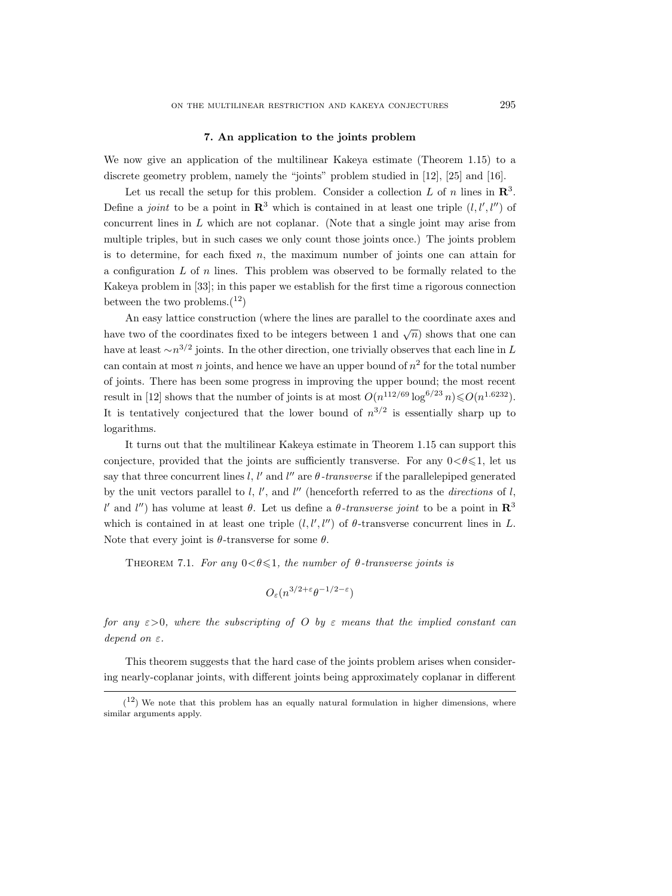## 7. An application to the joints problem

We now give an application of the multilinear Kakeya estimate (Theorem 1.15) to a discrete geometry problem, namely the "joints" problem studied in [12], [25] and [16].

Let us recall the setup for this problem. Consider a collection L of n lines in  $\mathbb{R}^3$ . Define a joint to be a point in  $\mathbb{R}^3$  which is contained in at least one triple  $(l, l', l'')$  of concurrent lines in  $L$  which are not coplanar. (Note that a single joint may arise from multiple triples, but in such cases we only count those joints once.) The joints problem is to determine, for each fixed  $n$ , the maximum number of joints one can attain for a configuration  $L$  of  $n$  lines. This problem was observed to be formally related to the Kakeya problem in [33]; in this paper we establish for the first time a rigorous connection between the two problems. $(12)$ 

An easy lattice construction (where the lines are parallel to the coordinate axes and have two of the coordinates fixed to be integers between 1 and  $\sqrt{n}$ ) shows that one can have at least  $\sim n^{3/2}$  joints. In the other direction, one trivially observes that each line in L can contain at most n joints, and hence we have an upper bound of  $n^2$  for the total number of joints. There has been some progress in improving the upper bound; the most recent result in [12] shows that the number of joints is at most  $O(n^{112/69} \log^{6/23} n) \leq O(n^{1.6232})$ . It is tentatively conjectured that the lower bound of  $n^{3/2}$  is essentially sharp up to logarithms.

It turns out that the multilinear Kakeya estimate in Theorem 1.15 can support this conjecture, provided that the joints are sufficiently transverse. For any  $0 < \theta \leq 1$ , let us say that three concurrent lines l, l' and l'' are  $\theta$ -transverse if the parallelepiped generated by the unit vectors parallel to  $l, l',$  and  $l''$  (henceforth referred to as the *directions* of  $l$ , l' and l'') has volume at least θ. Let us define a θ-transverse joint to be a point in  $\mathbb{R}^3$ which is contained in at least one triple  $(l, l', l'')$  of  $\theta$ -transverse concurrent lines in L. Note that every joint is  $\theta$ -transverse for some  $\theta$ .

THEOREM 7.1. For any  $0 < \theta \leq 1$ , the number of  $\theta$ -transverse joints is

$$
O_{\varepsilon}(n^{3/2+\varepsilon}\theta^{-1/2-\varepsilon})
$$

for any  $\varepsilon > 0$ , where the subscripting of O by  $\varepsilon$  means that the implied constant can depend on  $\varepsilon$ .

This theorem suggests that the hard case of the joints problem arises when considering nearly-coplanar joints, with different joints being approximately coplanar in different

 $(1^2)$  We note that this problem has an equally natural formulation in higher dimensions, where similar arguments apply.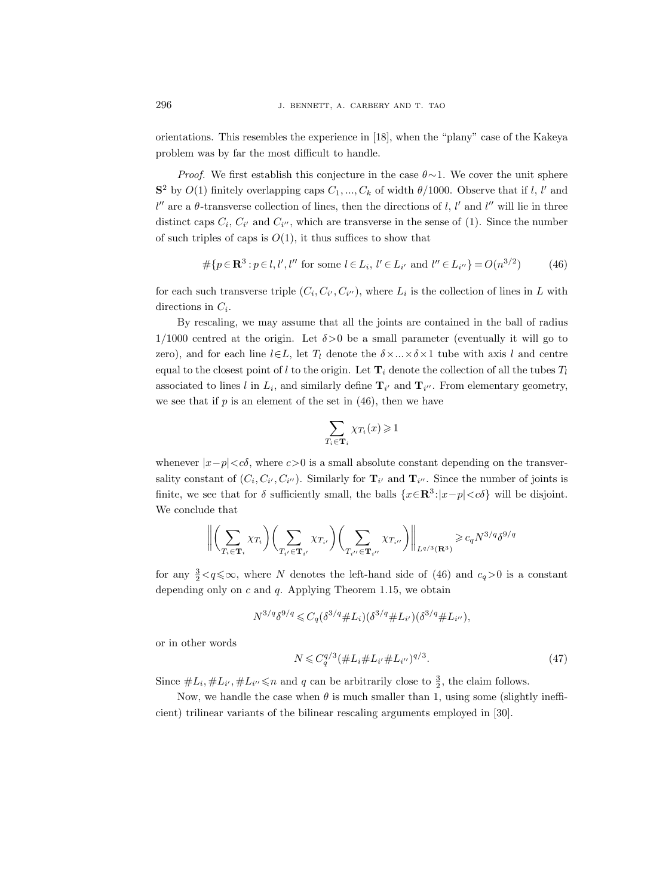orientations. This resembles the experience in [18], when the "plany" case of the Kakeya problem was by far the most difficult to handle.

*Proof.* We first establish this conjecture in the case  $\theta \sim 1$ . We cover the unit sphere  $S^2$  by  $O(1)$  finitely overlapping caps  $C_1, ..., C_k$  of width  $\theta/1000$ . Observe that if l, l' and  $l''$  are a  $\theta$ -transverse collection of lines, then the directions of l, l' and l'' will lie in three distinct caps  $C_i$ ,  $C_{i'}$  and  $C_{i''}$ , which are transverse in the sense of (1). Since the number of such triples of caps is  $O(1)$ , it thus suffices to show that

$$
\# \{ p \in \mathbf{R}^3 : p \in l, l', l'' \text{ for some } l \in L_i, l' \in L_{i'} \text{ and } l'' \in L_{i''} \} = O(n^{3/2}) \tag{46}
$$

for each such transverse triple  $(C_i, C_{i'}, C_{i''})$ , where  $L_i$  is the collection of lines in L with directions in  $C_i$ .

By rescaling, we may assume that all the joints are contained in the ball of radius 1/1000 centred at the origin. Let  $\delta > 0$  be a small parameter (eventually it will go to zero), and for each line  $l\in L$ , let  $T_l$  denote the  $\delta \times ... \times \delta \times 1$  tube with axis l and centre equal to the closest point of l to the origin. Let  $\mathbf{T}_i$  denote the collection of all the tubes  $T_l$ associated to lines l in  $L_i$ , and similarly define  $\mathbf{T}_{i'}$  and  $\mathbf{T}_{i''}$ . From elementary geometry, we see that if  $p$  is an element of the set in  $(46)$ , then we have

$$
\sum_{T_i \in \mathbf{T}_i} \chi_{T_i}(x) \geq 1
$$

whenever  $|x-p| < c\delta$ , where  $c>0$  is a small absolute constant depending on the transversality constant of  $(C_i, C_{i'}, C_{i''})$ . Similarly for  $\mathbf{T}_{i'}$  and  $\mathbf{T}_{i''}$ . Since the number of joints is finite, we see that for  $\delta$  sufficiently small, the balls  $\{x \in \mathbb{R}^3 : |x-p| < c\delta\}$  will be disjoint. We conclude that

$$
\left\| \left( \sum_{T_i \in \mathbf{T}_i} \chi_{T_i} \right) \left( \sum_{T_{i'} \in \mathbf{T}_{i'}} \chi_{T_{i'}} \right) \left( \sum_{T_{i''} \in \mathbf{T}_{i''}} \chi_{T_{i''}} \right) \right\|_{L^{q/3}(\mathbf{R}^3)} \geqslant c_q N^{3/q} \delta^{9/q}
$$

for any  $\frac{3}{2} < q \leq \infty$ , where N denotes the left-hand side of (46) and  $c_q > 0$  is a constant depending only on  $c$  and  $q$ . Applying Theorem 1.15, we obtain

$$
N^{3/q} \delta^{9/q} \leqslant C_q (\delta^{3/q} \# L_i) (\delta^{3/q} \# L_{i'}) (\delta^{3/q} \# L_{i''}),
$$

or in other words

$$
N \leq C_q^{q/3} (\#L_i \#L_{i'} \#L_{i''})^{q/3}.
$$
\n(47)

Since  $\#L_i, \#L_{i'}, \#L_{i''} \leq n$  and q can be arbitrarily close to  $\frac{3}{2}$ , the claim follows.

Now, we handle the case when  $\theta$  is much smaller than 1, using some (slightly inefficient) trilinear variants of the bilinear rescaling arguments employed in [30].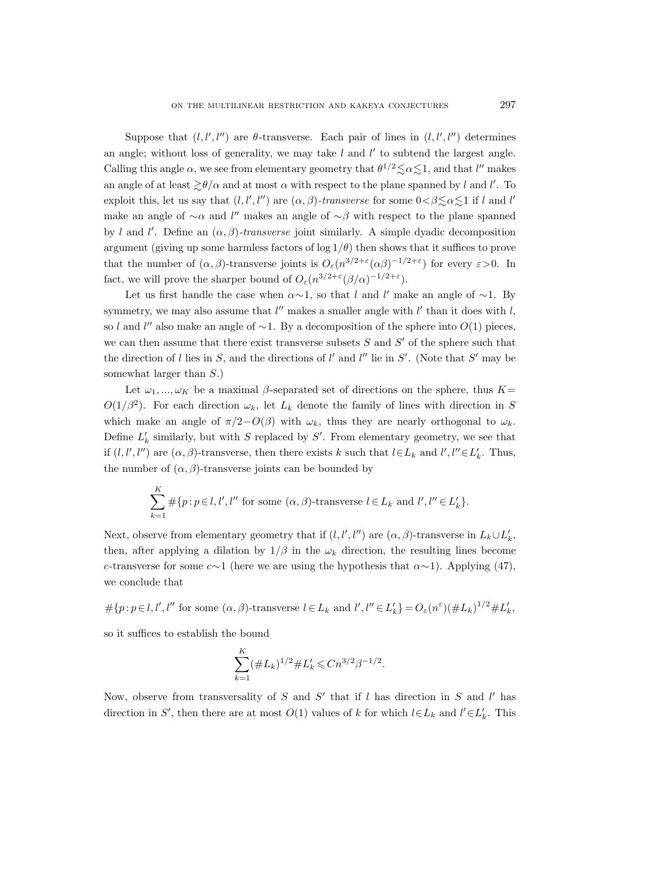Suppose that  $(l, l', l'')$  are  $\theta$ -transverse. Each pair of lines in  $(l, l', l'')$  determines an angle; without loss of generality, we may take  $l$  and  $l'$  to subtend the largest angle. Calling this angle  $\alpha$ , we see from elementary geometry that  $\theta^{1/2} \le \alpha \le 1$ , and that l'' makes an angle of at least  $\gtrsim \theta/\alpha$  and at most  $\alpha$  with respect to the plane spanned by l and l'. To exploit this, let us say that  $(l, l', l'')$  are  $(\alpha, \beta)$ -transverse for some  $0 < \beta \leq \alpha \leq 1$  if l and l' make an angle of  $\sim \alpha$  and l'' makes an angle of  $\sim \beta$  with respect to the plane spanned by l and l'. Define an  $(\alpha, \beta)$ -transverse joint similarly. A simple dyadic decomposition argument (giving up some harmless factors of  $\log 1/\theta$ ) then shows that it suffices to prove that the number of  $(\alpha, \beta)$ -transverse joints is  $O_{\varepsilon}(n^{3/2+\varepsilon}(\alpha\beta)^{-1/2+\varepsilon})$  for every  $\varepsilon > 0$ . In fact, we will prove the sharper bound of  $O_{\varepsilon}(n^{3/2+\varepsilon}(\beta/\alpha)^{-1/2+\varepsilon})$ .

Let us first handle the case when  $\alpha \sim 1$ , so that l and l' make an angle of  $\sim 1$ . By symmetry, we may also assume that  $l''$  makes a smaller angle with  $l'$  than it does with  $l$ , so l and l'' also make an angle of  $\sim$ 1. By a decomposition of the sphere into  $O(1)$  pieces, we can then assume that there exist transverse subsets  $S$  and  $S'$  of the sphere such that the direction of l lies in S, and the directions of l' and l'' lie in S'. (Note that S' may be somewhat larger than  $S$ .)

Let  $\omega_1, ..., \omega_K$  be a maximal  $\beta$ -separated set of directions on the sphere, thus  $K=$  $O(1/\beta^2)$ . For each direction  $\omega_k$ , let  $L_k$  denote the family of lines with direction in S which make an angle of  $\pi/2-O(\beta)$  with  $\omega_k$ , thus they are nearly orthogonal to  $\omega_k$ . Define  $L'_{k}$  similarly, but with S replaced by S'. From elementary geometry, we see that if  $(l, l', l'')$  are  $(\alpha, \beta)$ -transverse, then there exists k such that  $l \in L_k$  and  $l', l'' \in L'_k$ . Thus, the number of  $(\alpha, \beta)$ -transverse joints can be bounded by

$$
\sum_{k=1}^K \# \{p : p \in l, l', l'' \text{ for some } (\alpha, \beta) \text{-transverse } l \in L_k \text{ and } l', l'' \in L'_k \}.
$$

Next, observe from elementary geometry that if  $(l, l', l'')$  are  $(\alpha, \beta)$ -transverse in  $L_k \cup L'_k$ , then, after applying a dilation by  $1/\beta$  in the  $\omega_k$  direction, the resulting lines become c-transverse for some  $c \sim 1$  (here we are using the hypothesis that  $\alpha \sim 1$ ). Applying (47), we conclude that

 $\#\{p : p \in l, l', l'' \text{ for some } (\alpha, \beta) \text{-transverse } l \in L_k \text{ and } l', l'' \in L'_k\} = O_{\varepsilon}(n^{\varepsilon})(\#L_k)^{1/2}\#L'_k,$ 

so it suffices to establish the bound

$$
\sum_{k=1}^K (\#L_k)^{1/2} \#L'_k \leq C n^{3/2} \beta^{-1/2}.
$$

Now, observe from transversality of  $S$  and  $S'$  that if l has direction in  $S$  and l' has direction in S', then there are at most  $O(1)$  values of k for which  $l \in L_k$  and  $l' \in L'_k$ . This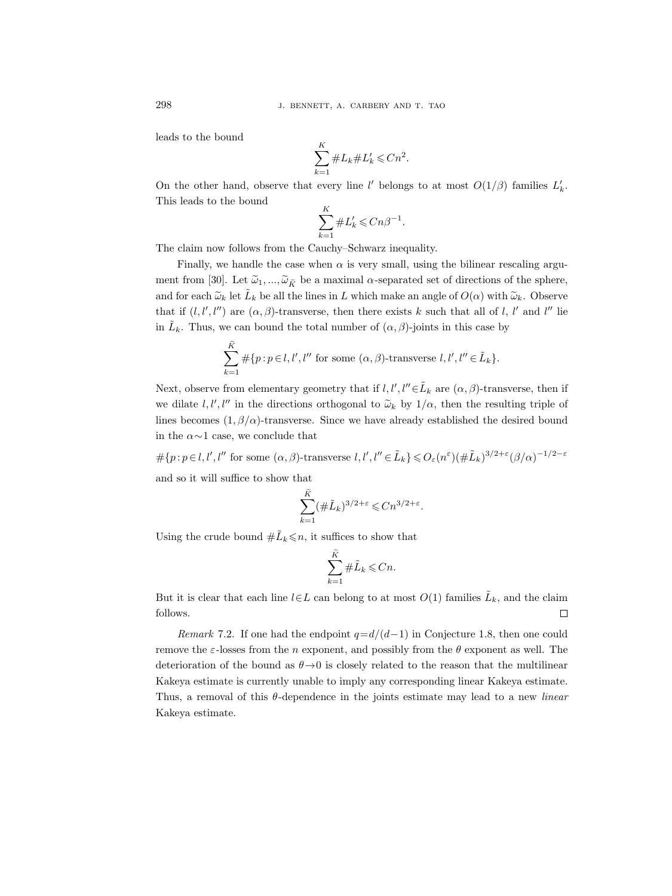leads to the bound

$$
\sum_{k=1}^K \#L_k \#L'_k \leq Cn^2.
$$

On the other hand, observe that every line l' belongs to at most  $O(1/\beta)$  families  $L'_k$ . This leads to the bound

$$
\sum_{k=1}^K \#L'_k \leqslant Cn\beta^{-1}.
$$

The claim now follows from the Cauchy–Schwarz inequality.

Finally, we handle the case when  $\alpha$  is very small, using the bilinear rescaling argument from [30]. Let  $\tilde{\omega}_1, ..., \tilde{\omega}_{\tilde{K}}$  be a maximal  $\alpha$ -separated set of directions of the sphere, and for each  $\tilde{\omega}_k$  let  $\tilde{L}_k$  be all the lines in L which make an angle of  $O(\alpha)$  with  $\tilde{\omega}_k$ . Observe that if  $(l, l', l'')$  are  $(\alpha, \beta)$ -transverse, then there exists k such that all of l, l' and l'' lie in  $\tilde{L}_k$ . Thus, we can bound the total number of  $(\alpha, \beta)$ -joints in this case by

$$
\sum_{k=1}^{\tilde{K}} \# \{p : p \in l, l', l'' \text{ for some } (\alpha, \beta) \text{-transverse } l, l', l'' \in \tilde{L}_k \}.
$$

Next, observe from elementary geometry that if  $l, l', l'' \in \tilde{L}_k$  are  $(\alpha, \beta)$ -transverse, then if we dilate  $l, l', l''$  in the directions orthogonal to  $\tilde{\omega}_k$  by  $1/\alpha$ , then the resulting triple of lines becomes  $(1, \beta/\alpha)$ -transverse. Since we have already established the desired bound in the  $\alpha \sim 1$  case, we conclude that

 $\#\{p: p\in\mathcal{l}, \mathcal{l}', \mathcal{l}'' \text{ for some } (\alpha,\beta) \text{-transverse } \mathcal{l}, \mathcal{l}', \mathcal{l}'' \in \tilde{L}_k\} \leqslant O_{\varepsilon}(n^{\varepsilon})(\#\tilde{L}_k)^{3/2+\varepsilon}(\beta/\alpha)^{-1/2-\varepsilon}$ and so it will suffice to show that

$$
\sum_{k=1}^{\tilde{K}} (\#\tilde{L}_k)^{3/2+\varepsilon} \leq Cn^{3/2+\varepsilon}.
$$

Using the crude bound  $\#\tilde{L}_k \leq n$ , it suffices to show that

$$
\sum_{k=1}^K \#\tilde{L}_k \leqslant Cn.
$$

But it is clear that each line  $l \in L$  can belong to at most  $O(1)$  families  $\tilde{L}_k$ , and the claim follows.  $\Box$ 

Remark 7.2. If one had the endpoint  $q=d/(d-1)$  in Conjecture 1.8, then one could remove the  $\varepsilon$ -losses from the n exponent, and possibly from the  $\theta$  exponent as well. The deterioration of the bound as  $\theta \rightarrow 0$  is closely related to the reason that the multilinear Kakeya estimate is currently unable to imply any corresponding linear Kakeya estimate. Thus, a removal of this  $\theta$ -dependence in the joints estimate may lead to a new *linear* Kakeya estimate.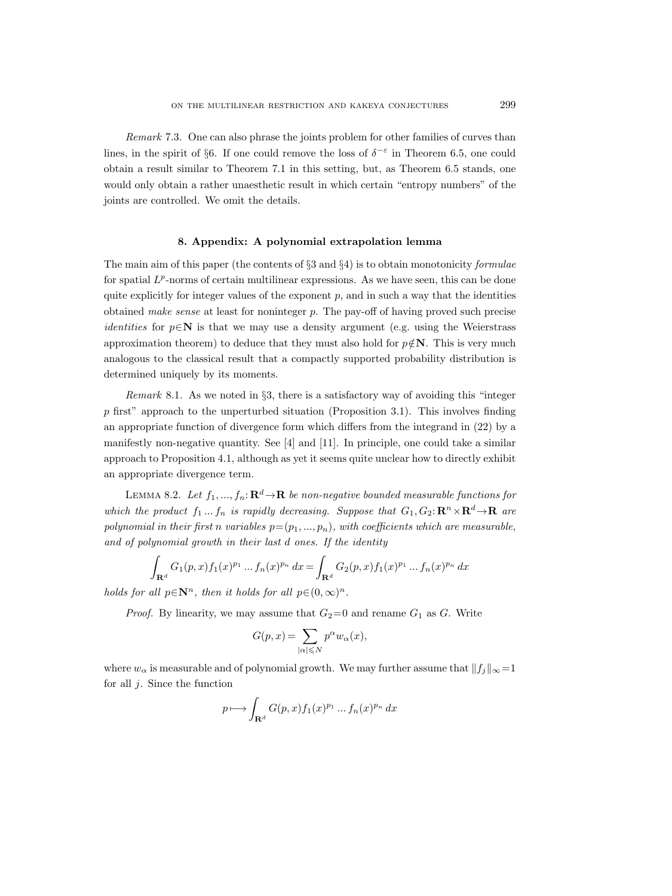Remark 7.3. One can also phrase the joints problem for other families of curves than lines, in the spirit of §6. If one could remove the loss of  $\delta^{-\epsilon}$  in Theorem 6.5, one could obtain a result similar to Theorem 7.1 in this setting, but, as Theorem 6.5 stands, one would only obtain a rather unaesthetic result in which certain "entropy numbers" of the joints are controlled. We omit the details.

# 8. Appendix: A polynomial extrapolation lemma

The main aim of this paper (the contents of  $\S 3$  and  $\S 4$ ) is to obtain monotonicity formulae for spatial  $L^p$ -norms of certain multilinear expressions. As we have seen, this can be done quite explicitly for integer values of the exponent  $p$ , and in such a way that the identities obtained make sense at least for noninteger p. The pay-off of having proved such precise *identities* for  $p \in \mathbb{N}$  is that we may use a density argument (e.g. using the Weierstrass approximation theorem) to deduce that they must also hold for  $p \notin \mathbb{N}$ . This is very much analogous to the classical result that a compactly supported probability distribution is determined uniquely by its moments.

Remark 8.1. As we noted in §3, there is a satisfactory way of avoiding this "integer  $p$  first" approach to the unperturbed situation (Proposition 3.1). This involves finding an appropriate function of divergence form which differs from the integrand in (22) by a manifestly non-negative quantity. See [4] and [11]. In principle, one could take a similar approach to Proposition 4.1, although as yet it seems quite unclear how to directly exhibit an appropriate divergence term.

LEMMA 8.2. Let  $f_1, ..., f_n: \mathbf{R}^d \to \mathbf{R}$  be non-negative bounded measurable functions for which the product  $f_1 \dots f_n$  is rapidly decreasing. Suppose that  $G_1, G_2: \mathbf{R}^n \times \mathbf{R}^d \to \mathbf{R}$  are polynomial in their first n variables  $p=(p_1, ..., p_n)$ , with coefficients which are measurable, and of polynomial growth in their last d ones. If the identity

$$
\int_{\mathbf{R}^d} G_1(p,x) f_1(x)^{p_1} \dots f_n(x)^{p_n} dx = \int_{\mathbf{R}^d} G_2(p,x) f_1(x)^{p_1} \dots f_n(x)^{p_n} dx
$$

holds for all  $p \in \mathbb{N}^n$ , then it holds for all  $p \in (0,\infty)^n$ .

*Proof.* By linearity, we may assume that  $G_2=0$  and rename  $G_1$  as G. Write

$$
G(p,x) = \sum_{|\alpha| \leqslant N} p^{\alpha} w_{\alpha}(x),
$$

where  $w_{\alpha}$  is measurable and of polynomial growth. We may further assume that  $||f_j||_{\infty}=1$ for all  $j$ . Since the function

$$
p \longmapsto \int_{\mathbf{R}^d} G(p, x) f_1(x)^{p_1} \dots f_n(x)^{p_n} dx
$$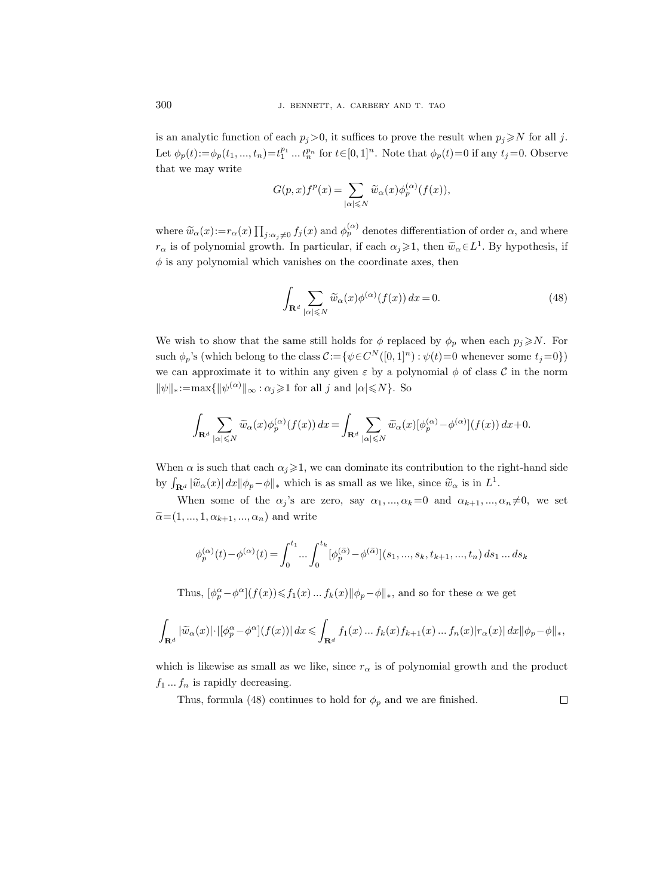is an analytic function of each  $p_j>0$ , it suffices to prove the result when  $p_j\ge N$  for all j. Let  $\phi_p(t) := \phi_p(t_1, ..., t_n) = t_1^{p_1} ... t_n^{p_n}$  for  $t \in [0, 1]^n$ . Note that  $\phi_p(t) = 0$  if any  $t_j = 0$ . Observe that we may write

$$
G(p,x)f^p(x)=\sum_{|\alpha|\leqslant N}\widetilde{w}_{\alpha}(x)\phi_{p}^{(\alpha)}(f(x)),
$$

where  $\widetilde{w}_{\alpha}(x) := r_{\alpha}(x) \prod_{j:\alpha_j\neq 0} f_j(x)$  and  $\phi_p^{(\alpha)}$  denotes differentiation of order  $\alpha$ , and where  $r_{\alpha}$  is of polynomial growth. In particular, if each  $\alpha_j \geq 1$ , then  $\widetilde{w}_{\alpha} \in L^1$ . By hypothesis, if  $\phi$  is any polynomial which vanishes on the coordinate axes, then

$$
\int_{\mathbf{R}^d} \sum_{|\alpha| \leqslant N} \widetilde{w}_{\alpha}(x) \phi^{(\alpha)}(f(x)) dx = 0.
$$
\n(48)

We wish to show that the same still holds for  $\phi$  replaced by  $\phi_p$  when each  $p_j \ge N$ . For such  $\phi_p$ 's (which belong to the class  $\mathcal{C} := \{ \psi \in C^N([0,1]^n) : \psi(t) = 0$  whenever some  $t_j = 0 \}$ ) we can approximate it to within any given  $\varepsilon$  by a polynomial  $\phi$  of class C in the norm  $\|\psi\|_* := \max\{\|\psi^{(\alpha)}\|_{\infty} : \alpha_j \geq 1 \text{ for all } j \text{ and } |\alpha| \leq N\}.$  So

$$
\int_{\mathbf{R}^d} \sum_{|\alpha| \le N} \widetilde{w}_{\alpha}(x) \phi_p^{(\alpha)}(f(x)) dx = \int_{\mathbf{R}^d} \sum_{|\alpha| \le N} \widetilde{w}_{\alpha}(x) [\phi_p^{(\alpha)} - \phi^{(\alpha)}](f(x)) dx + 0.
$$

When  $\alpha$  is such that each  $\alpha_j \geq 1$ , we can dominate its contribution to the right-hand side by  $\int_{\mathbf{R}^d} |\tilde{w}_\alpha(x)| dx ||\phi_p - \phi||_*$  which is as small as we like, since  $\tilde{w}_\alpha$  is in  $L^1$ .

When some of the  $\alpha_j$ 's are zero, say  $\alpha_1, ..., \alpha_k = 0$  and  $\alpha_{k+1}, ..., \alpha_n \neq 0$ , we set  $\tilde{\alpha}$ =(1, ..., 1,  $\alpha_{k+1}$ , ...,  $\alpha_n$ ) and write

$$
\phi_p^{(\alpha)}(t) - \phi^{(\alpha)}(t) = \int_0^{t_1} \dots \int_0^{t_k} [\phi_p^{(\widetilde{\alpha})} - \phi^{(\widetilde{\alpha})}] (s_1, ..., s_k, t_{k+1}, ..., t_n) ds_1 ... ds_k
$$

Thus,  $[\phi_p^{\alpha} - \phi^{\alpha}] (f(x)) \leq f_1(x) ... f_k(x) ||\phi_p - \phi||_*,$  and so for these  $\alpha$  we get

$$
\int_{\mathbf{R}^d} |\widetilde{w}_\alpha(x)| \cdot |[\phi_p^\alpha - \phi^\alpha](f(x))| dx \leqslant \int_{\mathbf{R}^d} f_1(x) \dots f_k(x) f_{k+1}(x) \dots f_n(x) |r_\alpha(x)| dx ||\phi_p - \phi||_*,
$$

which is likewise as small as we like, since  $r_{\alpha}$  is of polynomial growth and the product  $f_1 \dots f_n$  is rapidly decreasing.

 $\Box$ 

Thus, formula (48) continues to hold for  $\phi_p$  and we are finished.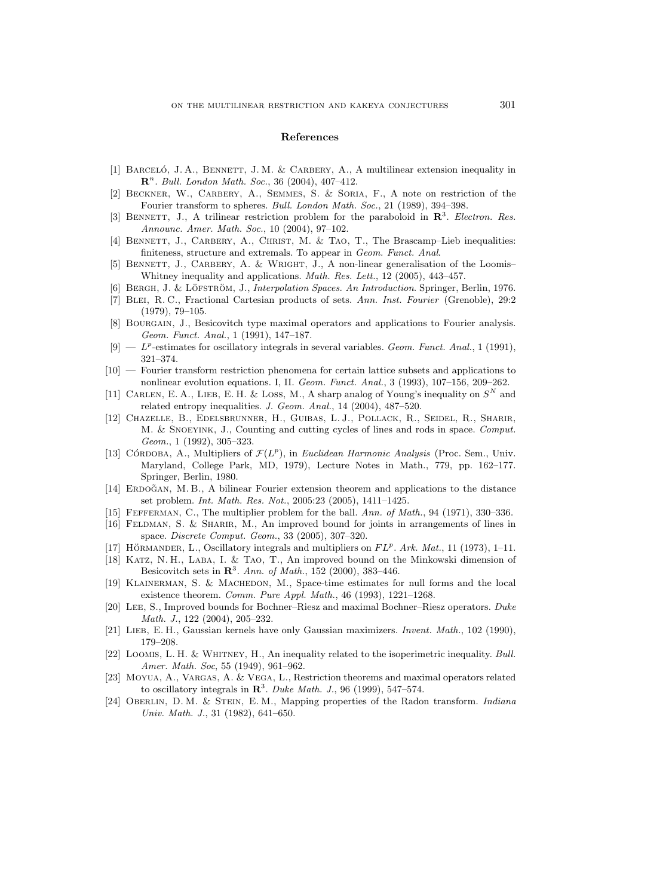#### References

- [1] BARCELÓ, J. A., BENNETT, J. M. & CARBERY, A., A multilinear extension inequality in  $\mathbb{R}^n$ . Bull. London Math. Soc., 36 (2004), 407-412.
- [2] Beckner, W., Carbery, A., Semmes, S. & Soria, F., A note on restriction of the Fourier transform to spheres. Bull. London Math. Soc., 21 (1989), 394–398.
- [3] BENNETT, J., A trilinear restriction problem for the paraboloid in  $\mathbb{R}^3$ . Electron. Res. Announc. Amer. Math. Soc., 10 (2004), 97–102.
- [4] BENNETT, J., CARBERY, A., CHRIST, M. & TAO, T., The Brascamp–Lieb inequalities: finiteness, structure and extremals. To appear in Geom. Funct. Anal.
- [5] BENNETT, J., CARBERY, A. & WRIGHT, J., A non-linear generalisation of the Loomis-Whitney inequality and applications. Math. Res. Lett., 12 (2005), 443-457.
- [6] BERGH, J. & LÖFSTRÖM, J., Interpolation Spaces. An Introduction. Springer, Berlin, 1976.
- [7] Blei, R. C., Fractional Cartesian products of sets. Ann. Inst. Fourier (Grenoble), 29:2 (1979), 79–105.
- [8] BOURGAIN, J., Besicovitch type maximal operators and applications to Fourier analysis. Geom. Funct. Anal., 1 (1991), 147–187.
- $[9]$   $p$ -estimates for oscillatory integrals in several variables. Geom. Funct. Anal., 1 (1991), 321–374.
- [10] Fourier transform restriction phenomena for certain lattice subsets and applications to nonlinear evolution equations. I, II. Geom. Funct. Anal., 3 (1993), 107–156, 209–262.
- [11] CARLEN, E. A., LIEB, E. H. & LOSS, M., A sharp analog of Young's inequality on  $S<sup>N</sup>$  and related entropy inequalities. J. Geom. Anal., 14 (2004), 487–520.
- [12] Chazelle, B., Edelsbrunner, H., Guibas, L. J., Pollack, R., Seidel, R., Sharir, M. & Snoeyink, J., Counting and cutting cycles of lines and rods in space. Comput. Geom., 1 (1992), 305–323.
- [13] CÓRDOBA, A., Multipliers of  $\mathcal{F}(L^p)$ , in *Euclidean Harmonic Analysis* (Proc. Sem., Univ. Maryland, College Park, MD, 1979), Lecture Notes in Math., 779, pp. 162–177. Springer, Berlin, 1980.
- [14] ERDOGAN, M. B., A bilinear Fourier extension theorem and applications to the distance set problem. Int. Math. Res. Not., 2005:23 (2005), 1411–1425.
- [15] Fefferman, C., The multiplier problem for the ball. Ann. of Math., 94 (1971), 330–336.
- [16] Feldman, S. & Sharir, M., An improved bound for joints in arrangements of lines in space. Discrete Comput. Geom., 33 (2005), 307–320.
- [17] HÖRMANDER, L., Oscillatory integrals and multipliers on  $FL^p$ . Ark. Mat., 11 (1973), 1-11.
- [18] Katz, N. H., Laba, I. & Tao, T., An improved bound on the Minkowski dimension of Besicovitch sets in  $\mathbb{R}^3$ . Ann. of Math., 152 (2000), 383-446.
- [19] Klainerman, S. & Machedon, M., Space-time estimates for null forms and the local existence theorem. Comm. Pure Appl. Math., 46 (1993), 1221–1268.
- [20] Lee, S., Improved bounds for Bochner–Riesz and maximal Bochner–Riesz operators. Duke Math. J., 122 (2004), 205–232.
- [21] LIEB, E. H., Gaussian kernels have only Gaussian maximizers. Invent. Math., 102 (1990), 179–208.
- [22] Loomis, L. H. & Whitney, H., An inequality related to the isoperimetric inequality. Bull. Amer. Math. Soc, 55 (1949), 961–962.
- [23] Moyua, A., Vargas, A. & Vega, L., Restriction theorems and maximal operators related to oscillatory integrals in  $\mathbb{R}^3$ . Duke Math. J., 96 (1999), 547–574.
- [24] OBERLIN, D. M. & STEIN, E. M., Mapping properties of the Radon transform. Indiana Univ. Math. J., 31 (1982), 641–650.